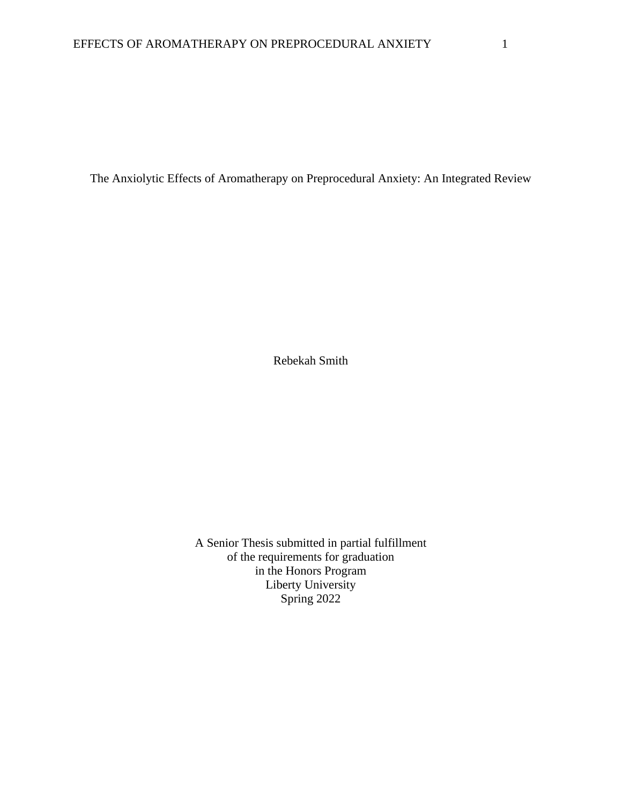The Anxiolytic Effects of Aromatherapy on Preprocedural Anxiety: An Integrated Review

Rebekah Smith

A Senior Thesis submitted in partial fulfillment of the requirements for graduation in the Honors Program Liberty University Spring 2022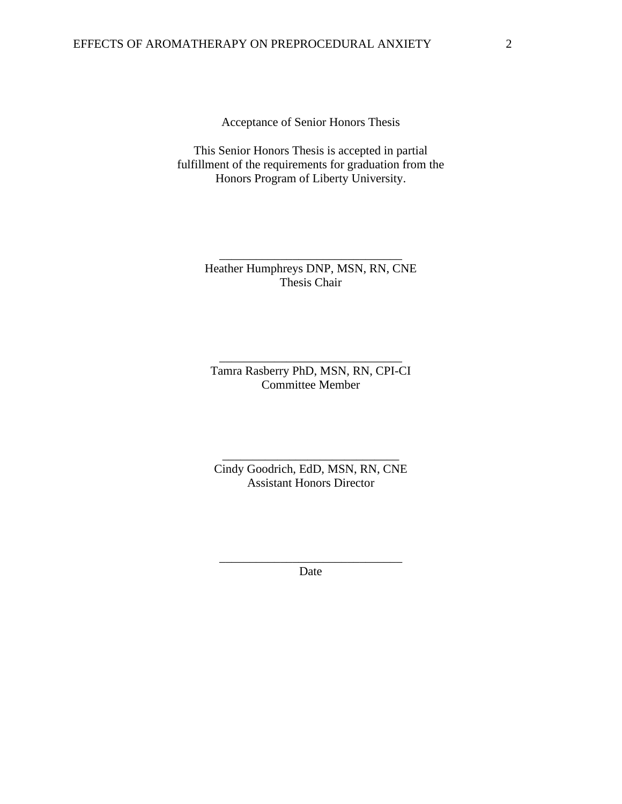Acceptance of Senior Honors Thesis

This Senior Honors Thesis is accepted in partial fulfillment of the requirements for graduation from the Honors Program of Liberty University.

> Heather Humphreys DNP, MSN, RN, CNE Thesis Chair

\_\_\_\_\_\_\_\_\_\_\_\_\_\_\_\_\_\_\_\_\_\_\_\_\_\_\_\_\_\_

Tamra Rasberry PhD, MSN, RN, CPI-CI Committee Member

\_\_\_\_\_\_\_\_\_\_\_\_\_\_\_\_\_\_\_\_\_\_\_\_\_\_\_\_\_\_

Cindy Goodrich, EdD, MSN, RN, CNE Assistant Honors Director

\_\_\_\_\_\_\_\_\_\_\_\_\_\_\_\_\_\_\_\_\_\_\_\_\_\_\_\_\_

\_\_\_\_\_\_\_\_\_\_\_\_\_\_\_\_\_\_\_\_\_\_\_\_\_\_\_\_\_\_ Date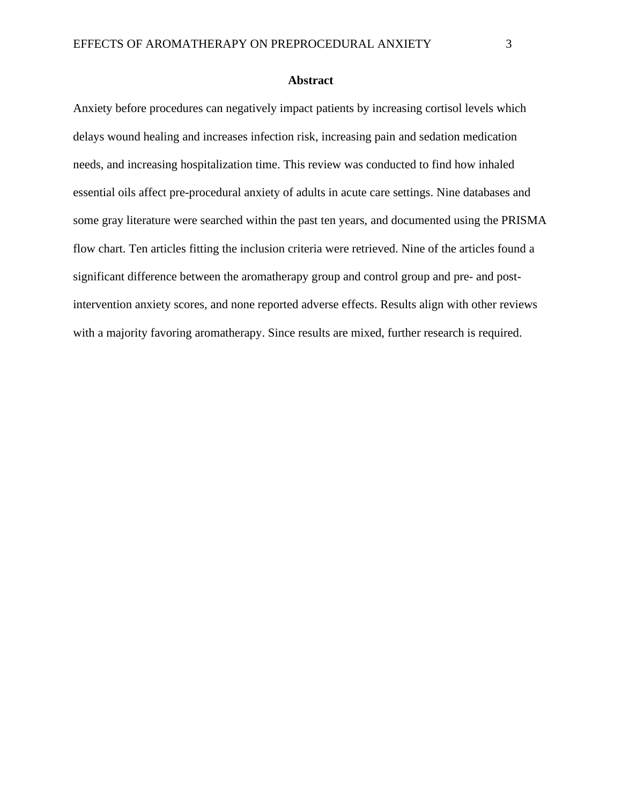#### **Abstract**

Anxiety before procedures can negatively impact patients by increasing cortisol levels which delays wound healing and increases infection risk, increasing pain and sedation medication needs, and increasing hospitalization time. This review was conducted to find how inhaled essential oils affect pre-procedural anxiety of adults in acute care settings. Nine databases and some gray literature were searched within the past ten years, and documented using the PRISMA flow chart. Ten articles fitting the inclusion criteria were retrieved. Nine of the articles found a significant difference between the aromatherapy group and control group and pre- and postintervention anxiety scores, and none reported adverse effects. Results align with other reviews with a majority favoring aromatherapy. Since results are mixed, further research is required.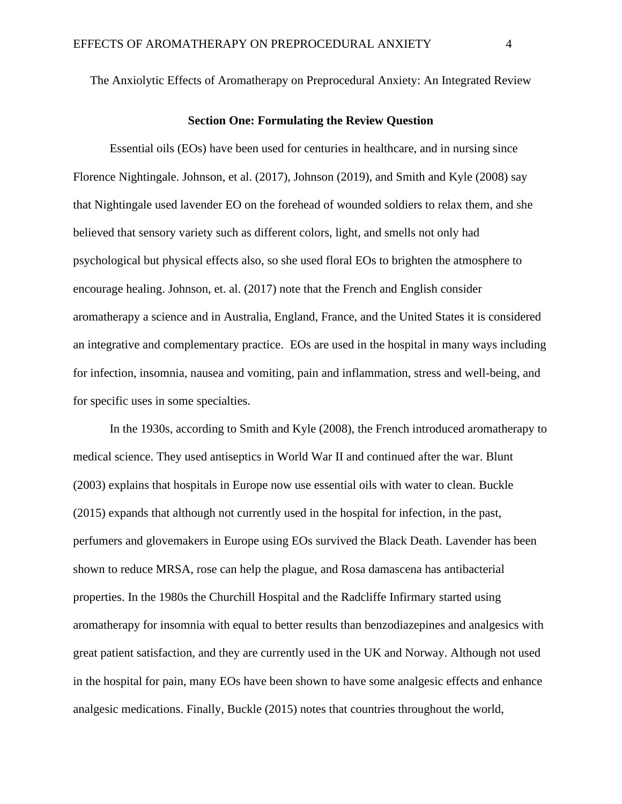The Anxiolytic Effects of Aromatherapy on Preprocedural Anxiety: An Integrated Review

#### **Section One: Formulating the Review Question**

Essential oils (EOs) have been used for centuries in healthcare, and in nursing since Florence Nightingale. Johnson, et al. (2017), Johnson (2019), and Smith and Kyle (2008) say that Nightingale used lavender EO on the forehead of wounded soldiers to relax them, and she believed that sensory variety such as different colors, light, and smells not only had psychological but physical effects also, so she used floral EOs to brighten the atmosphere to encourage healing. Johnson, et. al. (2017) note that the French and English consider aromatherapy a science and in Australia, England, France, and the United States it is considered an integrative and complementary practice. EOs are used in the hospital in many ways including for infection, insomnia, nausea and vomiting, pain and inflammation, stress and well-being, and for specific uses in some specialties.

In the 1930s, according to Smith and Kyle (2008), the French introduced aromatherapy to medical science. They used antiseptics in World War II and continued after the war. Blunt (2003) explains that hospitals in Europe now use essential oils with water to clean. Buckle (2015) expands that although not currently used in the hospital for infection, in the past, perfumers and glovemakers in Europe using EOs survived the Black Death. Lavender has been shown to reduce MRSA, rose can help the plague, and Rosa damascena has antibacterial properties. In the 1980s the Churchill Hospital and the Radcliffe Infirmary started using aromatherapy for insomnia with equal to better results than benzodiazepines and analgesics with great patient satisfaction, and they are currently used in the UK and Norway. Although not used in the hospital for pain, many EOs have been shown to have some analgesic effects and enhance analgesic medications. Finally, Buckle (2015) notes that countries throughout the world,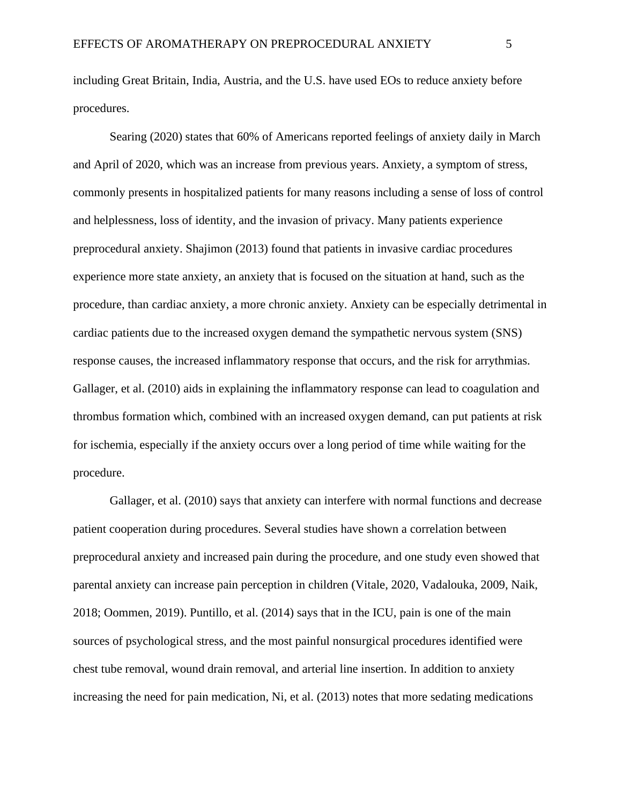including Great Britain, India, Austria, and the U.S. have used EOs to reduce anxiety before procedures.

Searing (2020) states that 60% of Americans reported feelings of anxiety daily in March and April of 2020, which was an increase from previous years. Anxiety, a symptom of stress, commonly presents in hospitalized patients for many reasons including a sense of loss of control and helplessness, loss of identity, and the invasion of privacy. Many patients experience preprocedural anxiety. Shajimon (2013) found that patients in invasive cardiac procedures experience more state anxiety, an anxiety that is focused on the situation at hand, such as the procedure, than cardiac anxiety, a more chronic anxiety. Anxiety can be especially detrimental in cardiac patients due to the increased oxygen demand the sympathetic nervous system (SNS) response causes, the increased inflammatory response that occurs, and the risk for arrythmias. Gallager, et al. (2010) aids in explaining the inflammatory response can lead to coagulation and thrombus formation which, combined with an increased oxygen demand, can put patients at risk for ischemia, especially if the anxiety occurs over a long period of time while waiting for the procedure.

Gallager, et al. (2010) says that anxiety can interfere with normal functions and decrease patient cooperation during procedures. Several studies have shown a correlation between preprocedural anxiety and increased pain during the procedure, and one study even showed that parental anxiety can increase pain perception in children (Vitale, 2020, Vadalouka, 2009, Naik, 2018; Oommen, 2019). Puntillo, et al. (2014) says that in the ICU, pain is one of the main sources of psychological stress, and the most painful nonsurgical procedures identified were chest tube removal, wound drain removal, and arterial line insertion. In addition to anxiety increasing the need for pain medication, Ni, et al. (2013) notes that more sedating medications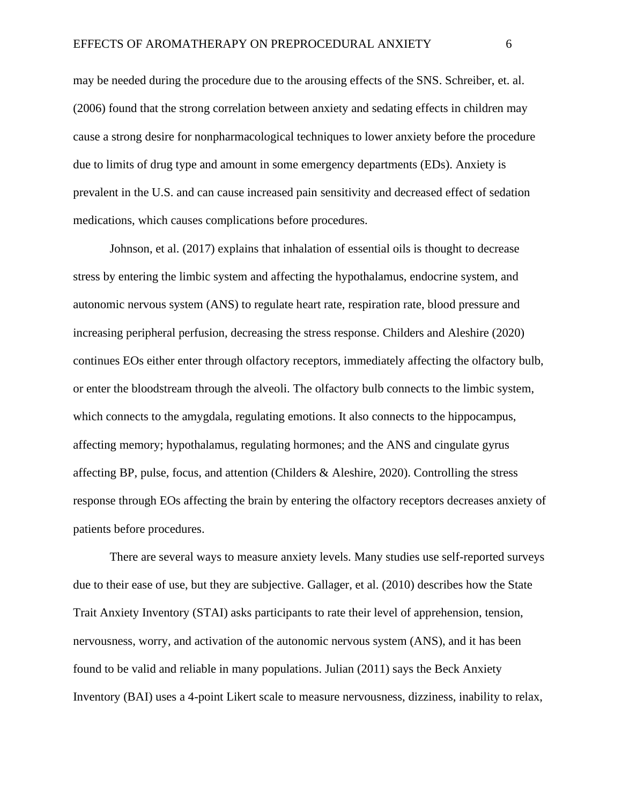may be needed during the procedure due to the arousing effects of the SNS. Schreiber, et. al. (2006) found that the strong correlation between anxiety and sedating effects in children may cause a strong desire for nonpharmacological techniques to lower anxiety before the procedure due to limits of drug type and amount in some emergency departments (EDs). Anxiety is prevalent in the U.S. and can cause increased pain sensitivity and decreased effect of sedation medications, which causes complications before procedures.

Johnson, et al. (2017) explains that inhalation of essential oils is thought to decrease stress by entering the limbic system and affecting the hypothalamus, endocrine system, and autonomic nervous system (ANS) to regulate heart rate, respiration rate, blood pressure and increasing peripheral perfusion, decreasing the stress response. Childers and Aleshire (2020) continues EOs either enter through olfactory receptors, immediately affecting the olfactory bulb, or enter the bloodstream through the alveoli. The olfactory bulb connects to the limbic system, which connects to the amygdala, regulating emotions. It also connects to the hippocampus, affecting memory; hypothalamus, regulating hormones; and the ANS and cingulate gyrus affecting BP, pulse, focus, and attention (Childers & Aleshire, 2020). Controlling the stress response through EOs affecting the brain by entering the olfactory receptors decreases anxiety of patients before procedures.

There are several ways to measure anxiety levels. Many studies use self-reported surveys due to their ease of use, but they are subjective. Gallager, et al. (2010) describes how the State Trait Anxiety Inventory (STAI) asks participants to rate their level of apprehension, tension, nervousness, worry, and activation of the autonomic nervous system (ANS), and it has been found to be valid and reliable in many populations. Julian (2011) says the Beck Anxiety Inventory (BAI) uses a 4-point Likert scale to measure nervousness, dizziness, inability to relax,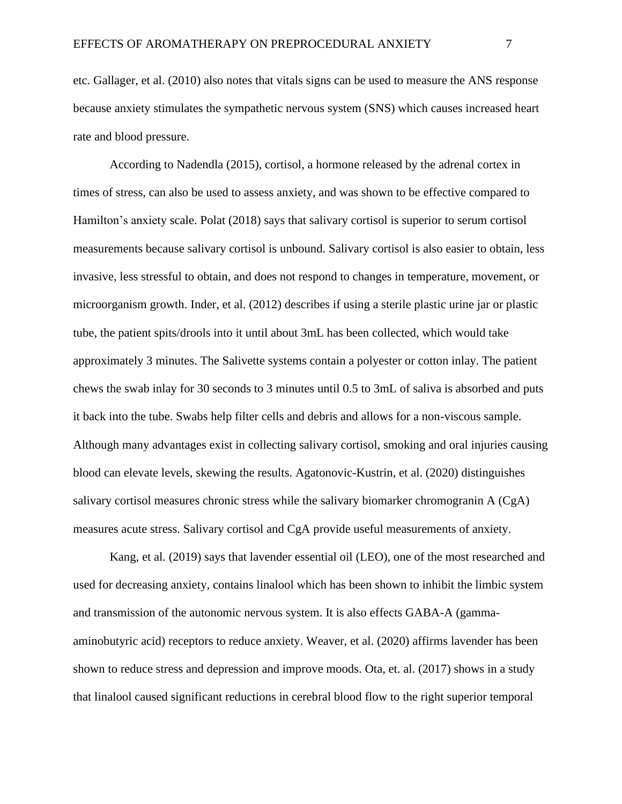etc. Gallager, et al. (2010) also notes that vitals signs can be used to measure the ANS response because anxiety stimulates the sympathetic nervous system (SNS) which causes increased heart rate and blood pressure.

According to Nadendla (2015), cortisol, a hormone released by the adrenal cortex in times of stress, can also be used to assess anxiety, and was shown to be effective compared to Hamilton's anxiety scale. Polat (2018) says that salivary cortisol is superior to serum cortisol measurements because salivary cortisol is unbound. Salivary cortisol is also easier to obtain, less invasive, less stressful to obtain, and does not respond to changes in temperature, movement, or microorganism growth. Inder, et al. (2012) describes if using a sterile plastic urine jar or plastic tube, the patient spits/drools into it until about 3mL has been collected, which would take approximately 3 minutes. The Salivette systems contain a polyester or cotton inlay. The patient chews the swab inlay for 30 seconds to 3 minutes until 0.5 to 3mL of saliva is absorbed and puts it back into the tube. Swabs help filter cells and debris and allows for a non-viscous sample. Although many advantages exist in collecting salivary cortisol, smoking and oral injuries causing blood can elevate levels, skewing the results. Agatonovic-Kustrin, et al. (2020) distinguishes salivary cortisol measures chronic stress while the salivary biomarker chromogranin A (CgA) measures acute stress. Salivary cortisol and CgA provide useful measurements of anxiety.

Kang, et al. (2019) says that lavender essential oil (LEO), one of the most researched and used for decreasing anxiety, contains linalool which has been shown to inhibit the limbic system and transmission of the autonomic nervous system. It is also effects GABA-A (gammaaminobutyric acid) receptors to reduce anxiety. Weaver, et al. (2020) affirms lavender has been shown to reduce stress and depression and improve moods. Ota, et. al. (2017) shows in a study that linalool caused significant reductions in cerebral blood flow to the right superior temporal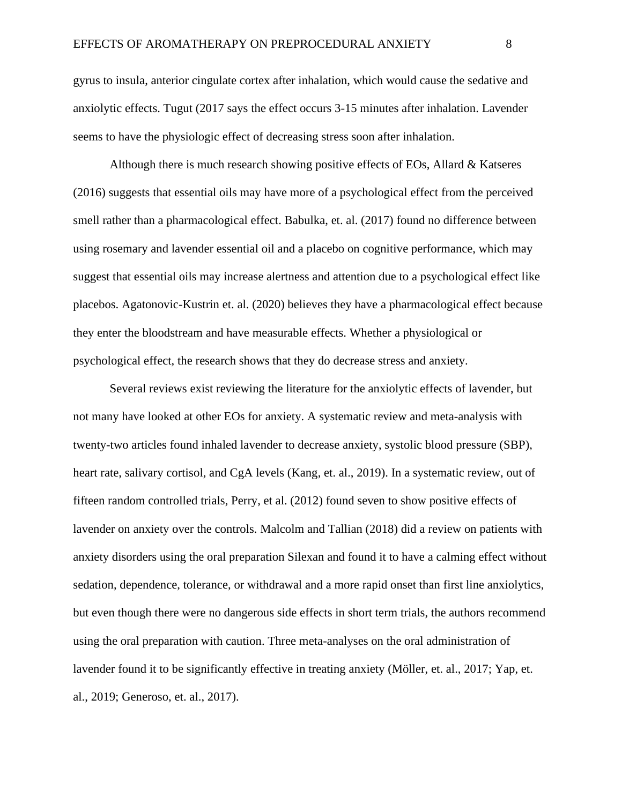gyrus to insula, anterior cingulate cortex after inhalation, which would cause the sedative and anxiolytic effects. Tugut (2017 says the effect occurs 3-15 minutes after inhalation. Lavender seems to have the physiologic effect of decreasing stress soon after inhalation.

Although there is much research showing positive effects of EOs, Allard & Katseres (2016) suggests that essential oils may have more of a psychological effect from the perceived smell rather than a pharmacological effect. Babulka, et. al. (2017) found no difference between using rosemary and lavender essential oil and a placebo on cognitive performance, which may suggest that essential oils may increase alertness and attention due to a psychological effect like placebos. Agatonovic-Kustrin et. al. (2020) believes they have a pharmacological effect because they enter the bloodstream and have measurable effects. Whether a physiological or psychological effect, the research shows that they do decrease stress and anxiety.

Several reviews exist reviewing the literature for the anxiolytic effects of lavender, but not many have looked at other EOs for anxiety. A systematic review and meta-analysis with twenty-two articles found inhaled lavender to decrease anxiety, systolic blood pressure (SBP), heart rate, salivary cortisol, and CgA levels (Kang, et. al., 2019). In a systematic review, out of fifteen random controlled trials, Perry, et al. (2012) found seven to show positive effects of lavender on anxiety over the controls. Malcolm and Tallian (2018) did a review on patients with anxiety disorders using the oral preparation Silexan and found it to have a calming effect without sedation, dependence, tolerance, or withdrawal and a more rapid onset than first line anxiolytics, but even though there were no dangerous side effects in short term trials, the authors recommend using the oral preparation with caution. Three meta-analyses on the oral administration of lavender found it to be significantly effective in treating anxiety (Möller, et. al., 2017; Yap, et. al., 2019; Generoso, et. al., 2017).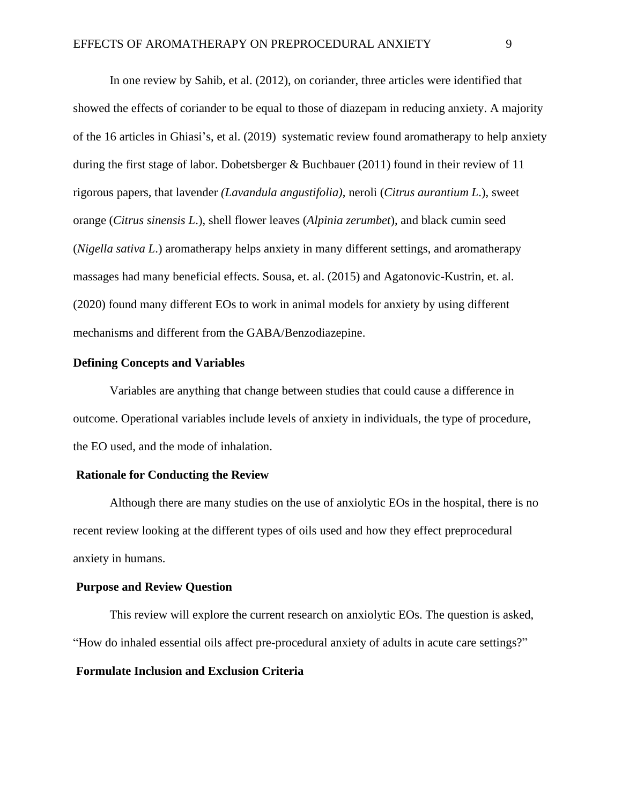In one review by Sahib, et al. (2012), on coriander, three articles were identified that showed the effects of coriander to be equal to those of diazepam in reducing anxiety. A majority of the 16 articles in Ghiasi's, et al. (2019) systematic review found aromatherapy to help anxiety during the first stage of labor. Dobetsberger & Buchbauer (2011) found in their review of 11 rigorous papers, that lavender *(Lavandula angustifolia)*, neroli (*Citrus aurantium L*.), sweet orange (*Citrus sinensis L*.), shell flower leaves (*Alpinia zerumbet*), and black cumin seed (*Nigella sativa L*.) aromatherapy helps anxiety in many different settings, and aromatherapy massages had many beneficial effects. Sousa, et. al. (2015) and Agatonovic-Kustrin, et. al. (2020) found many different EOs to work in animal models for anxiety by using different mechanisms and different from the GABA/Benzodiazepine.

### **Defining Concepts and Variables**

Variables are anything that change between studies that could cause a difference in outcome. Operational variables include levels of anxiety in individuals, the type of procedure, the EO used, and the mode of inhalation.

### **Rationale for Conducting the Review**

Although there are many studies on the use of anxiolytic EOs in the hospital, there is no recent review looking at the different types of oils used and how they effect preprocedural anxiety in humans.

### **Purpose and Review Question**

This review will explore the current research on anxiolytic EOs. The question is asked, "How do inhaled essential oils affect pre-procedural anxiety of adults in acute care settings?" **Formulate Inclusion and Exclusion Criteria**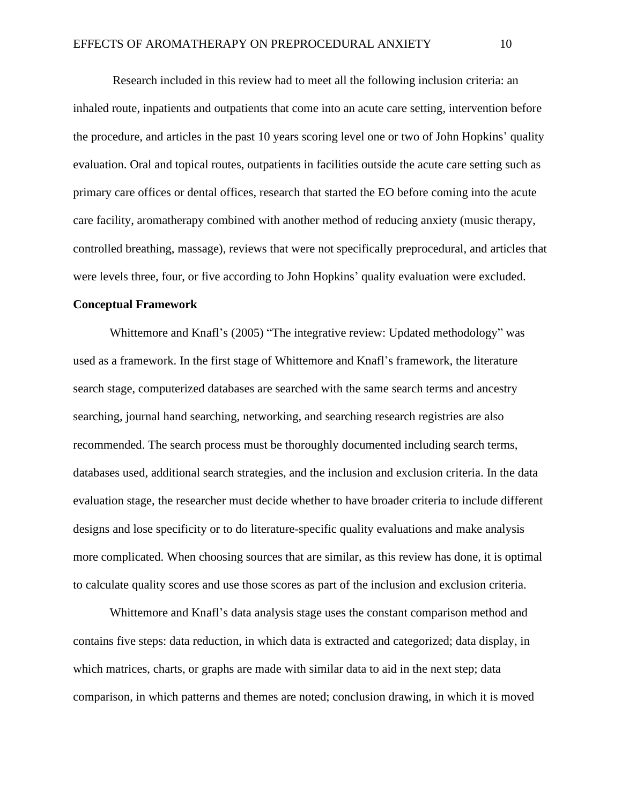Research included in this review had to meet all the following inclusion criteria: an inhaled route, inpatients and outpatients that come into an acute care setting, intervention before the procedure, and articles in the past 10 years scoring level one or two of John Hopkins' quality evaluation. Oral and topical routes, outpatients in facilities outside the acute care setting such as primary care offices or dental offices, research that started the EO before coming into the acute care facility, aromatherapy combined with another method of reducing anxiety (music therapy, controlled breathing, massage), reviews that were not specifically preprocedural, and articles that were levels three, four, or five according to John Hopkins' quality evaluation were excluded.

#### **Conceptual Framework**

Whittemore and Knafl's (2005) "The integrative review: Updated methodology" was used as a framework. In the first stage of Whittemore and Knafl's framework, the literature search stage, computerized databases are searched with the same search terms and ancestry searching, journal hand searching, networking, and searching research registries are also recommended. The search process must be thoroughly documented including search terms, databases used, additional search strategies, and the inclusion and exclusion criteria. In the data evaluation stage, the researcher must decide whether to have broader criteria to include different designs and lose specificity or to do literature-specific quality evaluations and make analysis more complicated. When choosing sources that are similar, as this review has done, it is optimal to calculate quality scores and use those scores as part of the inclusion and exclusion criteria.

Whittemore and Knafl's data analysis stage uses the constant comparison method and contains five steps: data reduction, in which data is extracted and categorized; data display, in which matrices, charts, or graphs are made with similar data to aid in the next step; data comparison, in which patterns and themes are noted; conclusion drawing, in which it is moved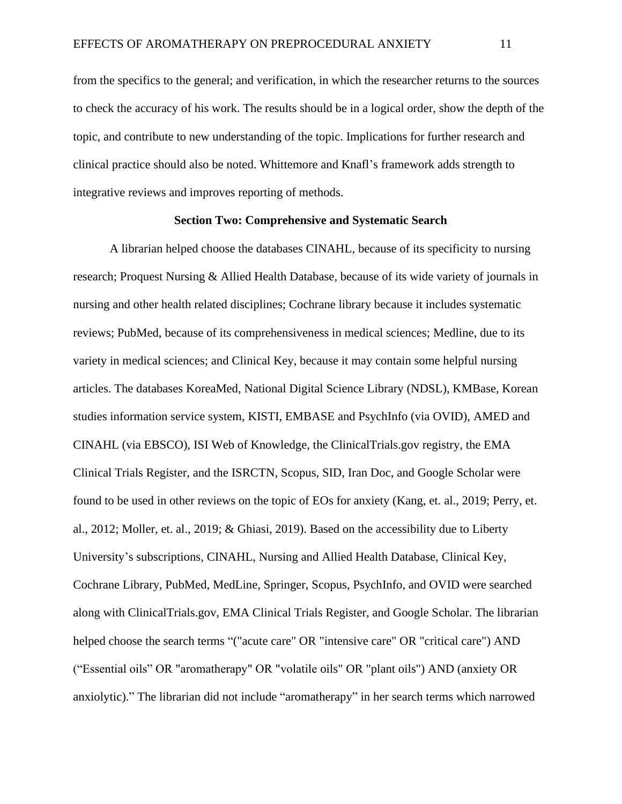from the specifics to the general; and verification, in which the researcher returns to the sources to check the accuracy of his work. The results should be in a logical order, show the depth of the topic, and contribute to new understanding of the topic. Implications for further research and clinical practice should also be noted. Whittemore and Knafl's framework adds strength to integrative reviews and improves reporting of methods.

#### **Section Two: Comprehensive and Systematic Search**

A librarian helped choose the databases CINAHL, because of its specificity to nursing research; Proquest Nursing & Allied Health Database, because of its wide variety of journals in nursing and other health related disciplines; Cochrane library because it includes systematic reviews; PubMed, because of its comprehensiveness in medical sciences; Medline, due to its variety in medical sciences; and Clinical Key, because it may contain some helpful nursing articles. The databases KoreaMed, National Digital Science Library (NDSL), KMBase, Korean studies information service system, KISTI, EMBASE and PsychInfo (via OVID), AMED and CINAHL (via EBSCO), ISI Web of Knowledge, the ClinicalTrials.gov registry, the EMA Clinical Trials Register, and the ISRCTN, Scopus, SID, Iran Doc, and Google Scholar were found to be used in other reviews on the topic of EOs for anxiety (Kang, et. al., 2019; Perry, et. al., 2012; Moller, et. al., 2019; & Ghiasi, 2019). Based on the accessibility due to Liberty University's subscriptions, CINAHL, Nursing and Allied Health Database, Clinical Key, Cochrane Library, PubMed, MedLine, Springer, Scopus, PsychInfo, and OVID were searched along with ClinicalTrials.gov, EMA Clinical Trials Register, and Google Scholar. The librarian helped choose the search terms "("acute care" OR "intensive care" OR "critical care") AND ("Essential oils" OR "aromatherapy" OR "volatile oils" OR "plant oils") AND (anxiety OR anxiolytic)." The librarian did not include "aromatherapy" in her search terms which narrowed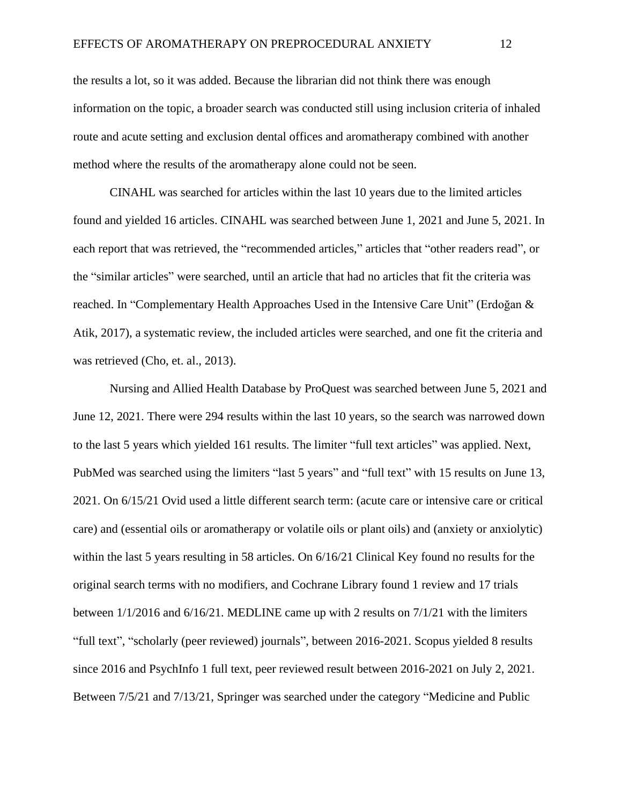the results a lot, so it was added. Because the librarian did not think there was enough information on the topic, a broader search was conducted still using inclusion criteria of inhaled route and acute setting and exclusion dental offices and aromatherapy combined with another method where the results of the aromatherapy alone could not be seen.

CINAHL was searched for articles within the last 10 years due to the limited articles found and yielded 16 articles. CINAHL was searched between June 1, 2021 and June 5, 2021. In each report that was retrieved, the "recommended articles," articles that "other readers read", or the "similar articles" were searched, until an article that had no articles that fit the criteria was reached. In "Complementary Health Approaches Used in the Intensive Care Unit" (Erdoğan & Atik, 2017), a systematic review, the included articles were searched, and one fit the criteria and was retrieved (Cho, et. al., 2013).

Nursing and Allied Health Database by ProQuest was searched between June 5, 2021 and June 12, 2021. There were 294 results within the last 10 years, so the search was narrowed down to the last 5 years which yielded 161 results. The limiter "full text articles" was applied. Next, PubMed was searched using the limiters "last 5 years" and "full text" with 15 results on June 13, 2021. On 6/15/21 Ovid used a little different search term: (acute care or intensive care or critical care) and (essential oils or aromatherapy or volatile oils or plant oils) and (anxiety or anxiolytic) within the last 5 years resulting in 58 articles. On 6/16/21 Clinical Key found no results for the original search terms with no modifiers, and Cochrane Library found 1 review and 17 trials between 1/1/2016 and 6/16/21. MEDLINE came up with 2 results on 7/1/21 with the limiters "full text", "scholarly (peer reviewed) journals", between 2016-2021. Scopus yielded 8 results since 2016 and PsychInfo 1 full text, peer reviewed result between 2016-2021 on July 2, 2021. Between 7/5/21 and 7/13/21, Springer was searched under the category "Medicine and Public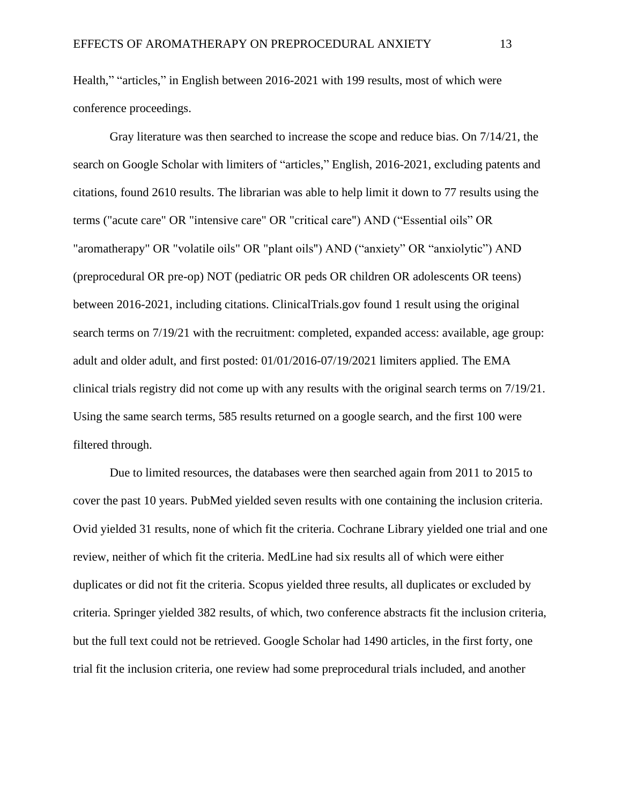Health," "articles," in English between 2016-2021 with 199 results, most of which were conference proceedings.

Gray literature was then searched to increase the scope and reduce bias. On 7/14/21, the search on Google Scholar with limiters of "articles," English, 2016-2021, excluding patents and citations, found 2610 results. The librarian was able to help limit it down to 77 results using the terms ("acute care" OR "intensive care" OR "critical care") AND ("Essential oils" OR "aromatherapy" OR "volatile oils" OR "plant oils") AND ("anxiety" OR "anxiolytic") AND (preprocedural OR pre-op) NOT (pediatric OR peds OR children OR adolescents OR teens) between 2016-2021, including citations. ClinicalTrials.gov found 1 result using the original search terms on 7/19/21 with the recruitment: completed, expanded access: available, age group: adult and older adult, and first posted: 01/01/2016-07/19/2021 limiters applied. The EMA clinical trials registry did not come up with any results with the original search terms on 7/19/21. Using the same search terms, 585 results returned on a google search, and the first 100 were filtered through.

Due to limited resources, the databases were then searched again from 2011 to 2015 to cover the past 10 years. PubMed yielded seven results with one containing the inclusion criteria. Ovid yielded 31 results, none of which fit the criteria. Cochrane Library yielded one trial and one review, neither of which fit the criteria. MedLine had six results all of which were either duplicates or did not fit the criteria. Scopus yielded three results, all duplicates or excluded by criteria. Springer yielded 382 results, of which, two conference abstracts fit the inclusion criteria, but the full text could not be retrieved. Google Scholar had 1490 articles, in the first forty, one trial fit the inclusion criteria, one review had some preprocedural trials included, and another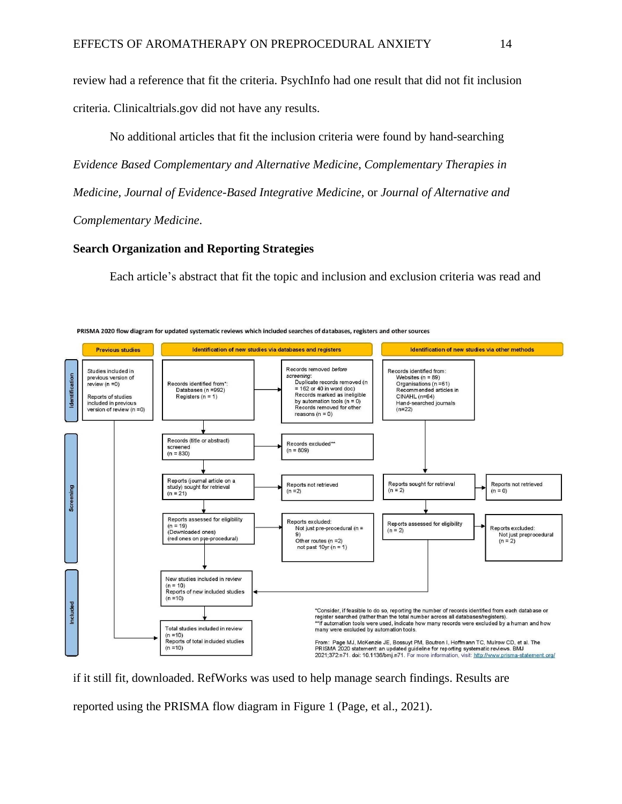review had a reference that fit the criteria. PsychInfo had one result that did not fit inclusion criteria. Clinicaltrials.gov did not have any results.

No additional articles that fit the inclusion criteria were found by hand-searching *Evidence Based Complementary and Alternative Medicine*, *Complementary Therapies in Medicine, Journal of Evidence-Based Integrative Medicine,* or *Journal of Alternative and Complementary Medicine*.

### **Search Organization and Reporting Strategies**

Each article's abstract that fit the topic and inclusion and exclusion criteria was read and



if it still fit, downloaded. RefWorks was used to help manage search findings. Results are reported using the PRISMA flow diagram in Figure 1 (Page, et al., 2021).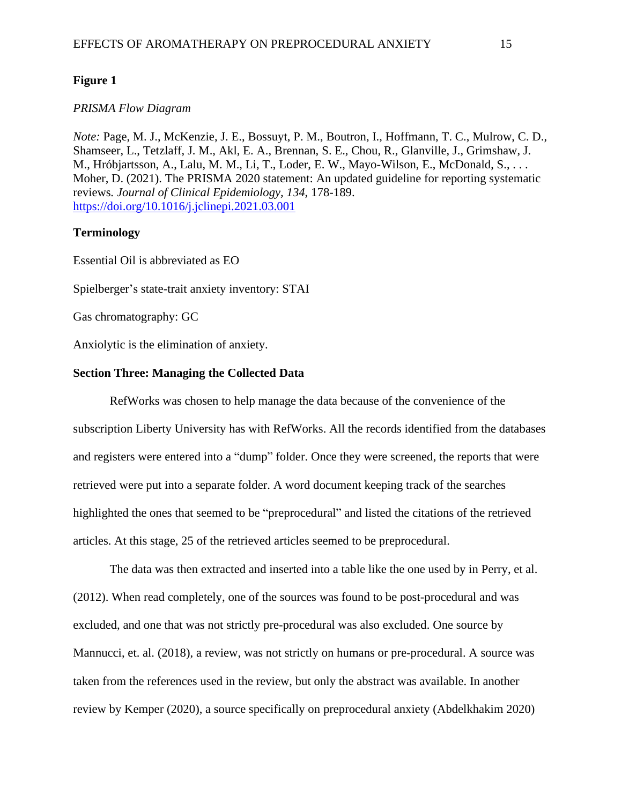### **Figure 1**

### *PRISMA Flow Diagram*

*Note:* Page, M. J., McKenzie, J. E., Bossuyt, P. M., Boutron, I., Hoffmann, T. C., Mulrow, C. D., Shamseer, L., Tetzlaff, J. M., Akl, E. A., Brennan, S. E., Chou, R., Glanville, J., Grimshaw, J. M., Hróbjartsson, A., Lalu, M. M., Li, T., Loder, E. W., Mayo-Wilson, E., McDonald, S., ... Moher, D. (2021). The PRISMA 2020 statement: An updated guideline for reporting systematic reviews*. Journal of Clinical Epidemiology, 134*, 178-189. <https://doi.org/10.1016/j.jclinepi.2021.03.001>

#### **Terminology**

Essential Oil is abbreviated as EO

Spielberger's state-trait anxiety inventory: STAI

Gas chromatography: GC

Anxiolytic is the elimination of anxiety.

#### **Section Three: Managing the Collected Data**

RefWorks was chosen to help manage the data because of the convenience of the subscription Liberty University has with RefWorks. All the records identified from the databases and registers were entered into a "dump" folder. Once they were screened, the reports that were retrieved were put into a separate folder. A word document keeping track of the searches highlighted the ones that seemed to be "preprocedural" and listed the citations of the retrieved articles. At this stage, 25 of the retrieved articles seemed to be preprocedural.

The data was then extracted and inserted into a table like the one used by in Perry, et al. (2012). When read completely, one of the sources was found to be post-procedural and was excluded, and one that was not strictly pre-procedural was also excluded. One source by Mannucci, et. al. (2018), a review, was not strictly on humans or pre-procedural. A source was taken from the references used in the review, but only the abstract was available. In another review by Kemper (2020), a source specifically on preprocedural anxiety (Abdelkhakim 2020)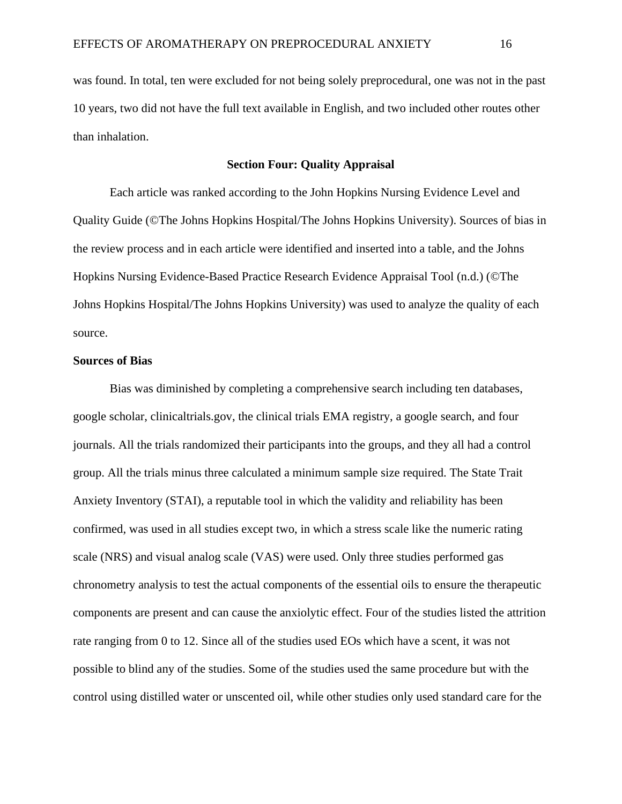was found. In total, ten were excluded for not being solely preprocedural, one was not in the past 10 years, two did not have the full text available in English, and two included other routes other than inhalation.

### **Section Four: Quality Appraisal**

Each article was ranked according to the John Hopkins Nursing Evidence Level and Quality Guide (©The Johns Hopkins Hospital/The Johns Hopkins University). Sources of bias in the review process and in each article were identified and inserted into a table, and the Johns Hopkins Nursing Evidence-Based Practice Research Evidence Appraisal Tool (n.d.) (©The Johns Hopkins Hospital/The Johns Hopkins University) was used to analyze the quality of each source.

#### **Sources of Bias**

Bias was diminished by completing a comprehensive search including ten databases, google scholar, clinicaltrials.gov, the clinical trials EMA registry, a google search, and four journals. All the trials randomized their participants into the groups, and they all had a control group. All the trials minus three calculated a minimum sample size required. The State Trait Anxiety Inventory (STAI), a reputable tool in which the validity and reliability has been confirmed, was used in all studies except two, in which a stress scale like the numeric rating scale (NRS) and visual analog scale (VAS) were used. Only three studies performed gas chronometry analysis to test the actual components of the essential oils to ensure the therapeutic components are present and can cause the anxiolytic effect. Four of the studies listed the attrition rate ranging from 0 to 12. Since all of the studies used EOs which have a scent, it was not possible to blind any of the studies. Some of the studies used the same procedure but with the control using distilled water or unscented oil, while other studies only used standard care for the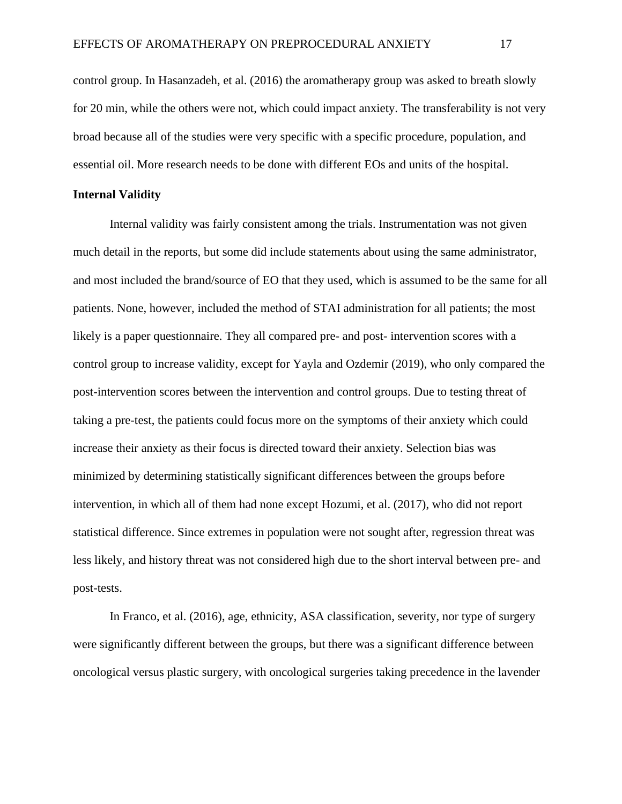control group. In Hasanzadeh, et al. (2016) the aromatherapy group was asked to breath slowly for 20 min, while the others were not, which could impact anxiety. The transferability is not very broad because all of the studies were very specific with a specific procedure, population, and essential oil. More research needs to be done with different EOs and units of the hospital.

### **Internal Validity**

Internal validity was fairly consistent among the trials. Instrumentation was not given much detail in the reports, but some did include statements about using the same administrator, and most included the brand/source of EO that they used, which is assumed to be the same for all patients. None, however, included the method of STAI administration for all patients; the most likely is a paper questionnaire. They all compared pre- and post- intervention scores with a control group to increase validity, except for Yayla and Ozdemir (2019), who only compared the post-intervention scores between the intervention and control groups. Due to testing threat of taking a pre-test, the patients could focus more on the symptoms of their anxiety which could increase their anxiety as their focus is directed toward their anxiety. Selection bias was minimized by determining statistically significant differences between the groups before intervention, in which all of them had none except Hozumi, et al. (2017), who did not report statistical difference. Since extremes in population were not sought after, regression threat was less likely, and history threat was not considered high due to the short interval between pre- and post-tests.

In Franco, et al. (2016), age, ethnicity, ASA classification, severity, nor type of surgery were significantly different between the groups, but there was a significant difference between oncological versus plastic surgery, with oncological surgeries taking precedence in the lavender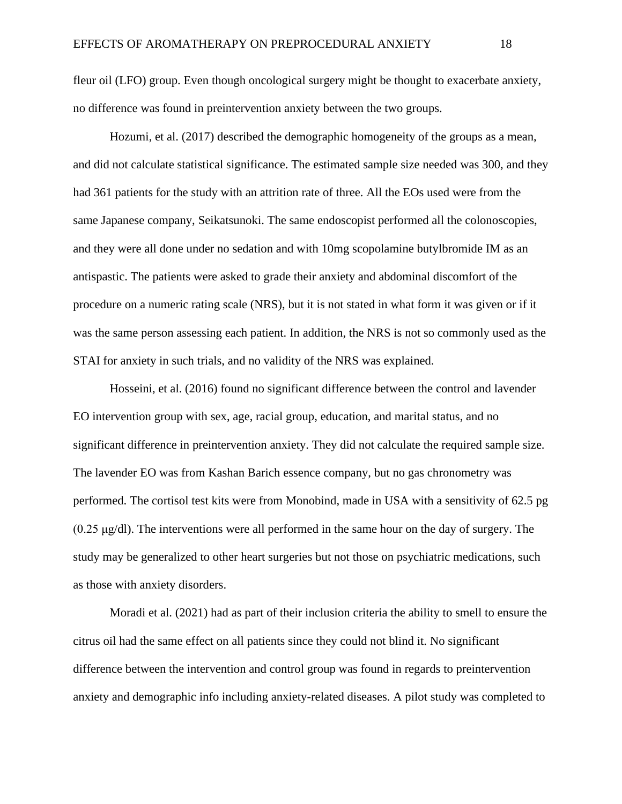fleur oil (LFO) group. Even though oncological surgery might be thought to exacerbate anxiety, no difference was found in preintervention anxiety between the two groups.

Hozumi, et al. (2017) described the demographic homogeneity of the groups as a mean, and did not calculate statistical significance. The estimated sample size needed was 300, and they had 361 patients for the study with an attrition rate of three. All the EOs used were from the same Japanese company, Seikatsunoki. The same endoscopist performed all the colonoscopies, and they were all done under no sedation and with 10mg scopolamine butylbromide IM as an antispastic. The patients were asked to grade their anxiety and abdominal discomfort of the procedure on a numeric rating scale (NRS), but it is not stated in what form it was given or if it was the same person assessing each patient. In addition, the NRS is not so commonly used as the STAI for anxiety in such trials, and no validity of the NRS was explained.

Hosseini, et al. (2016) found no significant difference between the control and lavender EO intervention group with sex, age, racial group, education, and marital status, and no significant difference in preintervention anxiety. They did not calculate the required sample size. The lavender EO was from Kashan Barich essence company, but no gas chronometry was performed. The cortisol test kits were from Monobind, made in USA with a sensitivity of 62.5 pg  $(0.25 \mu g/d)$ . The interventions were all performed in the same hour on the day of surgery. The study may be generalized to other heart surgeries but not those on psychiatric medications, such as those with anxiety disorders.

Moradi et al. (2021) had as part of their inclusion criteria the ability to smell to ensure the citrus oil had the same effect on all patients since they could not blind it. No significant difference between the intervention and control group was found in regards to preintervention anxiety and demographic info including anxiety-related diseases. A pilot study was completed to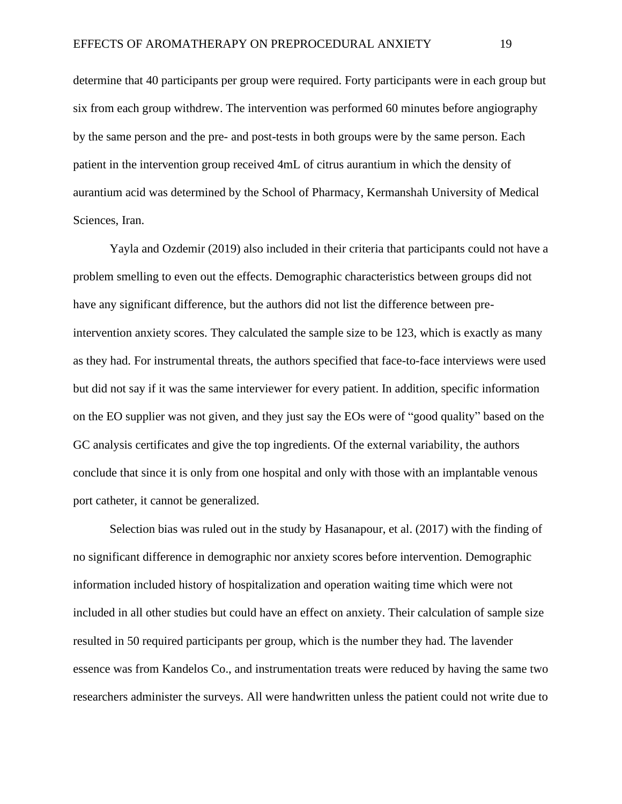determine that 40 participants per group were required. Forty participants were in each group but six from each group withdrew. The intervention was performed 60 minutes before angiography by the same person and the pre- and post-tests in both groups were by the same person. Each patient in the intervention group received 4mL of citrus aurantium in which the density of aurantium acid was determined by the School of Pharmacy, Kermanshah University of Medical Sciences, Iran.

Yayla and Ozdemir (2019) also included in their criteria that participants could not have a problem smelling to even out the effects. Demographic characteristics between groups did not have any significant difference, but the authors did not list the difference between preintervention anxiety scores. They calculated the sample size to be 123, which is exactly as many as they had. For instrumental threats, the authors specified that face-to-face interviews were used but did not say if it was the same interviewer for every patient. In addition, specific information on the EO supplier was not given, and they just say the EOs were of "good quality" based on the GC analysis certificates and give the top ingredients. Of the external variability, the authors conclude that since it is only from one hospital and only with those with an implantable venous port catheter, it cannot be generalized.

Selection bias was ruled out in the study by Hasanapour, et al. (2017) with the finding of no significant difference in demographic nor anxiety scores before intervention. Demographic information included history of hospitalization and operation waiting time which were not included in all other studies but could have an effect on anxiety. Their calculation of sample size resulted in 50 required participants per group, which is the number they had. The lavender essence was from Kandelos Co., and instrumentation treats were reduced by having the same two researchers administer the surveys. All were handwritten unless the patient could not write due to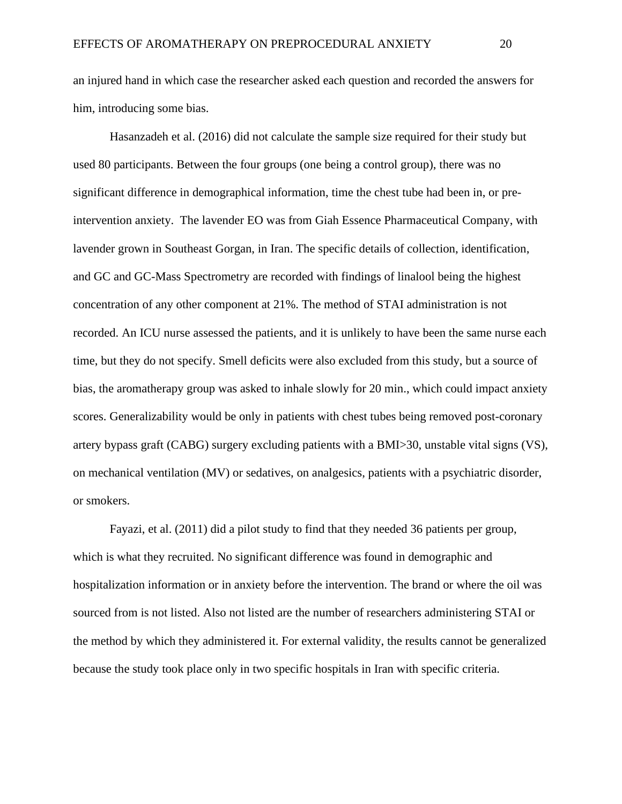an injured hand in which case the researcher asked each question and recorded the answers for him, introducing some bias.

Hasanzadeh et al. (2016) did not calculate the sample size required for their study but used 80 participants. Between the four groups (one being a control group), there was no significant difference in demographical information, time the chest tube had been in, or preintervention anxiety. The lavender EO was from Giah Essence Pharmaceutical Company, with lavender grown in Southeast Gorgan, in Iran. The specific details of collection, identification, and GC and GC-Mass Spectrometry are recorded with findings of linalool being the highest concentration of any other component at 21%. The method of STAI administration is not recorded. An ICU nurse assessed the patients, and it is unlikely to have been the same nurse each time, but they do not specify. Smell deficits were also excluded from this study, but a source of bias, the aromatherapy group was asked to inhale slowly for 20 min., which could impact anxiety scores. Generalizability would be only in patients with chest tubes being removed post-coronary artery bypass graft (CABG) surgery excluding patients with a BMI>30, unstable vital signs (VS), on mechanical ventilation (MV) or sedatives, on analgesics, patients with a psychiatric disorder, or smokers.

Fayazi, et al. (2011) did a pilot study to find that they needed 36 patients per group, which is what they recruited. No significant difference was found in demographic and hospitalization information or in anxiety before the intervention. The brand or where the oil was sourced from is not listed. Also not listed are the number of researchers administering STAI or the method by which they administered it. For external validity, the results cannot be generalized because the study took place only in two specific hospitals in Iran with specific criteria.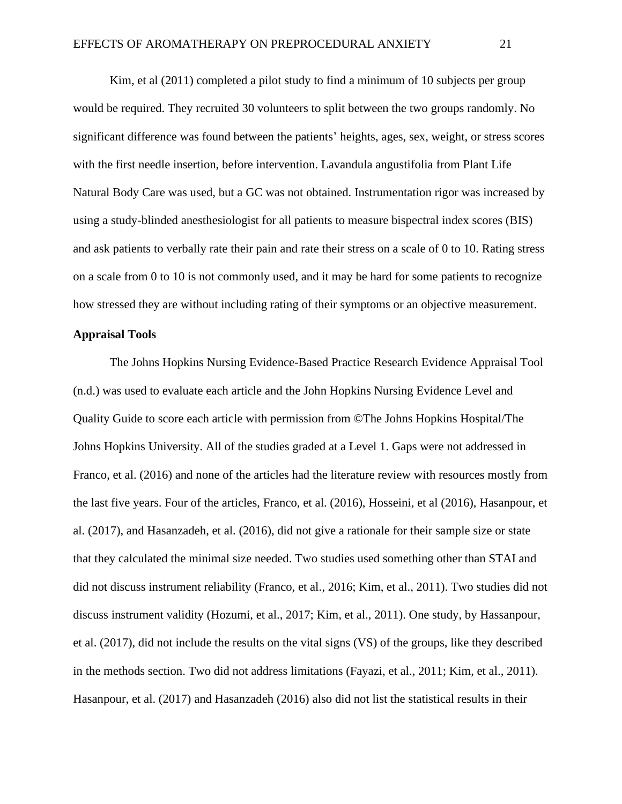Kim, et al (2011) completed a pilot study to find a minimum of 10 subjects per group would be required. They recruited 30 volunteers to split between the two groups randomly. No significant difference was found between the patients' heights, ages, sex, weight, or stress scores with the first needle insertion, before intervention. Lavandula angustifolia from Plant Life Natural Body Care was used, but a GC was not obtained. Instrumentation rigor was increased by using a study-blinded anesthesiologist for all patients to measure bispectral index scores (BIS) and ask patients to verbally rate their pain and rate their stress on a scale of 0 to 10. Rating stress on a scale from 0 to 10 is not commonly used, and it may be hard for some patients to recognize how stressed they are without including rating of their symptoms or an objective measurement.

### **Appraisal Tools**

The Johns Hopkins Nursing Evidence-Based Practice Research Evidence Appraisal Tool (n.d.) was used to evaluate each article and the John Hopkins Nursing Evidence Level and Quality Guide to score each article with permission from ©The Johns Hopkins Hospital/The Johns Hopkins University. All of the studies graded at a Level 1. Gaps were not addressed in Franco, et al. (2016) and none of the articles had the literature review with resources mostly from the last five years. Four of the articles, Franco, et al. (2016), Hosseini, et al (2016), Hasanpour, et al. (2017), and Hasanzadeh, et al. (2016), did not give a rationale for their sample size or state that they calculated the minimal size needed. Two studies used something other than STAI and did not discuss instrument reliability (Franco, et al., 2016; Kim, et al., 2011). Two studies did not discuss instrument validity (Hozumi, et al., 2017; Kim, et al., 2011). One study, by Hassanpour, et al. (2017), did not include the results on the vital signs (VS) of the groups, like they described in the methods section. Two did not address limitations (Fayazi, et al., 2011; Kim, et al., 2011). Hasanpour, et al. (2017) and Hasanzadeh (2016) also did not list the statistical results in their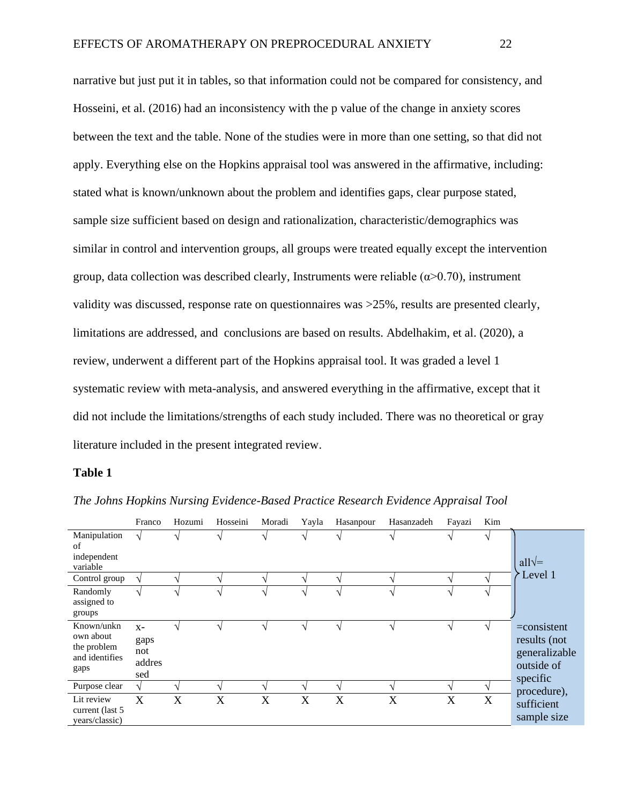narrative but just put it in tables, so that information could not be compared for consistency, and Hosseini, et al. (2016) had an inconsistency with the p value of the change in anxiety scores between the text and the table. None of the studies were in more than one setting, so that did not apply. Everything else on the Hopkins appraisal tool was answered in the affirmative, including: stated what is known/unknown about the problem and identifies gaps, clear purpose stated, sample size sufficient based on design and rationalization, characteristic/demographics was similar in control and intervention groups, all groups were treated equally except the intervention group, data collection was described clearly, Instruments were reliable  $(\alpha > 0.70)$ , instrument validity was discussed, response rate on questionnaires was >25%, results are presented clearly, limitations are addressed, and conclusions are based on results. Abdelhakim, et al. (2020), a review, underwent a different part of the Hopkins appraisal tool. It was graded a level 1 systematic review with meta-analysis, and answered everything in the affirmative, except that it did not include the limitations/strengths of each study included. There was no theoretical or gray literature included in the present integrated review.

#### **Table 1**

|                                                                  | Franco                                | Hozumi | Hosseini | Moradi        | Yayla | Hasanpour | Hasanzadeh | Fayazi        | Kim |                                                                           |
|------------------------------------------------------------------|---------------------------------------|--------|----------|---------------|-------|-----------|------------|---------------|-----|---------------------------------------------------------------------------|
| Manipulation<br>of<br>independent<br>variable                    |                                       |        |          | ٦             |       |           |            | $\mathcal{N}$ |     | all $\sqrt{=}$                                                            |
| Control group                                                    |                                       |        |          | ٦             |       |           |            | $\mathcal{L}$ |     | Level 1                                                                   |
| Randomly<br>assigned to<br>groups                                | ٦                                     |        |          | ٦             |       |           |            | ٦             |     |                                                                           |
| Known/unkn<br>own about<br>the problem<br>and identifies<br>gaps | $X -$<br>gaps<br>not<br>addres<br>sed |        |          | ٦             |       |           | ٦          | V             |     | $=$ consistent<br>results (not<br>generalizable<br>outside of<br>specific |
| Purpose clear                                                    | V                                     |        |          | $\mathcal{L}$ | ٦     |           | V          | N             |     | procedure),                                                               |
| Lit review<br>current (last 5)<br>years/classic)                 | X                                     | X      | X        | X             | X     | X         | X          | X             | X   | sufficient<br>sample size                                                 |

*The Johns Hopkins Nursing Evidence-Based Practice Research Evidence Appraisal Tool*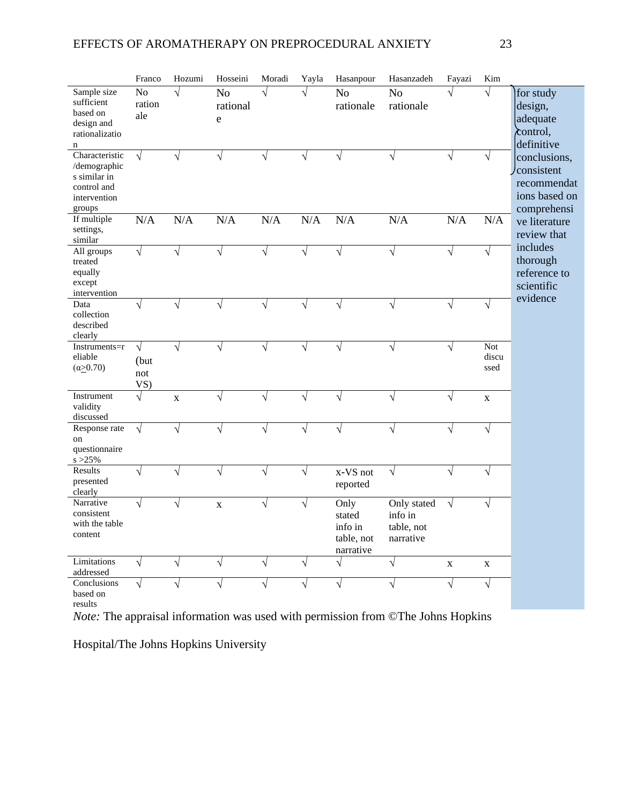|                                                                                         | Franco                               | Hozumi     | Hosseini                        | Moradi    | Yayla     | Hasanpour                                            | Hasanzadeh                                        | Fayazi      | Kim                  |                                                                           |
|-----------------------------------------------------------------------------------------|--------------------------------------|------------|---------------------------------|-----------|-----------|------------------------------------------------------|---------------------------------------------------|-------------|----------------------|---------------------------------------------------------------------------|
| Sample size<br>sufficient<br>based on<br>design and<br>rationalizatio<br>n              | N <sub>o</sub><br>ration<br>ale      | $\sqrt{ }$ | N <sub>o</sub><br>rational<br>e | $\sqrt{}$ | $\sqrt{}$ | N <sub>o</sub><br>rationale                          | N <sub>o</sub><br>rationale                       | $\sqrt{}$   | $\sqrt{}$            | for study<br>design,<br>adequate<br>$\lambda$ control,<br>definitive      |
| Characteristic<br>/demographic<br>s similar in<br>control and<br>intervention<br>groups | $\sqrt{ }$                           |            | V                               | V         | V         | V                                                    |                                                   | V           | $\sqrt{ }$           | conclusions,<br>consistent<br>recommendat<br>ions based on<br>comprehensi |
| If multiple<br>settings,<br>similar                                                     | N/A                                  | N/A        | N/A                             | N/A       | N/A       | N/A                                                  | N/A                                               | N/A         | N/A                  | ve literature<br>review that                                              |
| All groups<br>treated<br>equally<br>except<br>intervention                              | $\sqrt{ }$                           | J          | $\sqrt{}$                       | $\sqrt{}$ | $\sqrt{}$ | $\sqrt{}$                                            | $\sqrt{}$                                         | $\sqrt{}$   | $\sqrt{ }$           | includes<br>thorough<br>reference to<br>scientific<br>evidence            |
| Data<br>collection<br>described<br>clearly                                              | $\sqrt{}$                            | $\sqrt{}$  | $\sqrt{}$                       | $\sqrt{}$ | $\sqrt{}$ | $\sqrt{}$                                            | $\sqrt{}$                                         | $\sqrt{}$   | $\sqrt{ }$           |                                                                           |
| Instruments=r<br>eliable<br>$(\alpha \geq 0.70)$                                        | $\sqrt{ }$<br>(but)<br>not<br>$VS$ ) | $\sqrt{}$  | $\sqrt{}$                       | $\sqrt{}$ | $\sqrt{}$ | $\sqrt{}$                                            | $\sqrt{}$                                         | $\sqrt{}$   | Not<br>discu<br>ssed |                                                                           |
| Instrument<br>validity<br>discussed                                                     | $\sqrt{}$                            | $\bf{X}$   |                                 | J         | V         | $\sqrt{}$                                            |                                                   | $\sqrt{}$   | $\mathbf X$          |                                                                           |
| Response rate<br>on<br>questionnaire<br>$s > 25\%$                                      | $\sqrt{ }$                           |            |                                 | V         | V         | $\sqrt{}$                                            | V                                                 | $\sqrt{}$   | $\sqrt{}$            |                                                                           |
| Results<br>presented<br>clearly                                                         | $\sqrt{ }$                           |            | V                               | $\sqrt{}$ | V         | x-VS not<br>reported                                 | $\sqrt{ }$                                        | $\sqrt{}$   | $\sqrt{ }$           |                                                                           |
| Narrative<br>consistent<br>with the table<br>content                                    | $\sqrt{ }$                           | $\sqrt{ }$ | $\mathbf X$                     | $\sqrt{}$ | $\sqrt{}$ | Only<br>stated<br>info in<br>table, not<br>narrative | Only stated<br>info in<br>table, not<br>narrative | $\sqrt{ }$  | $\sqrt{ }$           |                                                                           |
| Limitations<br>addressed                                                                | $\sqrt{}$                            |            |                                 | $\sqrt{}$ | V         | $\sqrt{}$                                            | $\sqrt{}$                                         | $\mathbf X$ | $\mathbf X$          |                                                                           |
| Conclusions<br>based on                                                                 | V                                    |            |                                 |           | V         | V                                                    |                                                   | V           | $\sqrt{ }$           |                                                                           |

results

*Note:* The appraisal information was used with permission from ©The Johns Hopkins

Hospital/The Johns Hopkins University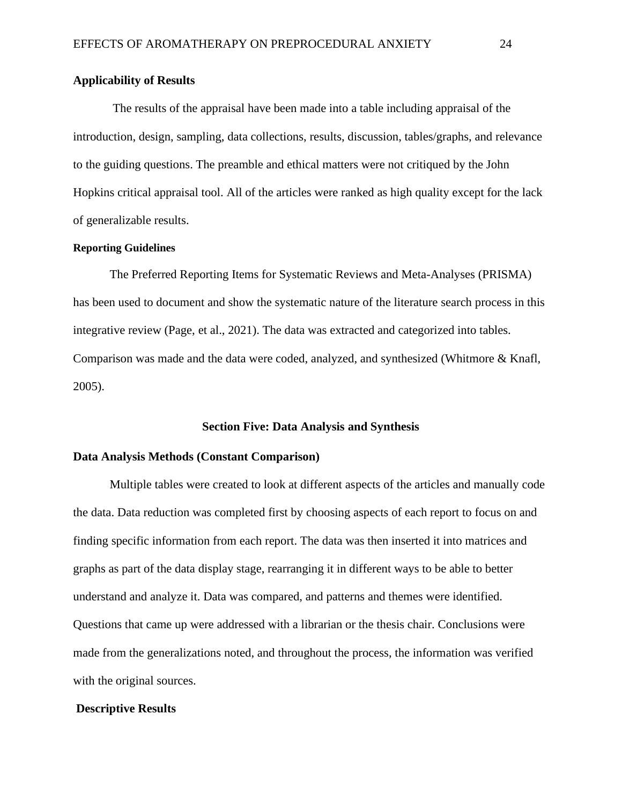### **Applicability of Results**

The results of the appraisal have been made into a table including appraisal of the introduction, design, sampling, data collections, results, discussion, tables/graphs, and relevance to the guiding questions. The preamble and ethical matters were not critiqued by the John Hopkins critical appraisal tool. All of the articles were ranked as high quality except for the lack of generalizable results.

### **Reporting Guidelines**

The Preferred Reporting Items for Systematic Reviews and Meta-Analyses (PRISMA) has been used to document and show the systematic nature of the literature search process in this integrative review (Page, et al., 2021). The data was extracted and categorized into tables. Comparison was made and the data were coded, analyzed, and synthesized (Whitmore & Knafl, 2005).

#### **Section Five: Data Analysis and Synthesis**

#### **Data Analysis Methods (Constant Comparison)**

Multiple tables were created to look at different aspects of the articles and manually code the data. Data reduction was completed first by choosing aspects of each report to focus on and finding specific information from each report. The data was then inserted it into matrices and graphs as part of the data display stage, rearranging it in different ways to be able to better understand and analyze it. Data was compared, and patterns and themes were identified. Questions that came up were addressed with a librarian or the thesis chair. Conclusions were made from the generalizations noted, and throughout the process, the information was verified with the original sources.

#### **Descriptive Results**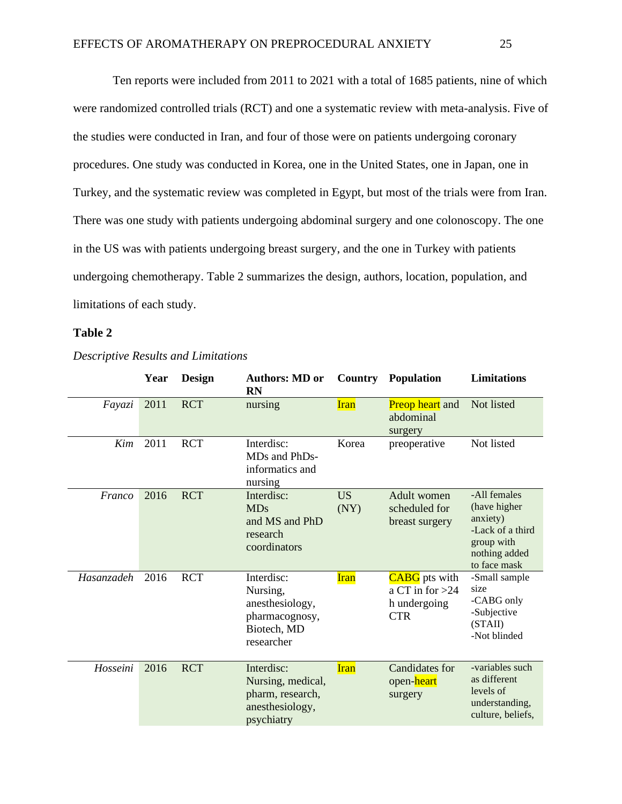Ten reports were included from 2011 to 2021 with a total of 1685 patients, nine of which were randomized controlled trials (RCT) and one a systematic review with meta-analysis. Five of the studies were conducted in Iran, and four of those were on patients undergoing coronary procedures. One study was conducted in Korea, one in the United States, one in Japan, one in Turkey, and the systematic review was completed in Egypt, but most of the trials were from Iran. There was one study with patients undergoing abdominal surgery and one colonoscopy. The one in the US was with patients undergoing breast surgery, and the one in Turkey with patients undergoing chemotherapy. Table 2 summarizes the design, authors, location, population, and limitations of each study.

### **Table 2**

|            | Year | <b>Design</b> | <b>Authors: MD or</b><br><b>RN</b>                                                       | <b>Country</b>    | Population                                                              | <b>Limitations</b>                                                                                          |
|------------|------|---------------|------------------------------------------------------------------------------------------|-------------------|-------------------------------------------------------------------------|-------------------------------------------------------------------------------------------------------------|
| Fayazi     | 2011 | <b>RCT</b>    | nursing                                                                                  | <b>Iran</b>       | <b>Preop heart</b> and<br>abdominal<br>surgery                          | Not listed                                                                                                  |
| Kim        | 2011 | <b>RCT</b>    | Interdisc:<br>MDs and PhDs-<br>informatics and<br>nursing                                | Korea             | preoperative                                                            | Not listed                                                                                                  |
| Franco     | 2016 | <b>RCT</b>    | Interdisc:<br><b>MDs</b><br>and MS and PhD<br>research<br>coordinators                   | <b>US</b><br>(NY) | Adult women<br>scheduled for<br>breast surgery                          | -All females<br>(have higher<br>anxiety)<br>-Lack of a third<br>group with<br>nothing added<br>to face mask |
| Hasanzadeh | 2016 | <b>RCT</b>    | Interdisc:<br>Nursing,<br>anesthesiology,<br>pharmacognosy,<br>Biotech, MD<br>researcher | <b>Iran</b>       | <b>CABG</b> pts with<br>a CT in for $>24$<br>h undergoing<br><b>CTR</b> | -Small sample<br>size<br>-CABG only<br>-Subjective<br>(STAll)<br>-Not blinded                               |
| Hosseini   | 2016 | <b>RCT</b>    | Interdisc:<br>Nursing, medical,<br>pharm, research,<br>anesthesiology,<br>psychiatry     | <b>Iran</b>       | <b>Candidates for</b><br>open-heart<br>surgery                          | -variables such<br>as different<br>levels of<br>understanding,<br>culture, beliefs,                         |

### *Descriptive Results and Limitations*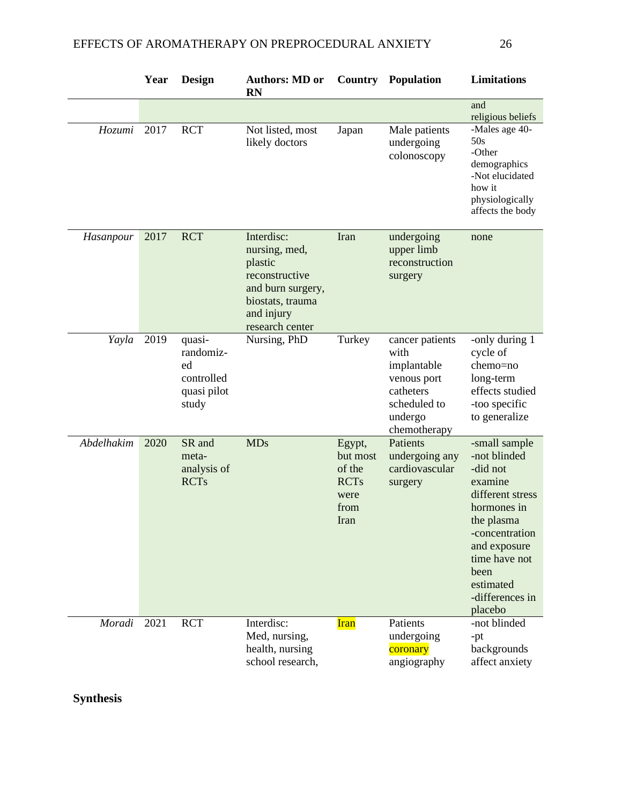|            | Year | Design                                                          | <b>Authors: MD or</b><br><b>RN</b>                                                                                                 |                                                                     | <b>Country Population</b>                                                                                     | Limitations                                                                                                                                                                                                 |
|------------|------|-----------------------------------------------------------------|------------------------------------------------------------------------------------------------------------------------------------|---------------------------------------------------------------------|---------------------------------------------------------------------------------------------------------------|-------------------------------------------------------------------------------------------------------------------------------------------------------------------------------------------------------------|
|            |      |                                                                 |                                                                                                                                    |                                                                     |                                                                                                               | and<br>religious beliefs                                                                                                                                                                                    |
| Hozumi     | 2017 | <b>RCT</b>                                                      | Not listed, most<br>likely doctors                                                                                                 | Japan                                                               | Male patients<br>undergoing<br>colonoscopy                                                                    | -Males age 40-<br>50s<br>-Other<br>demographics<br>-Not elucidated<br>how it<br>physiologically<br>affects the body                                                                                         |
| Hasanpour  | 2017 | <b>RCT</b>                                                      | Interdisc:<br>nursing, med,<br>plastic<br>reconstructive<br>and burn surgery,<br>biostats, trauma<br>and injury<br>research center | Iran                                                                | undergoing<br>upper limb<br>reconstruction<br>surgery                                                         | none                                                                                                                                                                                                        |
| Yayla      | 2019 | quasi-<br>randomiz-<br>ed<br>controlled<br>quasi pilot<br>study | Nursing, PhD                                                                                                                       | Turkey                                                              | cancer patients<br>with<br>implantable<br>venous port<br>catheters<br>scheduled to<br>undergo<br>chemotherapy | -only during 1<br>cycle of<br>chemo=no<br>long-term<br>effects studied<br>-too specific<br>to generalize                                                                                                    |
| Abdelhakim | 2020 | SR and<br>meta-<br>analysis of<br><b>RCTs</b>                   | <b>MDs</b>                                                                                                                         | Egypt,<br>but most<br>of the<br><b>RCTs</b><br>were<br>from<br>Iran | Patients<br>undergoing any<br>cardiovascular<br>surgery                                                       | -small sample<br>-not blinded<br>-did not<br>examine<br>different stress<br>hormones in<br>the plasma<br>-concentration<br>and exposure<br>time have not<br>been<br>estimated<br>-differences in<br>placebo |
| Moradi     | 2021 | <b>RCT</b>                                                      | Interdisc:<br>Med, nursing,<br>health, nursing<br>school research,                                                                 | <b>Iran</b>                                                         | Patients<br>undergoing<br>coronary<br>angiography                                                             | -not blinded<br>$-pt$<br>backgrounds<br>affect anxiety                                                                                                                                                      |

**Synthesis**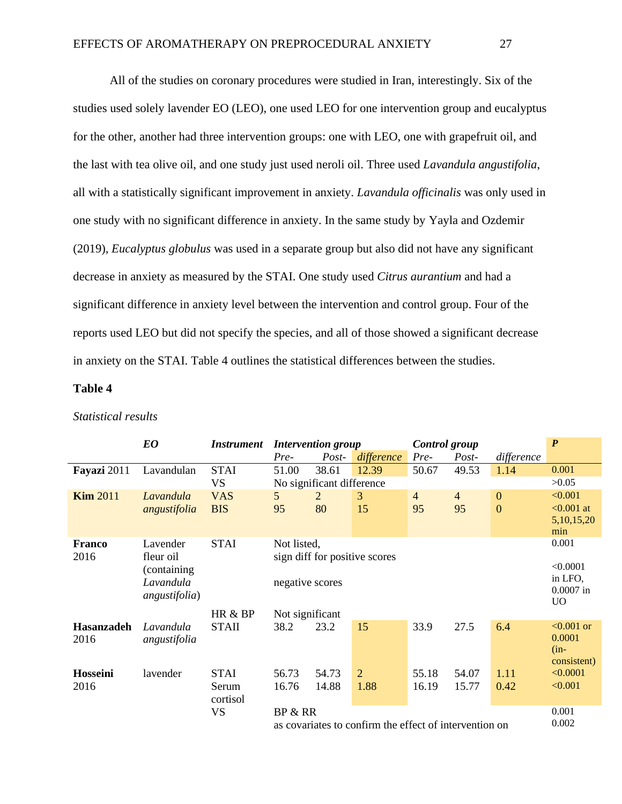All of the studies on coronary procedures were studied in Iran, interestingly. Six of the studies used solely lavender EO (LEO), one used LEO for one intervention group and eucalyptus for the other, another had three intervention groups: one with LEO, one with grapefruit oil, and the last with tea olive oil, and one study just used neroli oil. Three used *Lavandula angustifolia*, all with a statistically significant improvement in anxiety. *Lavandula officinalis* was only used in one study with no significant difference in anxiety. In the same study by Yayla and Ozdemir (2019), *Eucalyptus globulus* was used in a separate group but also did not have any significant decrease in anxiety as measured by the STAI. One study used *Citrus aurantium* and had a significant difference in anxiety level between the intervention and control group. Four of the reports used LEO but did not specify the species, and all of those showed a significant decrease in anxiety on the STAI. Table 4 outlines the statistical differences between the studies.

### **Table 4**

|                       | EO                                                 | <i>Instrument</i>        | <b>Intervention group</b> |                           | Control group                 |                      |                                                        | $\boldsymbol{P}$                   |                                                      |  |  |  |  |
|-----------------------|----------------------------------------------------|--------------------------|---------------------------|---------------------------|-------------------------------|----------------------|--------------------------------------------------------|------------------------------------|------------------------------------------------------|--|--|--|--|
|                       |                                                    |                          | Pre-                      | Post-                     | difference                    | Pre-                 | Post-                                                  | difference                         |                                                      |  |  |  |  |
| Fayazi 2011           | Lavandulan                                         | <b>STAI</b>              | 51.00                     | 38.61                     | 12.39                         | 50.67                | 49.53                                                  | 1.14                               | 0.001                                                |  |  |  |  |
|                       |                                                    | <b>VS</b>                |                           | No significant difference |                               |                      |                                                        |                                    | >0.05                                                |  |  |  |  |
| <b>Kim 2011</b>       | Lavandula<br>angustifolia                          | <b>VAS</b><br><b>BIS</b> | 5<br>95                   | 2<br>80                   | 3<br>15                       | $\overline{4}$<br>95 | $\overline{4}$<br>95                                   | $\boldsymbol{0}$<br>$\overline{0}$ | < 0.001<br>$< 0.001$ at                              |  |  |  |  |
|                       |                                                    |                          |                           |                           |                               |                      |                                                        |                                    | 5, 10, 15, 20<br>min                                 |  |  |  |  |
| <b>Franco</b><br>2016 | Lavender<br>fleur oil                              | <b>STAI</b>              | Not listed,               |                           | sign diff for positive scores |                      |                                                        |                                    | 0.001                                                |  |  |  |  |
|                       | (containing)<br>Lavandula<br><i>angustifolia</i> ) |                          | negative scores           |                           |                               |                      |                                                        |                                    | < 0.0001<br>in LFO,<br>$0.0007$ in<br>U <sub>O</sub> |  |  |  |  |
|                       |                                                    | HR & BP                  | Not significant           |                           |                               |                      |                                                        |                                    |                                                      |  |  |  |  |
| Hasanzadeh<br>2016    | Lavandula<br>angustifolia                          | <b>STAII</b>             | 38.2                      | 23.2                      | 15                            | 33.9                 | 27.5                                                   | 6.4                                | $<0.001$ or<br>0.0001<br>$(in-$<br>consistent)       |  |  |  |  |
| Hosseini              | lavender                                           | <b>STAI</b>              | 56.73                     | 54.73                     | 2                             | 55.18                | 54.07                                                  | 1.11                               | < 0.0001                                             |  |  |  |  |
| 2016                  |                                                    | Serum<br>cortisol        | 16.76                     | 14.88                     | 1.88                          | 16.19                | 15.77                                                  | 0.42                               | < 0.001                                              |  |  |  |  |
|                       |                                                    | <b>VS</b>                | BP & RR                   |                           |                               |                      |                                                        |                                    | 0.001                                                |  |  |  |  |
|                       |                                                    |                          |                           |                           |                               |                      | as covariates to confirm the effect of intervention on |                                    |                                                      |  |  |  |  |

### *Statistical results*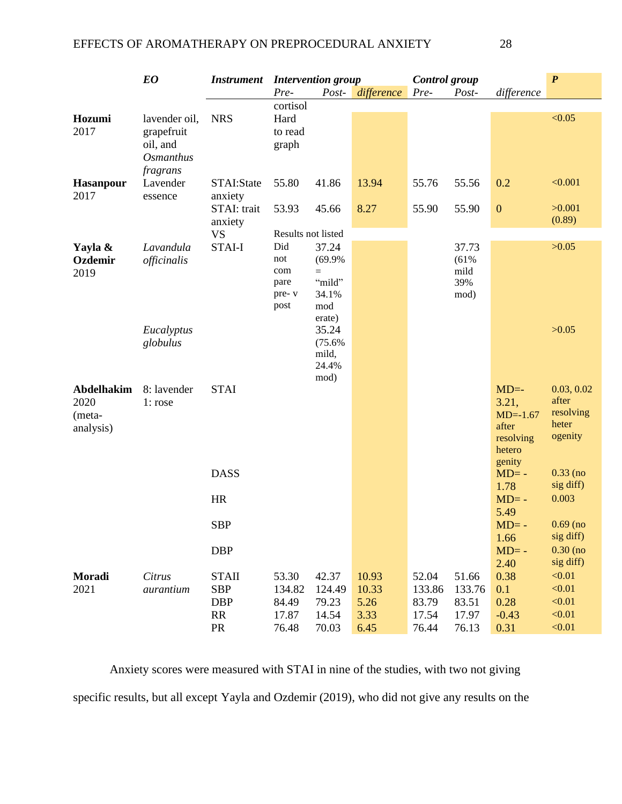|                   | <b>EO</b>        | <b>Instrument</b> |                    | <b>Intervention group</b> |                  | Control group |             |                     | $\boldsymbol{P}$   |
|-------------------|------------------|-------------------|--------------------|---------------------------|------------------|---------------|-------------|---------------------|--------------------|
|                   |                  |                   | Pre-               |                           | Post- difference | Pre-          | Post-       | difference          |                    |
|                   |                  |                   | cortisol           |                           |                  |               |             |                     |                    |
| Hozumi            | lavender oil,    | <b>NRS</b>        | Hard               |                           |                  |               |             |                     | < 0.05             |
| 2017              | grapefruit       |                   | to read            |                           |                  |               |             |                     |                    |
|                   | oil, and         |                   | graph              |                           |                  |               |             |                     |                    |
|                   | <b>Osmanthus</b> |                   |                    |                           |                  |               |             |                     |                    |
|                   | fragrans         |                   |                    |                           |                  |               |             |                     |                    |
| <b>Hasanpour</b>  | Lavender         | STAI:State        | 55.80              | 41.86                     | 13.94            | 55.76         | 55.56       | 0.2                 | < 0.001            |
| 2017              | essence          | anxiety           |                    |                           |                  |               |             |                     |                    |
|                   |                  | STAI: trait       | 53.93              | 45.66                     | 8.27             | 55.90         | 55.90       | $\boldsymbol{0}$    | >0.001             |
|                   |                  | anxiety           |                    |                           |                  |               |             |                     | (0.89)             |
|                   |                  | <b>VS</b>         | Results not listed |                           |                  |               |             |                     |                    |
| Yayla &           | Lavandula        | <b>STAI-I</b>     | Did                | 37.24                     |                  |               | 37.73       |                     | >0.05              |
| Ozdemir           | officinalis      |                   | not                | (69.9%                    |                  |               | (61%        |                     |                    |
| 2019              |                  |                   | com                | $=$                       |                  |               | mild        |                     |                    |
|                   |                  |                   | pare<br>pre-v      | "mild"<br>34.1%           |                  |               | 39%<br>mod) |                     |                    |
|                   |                  |                   | post               | mod                       |                  |               |             |                     |                    |
|                   |                  |                   |                    | erate)                    |                  |               |             |                     |                    |
|                   | Eucalyptus       |                   |                    | 35.24                     |                  |               |             |                     | >0.05              |
|                   | globulus         |                   |                    | (75.6%                    |                  |               |             |                     |                    |
|                   |                  |                   |                    | mild,                     |                  |               |             |                     |                    |
|                   |                  |                   |                    | 24.4%                     |                  |               |             |                     |                    |
|                   |                  |                   |                    | mod)                      |                  |               |             |                     |                    |
| <b>Abdelhakim</b> | 8: lavender      | <b>STAI</b>       |                    |                           |                  |               |             | $MD=$               | 0.03, 0.02         |
| 2020              | 1: rose          |                   |                    |                           |                  |               |             | 3.21,               | after<br>resolving |
| (meta-            |                  |                   |                    |                           |                  |               |             | $MD=-1.67$<br>after | heter              |
| analysis)         |                  |                   |                    |                           |                  |               |             | resolving           | ogenity            |
|                   |                  |                   |                    |                           |                  |               |             | hetero              |                    |
|                   |                  |                   |                    |                           |                  |               |             | genity              |                    |
|                   |                  | <b>DASS</b>       |                    |                           |                  |               |             | $MD=$ -             | $0.33$ (no         |
|                   |                  |                   |                    |                           |                  |               |             | 1.78                | sig diff)          |
|                   |                  | <b>HR</b>         |                    |                           |                  |               |             | $MD=$ -             | 0.003              |
|                   |                  |                   |                    |                           |                  |               |             | 5.49                |                    |
|                   |                  | <b>SBP</b>        |                    |                           |                  |               |             | $MD=$ -             | $0.69$ (no         |
|                   |                  |                   |                    |                           |                  |               |             | 1.66                | sig diff)          |
|                   |                  | <b>DBP</b>        |                    |                           |                  |               |             | $MD=$ -             | $0.30$ (no         |
|                   |                  |                   |                    |                           |                  |               |             | 2.40                | sig diff)          |
| Moradi            | Citrus           | <b>STAII</b>      | 53.30              | 42.37                     | 10.93            | 52.04         | 51.66       | 0.38                | < 0.01             |
| 2021              | aurantium        | <b>SBP</b>        | 134.82             | 124.49                    | 10.33            | 133.86        | 133.76      | 0.1                 | < 0.01             |
|                   |                  | <b>DBP</b>        | 84.49              | 79.23                     | 5.26             | 83.79         | 83.51       | 0.28                | < 0.01             |
|                   |                  | RR                | 17.87              | 14.54                     | 3.33             | 17.54         | 17.97       | $-0.43$             | < 0.01             |
|                   |                  | PR                | 76.48              | 70.03                     | 6.45             | 76.44         | 76.13       | 0.31                | < 0.01             |

Anxiety scores were measured with STAI in nine of the studies, with two not giving specific results, but all except Yayla and Ozdemir (2019), who did not give any results on the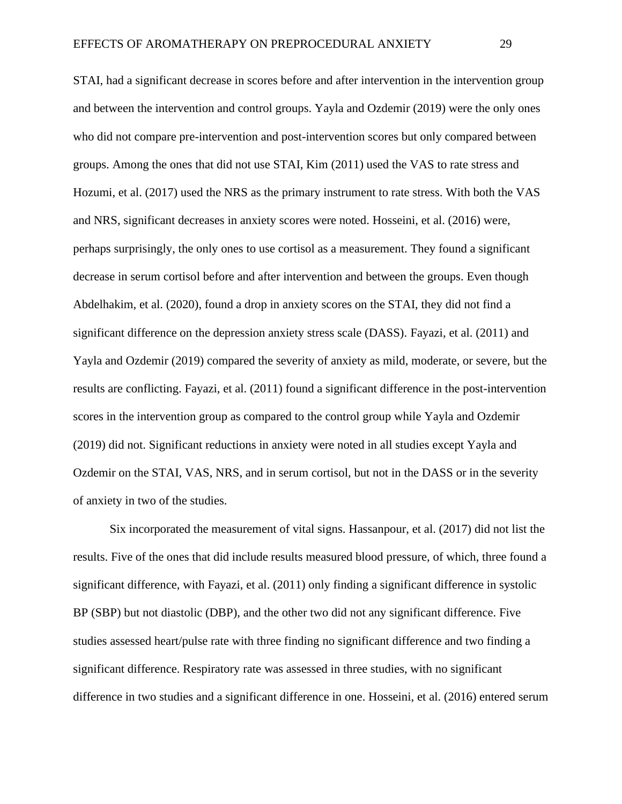STAI, had a significant decrease in scores before and after intervention in the intervention group and between the intervention and control groups. Yayla and Ozdemir (2019) were the only ones who did not compare pre-intervention and post-intervention scores but only compared between groups. Among the ones that did not use STAI, Kim (2011) used the VAS to rate stress and Hozumi, et al. (2017) used the NRS as the primary instrument to rate stress. With both the VAS and NRS, significant decreases in anxiety scores were noted. Hosseini, et al. (2016) were, perhaps surprisingly, the only ones to use cortisol as a measurement. They found a significant decrease in serum cortisol before and after intervention and between the groups. Even though Abdelhakim, et al. (2020), found a drop in anxiety scores on the STAI, they did not find a significant difference on the depression anxiety stress scale (DASS). Fayazi, et al. (2011) and Yayla and Ozdemir (2019) compared the severity of anxiety as mild, moderate, or severe, but the results are conflicting. Fayazi, et al. (2011) found a significant difference in the post-intervention scores in the intervention group as compared to the control group while Yayla and Ozdemir (2019) did not. Significant reductions in anxiety were noted in all studies except Yayla and Ozdemir on the STAI, VAS, NRS, and in serum cortisol, but not in the DASS or in the severity of anxiety in two of the studies.

Six incorporated the measurement of vital signs. Hassanpour, et al. (2017) did not list the results. Five of the ones that did include results measured blood pressure, of which, three found a significant difference, with Fayazi, et al. (2011) only finding a significant difference in systolic BP (SBP) but not diastolic (DBP), and the other two did not any significant difference. Five studies assessed heart/pulse rate with three finding no significant difference and two finding a significant difference. Respiratory rate was assessed in three studies, with no significant difference in two studies and a significant difference in one. Hosseini, et al. (2016) entered serum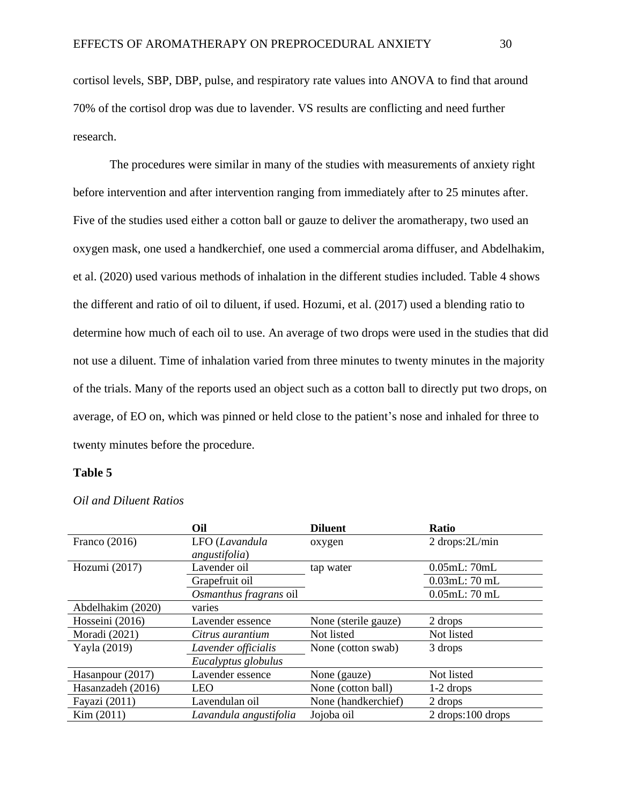cortisol levels, SBP, DBP, pulse, and respiratory rate values into ANOVA to find that around 70% of the cortisol drop was due to lavender. VS results are conflicting and need further research.

The procedures were similar in many of the studies with measurements of anxiety right before intervention and after intervention ranging from immediately after to 25 minutes after. Five of the studies used either a cotton ball or gauze to deliver the aromatherapy, two used an oxygen mask, one used a handkerchief, one used a commercial aroma diffuser, and Abdelhakim, et al. (2020) used various methods of inhalation in the different studies included. Table 4 shows the different and ratio of oil to diluent, if used. Hozumi, et al. (2017) used a blending ratio to determine how much of each oil to use. An average of two drops were used in the studies that did not use a diluent. Time of inhalation varied from three minutes to twenty minutes in the majority of the trials. Many of the reports used an object such as a cotton ball to directly put two drops, on average, of EO on, which was pinned or held close to the patient's nose and inhaled for three to twenty minutes before the procedure.

#### **Table 5**

|                   | Oil                    | <b>Diluent</b>       | <b>Ratio</b>         |
|-------------------|------------------------|----------------------|----------------------|
| Franco $(2016)$   | LFO (Lavandula         | oxygen               | $2$ drops: $2L/min$  |
|                   | <i>angustifolia</i> )  |                      |                      |
| Hozumi (2017)     | Lavender oil           | tap water            | 0.05mL:70mL          |
|                   | Grapefruit oil         |                      | $0.03$ mL: $70$ mL   |
|                   | Osmanthus fragrans oil |                      | $0.05$ mL: $70$ mL   |
| Abdelhakim (2020) | varies                 |                      |                      |
| Hosseini (2016)   | Lavender essence       | None (sterile gauze) | 2 drops              |
| Moradi (2021)     | Citrus aurantium       | Not listed           | Not listed           |
| Yayla (2019)      | Lavender officialis    | None (cotton swab)   | 3 drops              |
|                   | Eucalyptus globulus    |                      |                      |
| Hasanpour (2017)  | Lavender essence       | None (gauze)         | Not listed           |
| Hasanzadeh (2016) | LEO                    | None (cotton ball)   | $1-2$ drops          |
| Fayazi (2011)     | Lavendulan oil         | None (handkerchief)  | 2 drops              |
| Kim (2011)        | Lavandula angustifolia | Jojoba oil           | $2$ drops: 100 drops |

*Oil and Diluent Ratios*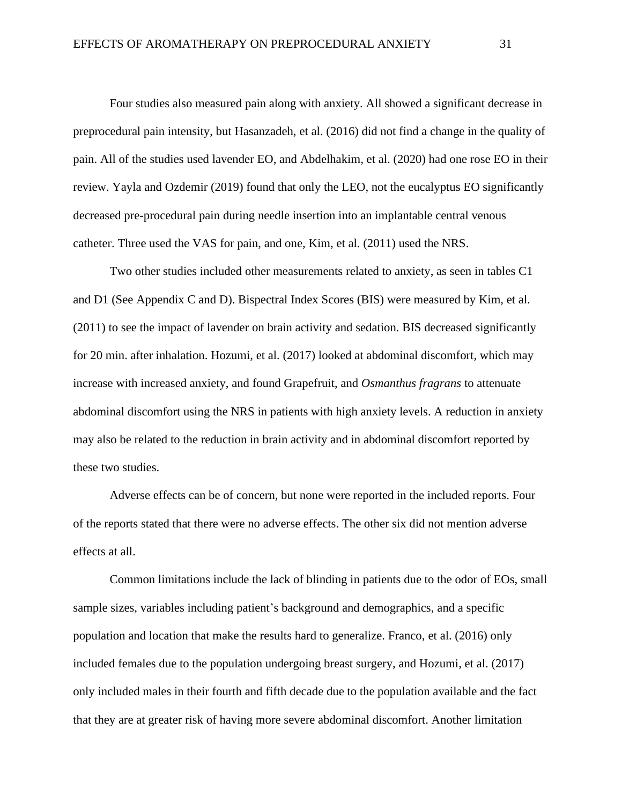Four studies also measured pain along with anxiety. All showed a significant decrease in preprocedural pain intensity, but Hasanzadeh, et al. (2016) did not find a change in the quality of pain. All of the studies used lavender EO, and Abdelhakim, et al. (2020) had one rose EO in their review. Yayla and Ozdemir (2019) found that only the LEO, not the eucalyptus EO significantly decreased pre-procedural pain during needle insertion into an implantable central venous catheter. Three used the VAS for pain, and one, Kim, et al. (2011) used the NRS.

Two other studies included other measurements related to anxiety, as seen in tables C1 and D1 (See Appendix C and D). Bispectral Index Scores (BIS) were measured by Kim, et al. (2011) to see the impact of lavender on brain activity and sedation. BIS decreased significantly for 20 min. after inhalation. Hozumi, et al. (2017) looked at abdominal discomfort, which may increase with increased anxiety, and found Grapefruit, and *Osmanthus fragrans* to attenuate abdominal discomfort using the NRS in patients with high anxiety levels. A reduction in anxiety may also be related to the reduction in brain activity and in abdominal discomfort reported by these two studies.

Adverse effects can be of concern, but none were reported in the included reports. Four of the reports stated that there were no adverse effects. The other six did not mention adverse effects at all.

Common limitations include the lack of blinding in patients due to the odor of EOs, small sample sizes, variables including patient's background and demographics, and a specific population and location that make the results hard to generalize. Franco, et al. (2016) only included females due to the population undergoing breast surgery, and Hozumi, et al. (2017) only included males in their fourth and fifth decade due to the population available and the fact that they are at greater risk of having more severe abdominal discomfort. Another limitation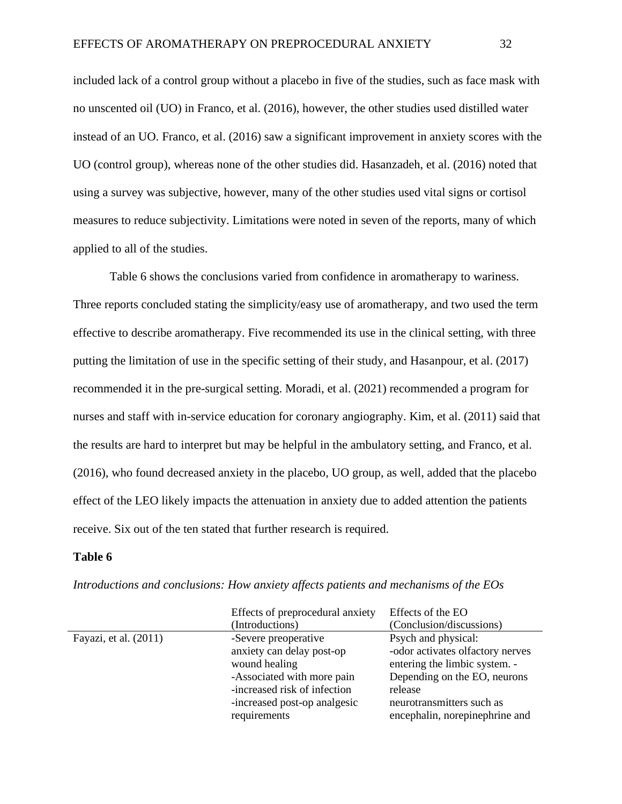included lack of a control group without a placebo in five of the studies, such as face mask with no unscented oil (UO) in Franco, et al. (2016), however, the other studies used distilled water instead of an UO. Franco, et al. (2016) saw a significant improvement in anxiety scores with the UO (control group), whereas none of the other studies did. Hasanzadeh, et al. (2016) noted that using a survey was subjective, however, many of the other studies used vital signs or cortisol measures to reduce subjectivity. Limitations were noted in seven of the reports, many of which applied to all of the studies.

Table 6 shows the conclusions varied from confidence in aromatherapy to wariness. Three reports concluded stating the simplicity/easy use of aromatherapy, and two used the term effective to describe aromatherapy. Five recommended its use in the clinical setting, with three putting the limitation of use in the specific setting of their study, and Hasanpour, et al. (2017) recommended it in the pre-surgical setting. Moradi, et al. (2021) recommended a program for nurses and staff with in-service education for coronary angiography. Kim, et al. (2011) said that the results are hard to interpret but may be helpful in the ambulatory setting, and Franco, et al. (2016), who found decreased anxiety in the placebo, UO group, as well, added that the placebo effect of the LEO likely impacts the attenuation in anxiety due to added attention the patients receive. Six out of the ten stated that further research is required.

#### **Table 6**

| Effects of preprocedural anxiety             | Effects of the EO                                           |
|----------------------------------------------|-------------------------------------------------------------|
| (Introductions)                              | (Conclusion/discussions)                                    |
| -Severe preoperative                         | Psych and physical:                                         |
| anxiety can delay post-op                    | -odor activates olfactory nerves                            |
| wound healing                                | entering the limbic system. -                               |
| -Associated with more pain                   | Depending on the EO, neurons                                |
| -increased risk of infection                 | release                                                     |
| -increased post-op analgesic<br>requirements | neurotransmitters such as<br>encephalin, norepinephrine and |
|                                              |                                                             |

*Introductions and conclusions: How anxiety affects patients and mechanisms of the EOs*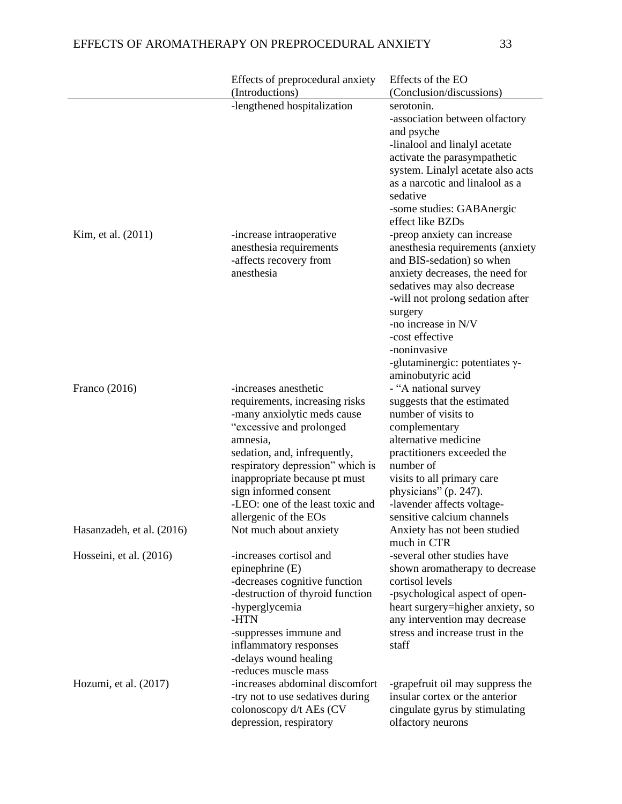|                           | Effects of preprocedural anxiety                                                                                                                                                                                                                                                                                          | Effects of the EO                                                                                                                                                                                                                                                                                                                      |
|---------------------------|---------------------------------------------------------------------------------------------------------------------------------------------------------------------------------------------------------------------------------------------------------------------------------------------------------------------------|----------------------------------------------------------------------------------------------------------------------------------------------------------------------------------------------------------------------------------------------------------------------------------------------------------------------------------------|
|                           | (Introductions)                                                                                                                                                                                                                                                                                                           | (Conclusion/discussions)                                                                                                                                                                                                                                                                                                               |
|                           | -lengthened hospitalization                                                                                                                                                                                                                                                                                               | serotonin.<br>-association between olfactory<br>and psyche<br>-linalool and linalyl acetate<br>activate the parasympathetic<br>system. Linalyl acetate also acts<br>as a narcotic and linalool as a<br>sedative<br>-some studies: GABAnergic<br>effect like BZDs                                                                       |
| Kim, et al. (2011)        | -increase intraoperative<br>anesthesia requirements<br>-affects recovery from<br>anesthesia                                                                                                                                                                                                                               | -preop anxiety can increase<br>anesthesia requirements (anxiety<br>and BIS-sedation) so when<br>anxiety decreases, the need for<br>sedatives may also decrease<br>-will not prolong sedation after<br>surgery<br>-no increase in N/V<br>-cost effective<br>-noninvasive<br>-glutaminergic: potentiates $\gamma$ -<br>aminobutyric acid |
| Franco $(2016)$           | -increases anesthetic<br>requirements, increasing risks<br>-many anxiolytic meds cause<br>"excessive and prolonged<br>amnesia,<br>sedation, and, infrequently,<br>respiratory depression" which is<br>inappropriate because pt must<br>sign informed consent<br>-LEO: one of the least toxic and<br>allergenic of the EOs | - "A national survey<br>suggests that the estimated<br>number of visits to<br>complementary<br>alternative medicine<br>practitioners exceeded the<br>number of<br>visits to all primary care<br>physicians" (p. 247).<br>-lavender affects voltage-<br>sensitive calcium channels                                                      |
| Hasanzadeh, et al. (2016) | Not much about anxiety                                                                                                                                                                                                                                                                                                    | Anxiety has not been studied<br>much in CTR                                                                                                                                                                                                                                                                                            |
| Hosseini, et al. (2016)   | -increases cortisol and<br>epinephrine (E)<br>-decreases cognitive function<br>-destruction of thyroid function<br>-hyperglycemia<br>-HTN<br>-suppresses immune and<br>inflammatory responses<br>-delays wound healing<br>-reduces muscle mass                                                                            | -several other studies have<br>shown aromatherapy to decrease<br>cortisol levels<br>-psychological aspect of open-<br>heart surgery=higher anxiety, so<br>any intervention may decrease<br>stress and increase trust in the<br>staff                                                                                                   |
| Hozumi, et al. $(2017)$   | -increases abdominal discomfort<br>-try not to use sedatives during<br>colonoscopy d/t AEs (CV<br>depression, respiratory                                                                                                                                                                                                 | -grapefruit oil may suppress the<br>insular cortex or the anterior<br>cingulate gyrus by stimulating<br>olfactory neurons                                                                                                                                                                                                              |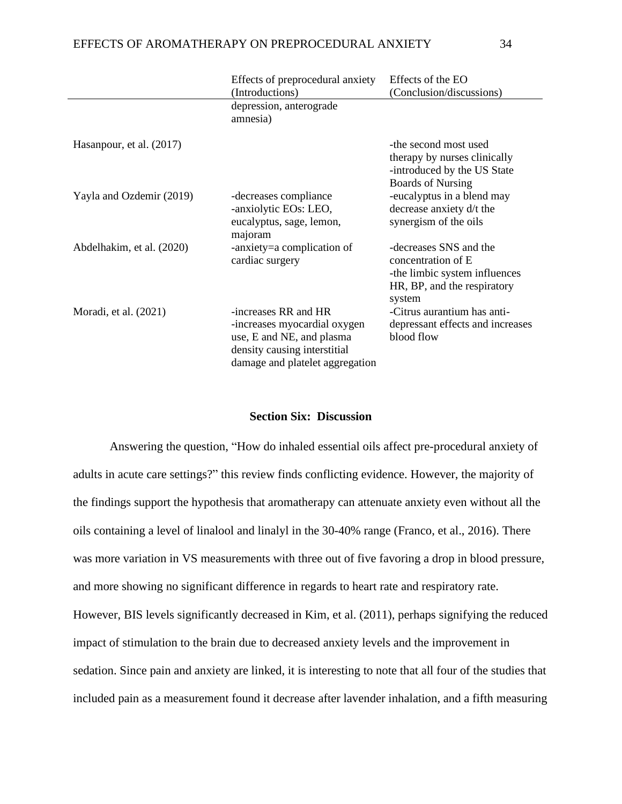|                           | Effects of preprocedural anxiety<br>(Introductions)                                                                                                      | Effects of the EO<br>(Conclusion/discussions)                                                                          |
|---------------------------|----------------------------------------------------------------------------------------------------------------------------------------------------------|------------------------------------------------------------------------------------------------------------------------|
|                           | depression, anterograde<br>amnesia)                                                                                                                      |                                                                                                                        |
| Hasanpour, et al. (2017)  |                                                                                                                                                          | -the second most used<br>therapy by nurses clinically<br>-introduced by the US State<br><b>Boards of Nursing</b>       |
| Yayla and Ozdemir (2019)  | -decreases compliance<br>-anxiolytic EOs: LEO,<br>eucalyptus, sage, lemon,<br>majoram                                                                    | -eucalyptus in a blend may<br>decrease anxiety d/t the<br>synergism of the oils                                        |
| Abdelhakim, et al. (2020) | -anxiety=a complication of<br>cardiac surgery                                                                                                            | -decreases SNS and the<br>concentration of E<br>-the limbic system influences<br>HR, BP, and the respiratory<br>system |
| Moradi, et al. (2021)     | -increases $RR$ and $HR$<br>-increases myocardial oxygen<br>use, E and NE, and plasma<br>density causing interstitial<br>damage and platelet aggregation | -Citrus aurantium has anti-<br>depressant effects and increases<br>blood flow                                          |

### **Section Six: Discussion**

Answering the question, "How do inhaled essential oils affect pre-procedural anxiety of adults in acute care settings?" this review finds conflicting evidence. However, the majority of the findings support the hypothesis that aromatherapy can attenuate anxiety even without all the oils containing a level of linalool and linalyl in the 30-40% range (Franco, et al., 2016). There was more variation in VS measurements with three out of five favoring a drop in blood pressure, and more showing no significant difference in regards to heart rate and respiratory rate. However, BIS levels significantly decreased in Kim, et al. (2011), perhaps signifying the reduced impact of stimulation to the brain due to decreased anxiety levels and the improvement in sedation. Since pain and anxiety are linked, it is interesting to note that all four of the studies that included pain as a measurement found it decrease after lavender inhalation, and a fifth measuring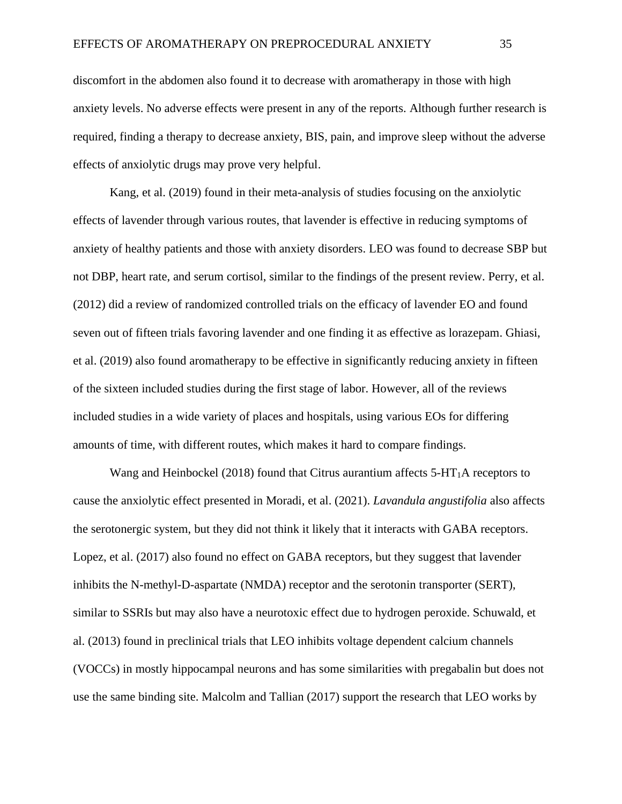discomfort in the abdomen also found it to decrease with aromatherapy in those with high anxiety levels. No adverse effects were present in any of the reports. Although further research is required, finding a therapy to decrease anxiety, BIS, pain, and improve sleep without the adverse effects of anxiolytic drugs may prove very helpful.

Kang, et al. (2019) found in their meta-analysis of studies focusing on the anxiolytic effects of lavender through various routes, that lavender is effective in reducing symptoms of anxiety of healthy patients and those with anxiety disorders. LEO was found to decrease SBP but not DBP, heart rate, and serum cortisol, similar to the findings of the present review. Perry, et al. (2012) did a review of randomized controlled trials on the efficacy of lavender EO and found seven out of fifteen trials favoring lavender and one finding it as effective as lorazepam. Ghiasi, et al. (2019) also found aromatherapy to be effective in significantly reducing anxiety in fifteen of the sixteen included studies during the first stage of labor. However, all of the reviews included studies in a wide variety of places and hospitals, using various EOs for differing amounts of time, with different routes, which makes it hard to compare findings.

Wang and Heinbockel (2018) found that Citrus aurantium affects  $5-HT_1A$  receptors to cause the anxiolytic effect presented in Moradi, et al. (2021). *Lavandula angustifolia* also affects the serotonergic system, but they did not think it likely that it interacts with GABA receptors. Lopez, et al. (2017) also found no effect on GABA receptors, but they suggest that lavender inhibits the N-methyl-D-aspartate (NMDA) receptor and the serotonin transporter (SERT), similar to SSRIs but may also have a neurotoxic effect due to hydrogen peroxide. Schuwald, et al. (2013) found in preclinical trials that LEO inhibits voltage dependent calcium channels (VOCCs) in mostly hippocampal neurons and has some similarities with pregabalin but does not use the same binding site. Malcolm and Tallian (2017) support the research that LEO works by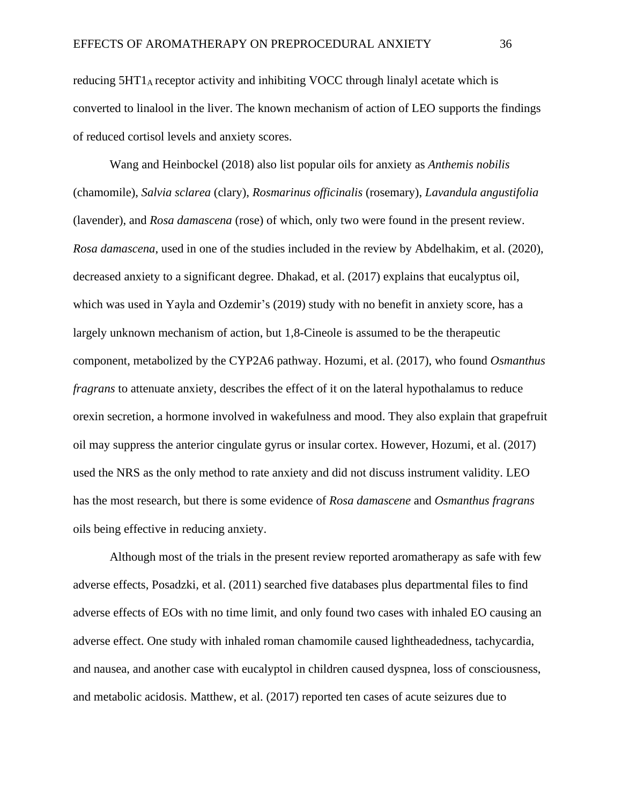reducing 5HT1A receptor activity and inhibiting VOCC through linalyl acetate which is converted to linalool in the liver. The known mechanism of action of LEO supports the findings of reduced cortisol levels and anxiety scores.

Wang and Heinbockel (2018) also list popular oils for anxiety as *Anthemis nobilis* (chamomile), *Salvia sclarea* (clary), *Rosmarinus officinalis* (rosemary), *Lavandula angustifolia* (lavender), and *Rosa damascena* (rose) of which, only two were found in the present review. *Rosa damascena*, used in one of the studies included in the review by Abdelhakim, et al. (2020), decreased anxiety to a significant degree. Dhakad, et al. (2017) explains that eucalyptus oil, which was used in Yayla and Ozdemir's (2019) study with no benefit in anxiety score, has a largely unknown mechanism of action, but 1,8-Cineole is assumed to be the therapeutic component, metabolized by the CYP2A6 pathway. Hozumi, et al. (2017), who found *Osmanthus fragrans* to attenuate anxiety, describes the effect of it on the lateral hypothalamus to reduce orexin secretion, a hormone involved in wakefulness and mood. They also explain that grapefruit oil may suppress the anterior cingulate gyrus or insular cortex. However, Hozumi, et al. (2017) used the NRS as the only method to rate anxiety and did not discuss instrument validity. LEO has the most research, but there is some evidence of *Rosa damascene* and *Osmanthus fragrans* oils being effective in reducing anxiety.

Although most of the trials in the present review reported aromatherapy as safe with few adverse effects, Posadzki, et al. (2011) searched five databases plus departmental files to find adverse effects of EOs with no time limit, and only found two cases with inhaled EO causing an adverse effect. One study with inhaled roman chamomile caused lightheadedness, tachycardia, and nausea, and another case with eucalyptol in children caused dyspnea, loss of consciousness, and metabolic acidosis. Matthew, et al. (2017) reported ten cases of acute seizures due to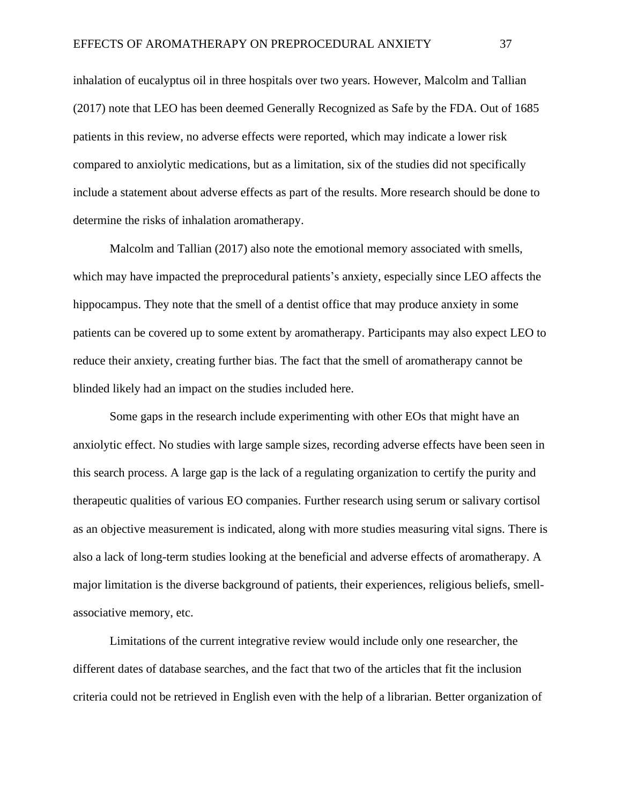inhalation of eucalyptus oil in three hospitals over two years. However, Malcolm and Tallian (2017) note that LEO has been deemed Generally Recognized as Safe by the FDA. Out of 1685 patients in this review, no adverse effects were reported, which may indicate a lower risk compared to anxiolytic medications, but as a limitation, six of the studies did not specifically include a statement about adverse effects as part of the results. More research should be done to determine the risks of inhalation aromatherapy.

Malcolm and Tallian (2017) also note the emotional memory associated with smells, which may have impacted the preprocedural patients's anxiety, especially since LEO affects the hippocampus. They note that the smell of a dentist office that may produce anxiety in some patients can be covered up to some extent by aromatherapy. Participants may also expect LEO to reduce their anxiety, creating further bias. The fact that the smell of aromatherapy cannot be blinded likely had an impact on the studies included here.

Some gaps in the research include experimenting with other EOs that might have an anxiolytic effect. No studies with large sample sizes, recording adverse effects have been seen in this search process. A large gap is the lack of a regulating organization to certify the purity and therapeutic qualities of various EO companies. Further research using serum or salivary cortisol as an objective measurement is indicated, along with more studies measuring vital signs. There is also a lack of long-term studies looking at the beneficial and adverse effects of aromatherapy. A major limitation is the diverse background of patients, their experiences, religious beliefs, smellassociative memory, etc.

Limitations of the current integrative review would include only one researcher, the different dates of database searches, and the fact that two of the articles that fit the inclusion criteria could not be retrieved in English even with the help of a librarian. Better organization of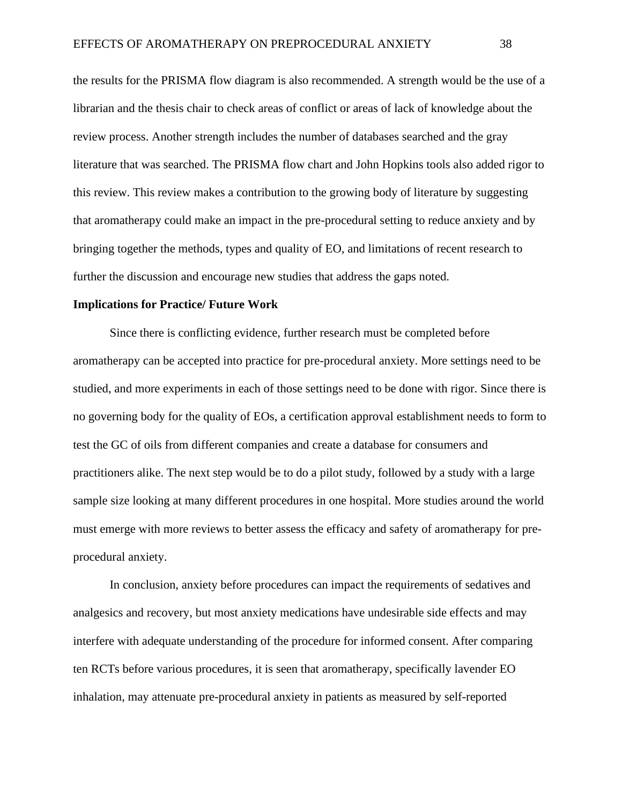the results for the PRISMA flow diagram is also recommended. A strength would be the use of a librarian and the thesis chair to check areas of conflict or areas of lack of knowledge about the review process. Another strength includes the number of databases searched and the gray literature that was searched. The PRISMA flow chart and John Hopkins tools also added rigor to this review. This review makes a contribution to the growing body of literature by suggesting that aromatherapy could make an impact in the pre-procedural setting to reduce anxiety and by bringing together the methods, types and quality of EO, and limitations of recent research to further the discussion and encourage new studies that address the gaps noted.

#### **Implications for Practice/ Future Work**

Since there is conflicting evidence, further research must be completed before aromatherapy can be accepted into practice for pre-procedural anxiety. More settings need to be studied, and more experiments in each of those settings need to be done with rigor. Since there is no governing body for the quality of EOs, a certification approval establishment needs to form to test the GC of oils from different companies and create a database for consumers and practitioners alike. The next step would be to do a pilot study, followed by a study with a large sample size looking at many different procedures in one hospital. More studies around the world must emerge with more reviews to better assess the efficacy and safety of aromatherapy for preprocedural anxiety.

In conclusion, anxiety before procedures can impact the requirements of sedatives and analgesics and recovery, but most anxiety medications have undesirable side effects and may interfere with adequate understanding of the procedure for informed consent. After comparing ten RCTs before various procedures, it is seen that aromatherapy, specifically lavender EO inhalation, may attenuate pre-procedural anxiety in patients as measured by self-reported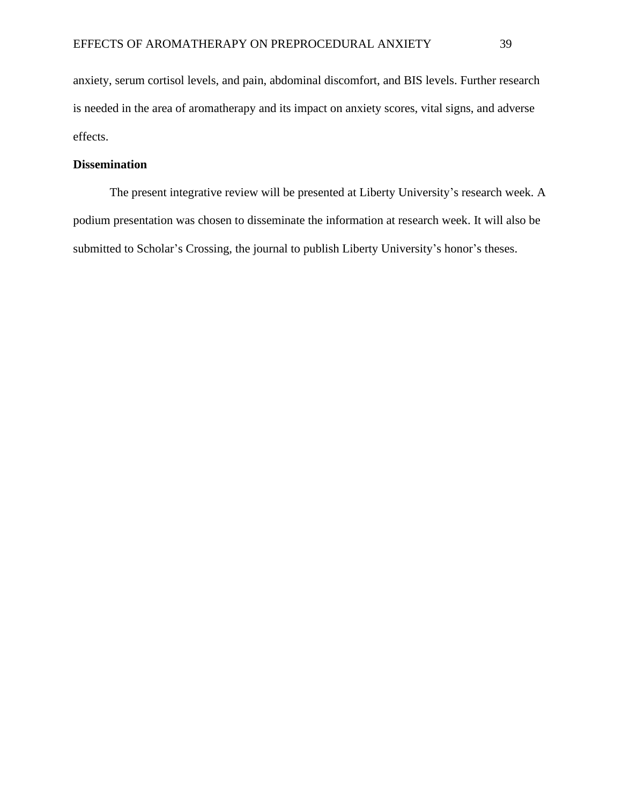anxiety, serum cortisol levels, and pain, abdominal discomfort, and BIS levels. Further research is needed in the area of aromatherapy and its impact on anxiety scores, vital signs, and adverse effects.

### **Dissemination**

The present integrative review will be presented at Liberty University's research week. A podium presentation was chosen to disseminate the information at research week. It will also be submitted to Scholar's Crossing, the journal to publish Liberty University's honor's theses.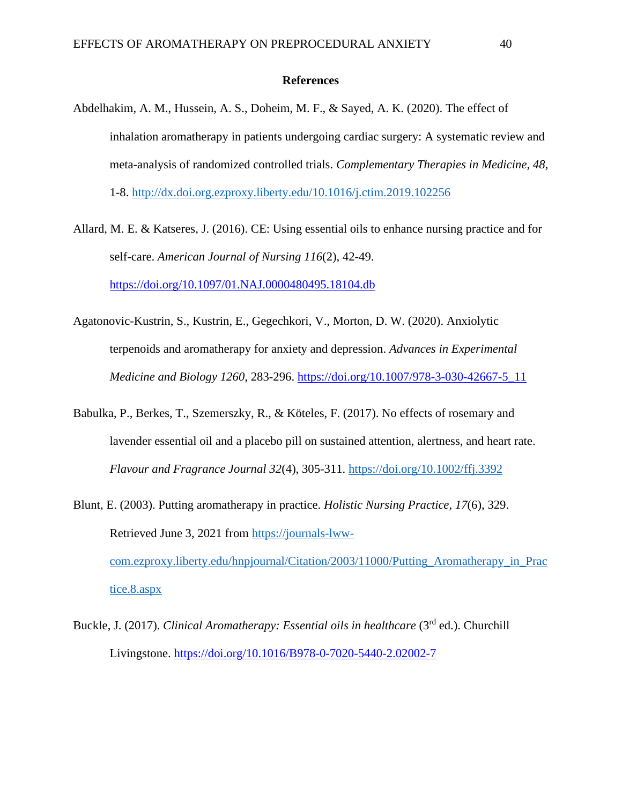#### **References**

Abdelhakim, A. M., Hussein, A. S., Doheim, M. F., & Sayed, A. K. (2020). The effect of inhalation aromatherapy in patients undergoing cardiac surgery: A systematic review and meta-analysis of randomized controlled trials. *Complementary Therapies in Medicine, 48*, 1-8.<http://dx.doi.org.ezproxy.liberty.edu/10.1016/j.ctim.2019.102256>

Allard, M. E. & Katseres, J. (2016). CE: Using essential oils to enhance nursing practice and for self-care. *American Journal of Nursing 116*(2), 42-49. <https://doi.org/10.1097/01.NAJ.0000480495.18104.db>

- Agatonovic-Kustrin, S., Kustrin, E., Gegechkori, V., Morton, D. W. (2020). Anxiolytic terpenoids and aromatherapy for anxiety and depression. *Advances in Experimental Medicine and Biology 1260*, 283-296. [https://doi.org/10.1007/978-3-030-42667-5\\_11](https://doi.org/10.1007/978-3-030-42667-5_11)
- Babulka, P., Berkes, T., Szemerszky, R., & Köteles, F. (2017). No effects of rosemary and lavender essential oil and a placebo pill on sustained attention, alertness, and heart rate. *Flavour and Fragrance Journal 32*(4), 305-311.<https://doi.org/10.1002/ffj.3392>
- Blunt, E. (2003). Putting aromatherapy in practice. *Holistic Nursing Practice, 17*(6), 329. Retrieved June 3, 2021 from [https://journals-lww](https://journals-lww-com.ezproxy.liberty.edu/hnpjournal/Citation/2003/11000/Putting_Aromatherapy_in_Practice.8.aspx)[com.ezproxy.liberty.edu/hnpjournal/Citation/2003/11000/Putting\\_Aromatherapy\\_in\\_Prac](https://journals-lww-com.ezproxy.liberty.edu/hnpjournal/Citation/2003/11000/Putting_Aromatherapy_in_Practice.8.aspx) [tice.8.aspx](https://journals-lww-com.ezproxy.liberty.edu/hnpjournal/Citation/2003/11000/Putting_Aromatherapy_in_Practice.8.aspx)
- Buckle, J. (2017). *Clinical Aromatherapy: Essential oils in healthcare* (3<sup>rd</sup> ed.). Churchill Livingstone. <https://doi.org/10.1016/B978-0-7020-5440-2.02002-7>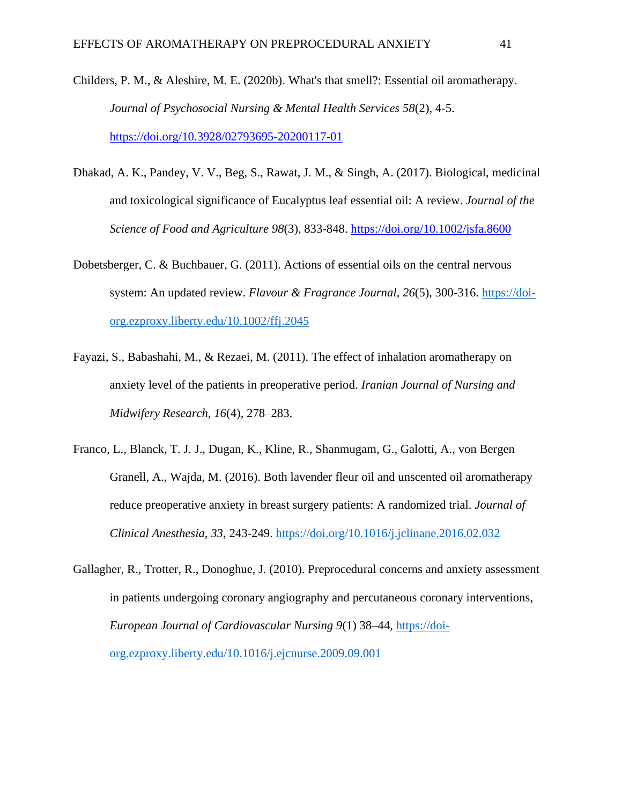- Childers, P. M., & Aleshire, M. E. (2020b). What's that smell?: Essential oil aromatherapy. *Journal of Psychosocial Nursing & Mental Health Services 58*(2), 4-5. <https://doi.org/10.3928/02793695-20200117-01>
- Dhakad, A. K., Pandey, V. V., Beg, S., Rawat, J. M., & Singh, A. (2017). Biological, medicinal and toxicological significance of Eucalyptus leaf essential oil: A review. *Journal of the Science of Food and Agriculture 98*(3), 833-848.<https://doi.org/10.1002/jsfa.8600>
- Dobetsberger, C. & Buchbauer, G. (2011). Actions of essential oils on the central nervous system: An updated review. *Flavour & Fragrance Journal, 26*(5), 300-316. [https://doi](https://doi-org.ezproxy.liberty.edu/10.1002/ffj.2045)[org.ezproxy.liberty.edu/10.1002/ffj.2045](https://doi-org.ezproxy.liberty.edu/10.1002/ffj.2045)
- Fayazi, S., Babashahi, M., & Rezaei, M. (2011). The effect of inhalation aromatherapy on anxiety level of the patients in preoperative period. *Iranian Journal of Nursing and Midwifery Research, 16*(4), 278–283.
- Franco, L., Blanck, T. J. J., Dugan, K., Kline, R., Shanmugam, G., Galotti, A., von Bergen Granell, A., Wajda, M. (2016). Both lavender fleur oil and unscented oil aromatherapy reduce preoperative anxiety in breast surgery patients: A randomized trial. *Journal of Clinical Anesthesia, 33*, 243-249.<https://doi.org/10.1016/j.jclinane.2016.02.032>
- Gallagher, R., Trotter, R., Donoghue, J. (2010). Preprocedural concerns and anxiety assessment in patients undergoing coronary angiography and percutaneous coronary interventions, *European Journal of Cardiovascular Nursing 9*(1) 38–44, [https://doi](https://doi-org.ezproxy.liberty.edu/10.1016/j.ejcnurse.2009.09.001)[org.ezproxy.liberty.edu/10.1016/j.ejcnurse.2009.09.001](https://doi-org.ezproxy.liberty.edu/10.1016/j.ejcnurse.2009.09.001)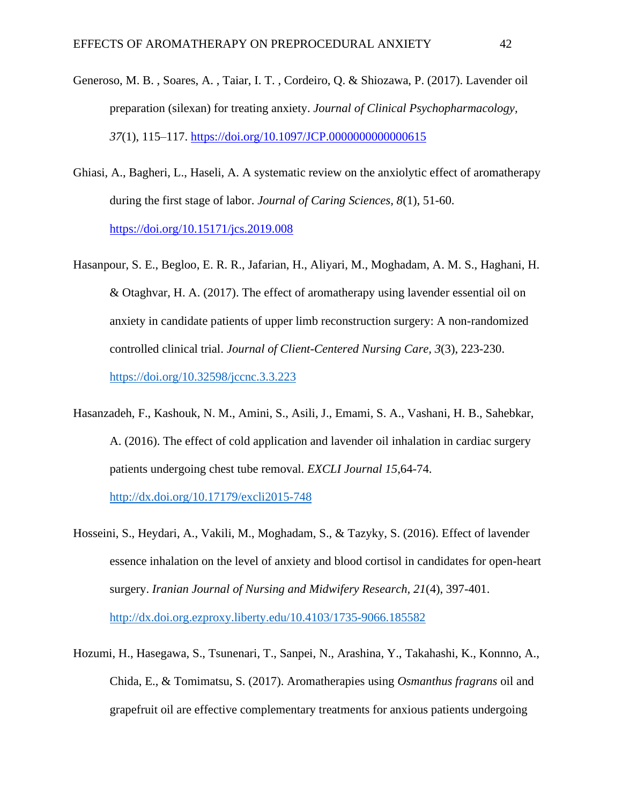- Generoso, M. B. , Soares, A. , Taiar, I. T. , Cordeiro, Q. & Shiozawa, P. (2017). Lavender oil preparation (silexan) for treating anxiety. *Journal of Clinical Psychopharmacology, 37*(1), 115–117.<https://doi.org/10.1097/JCP.0000000000000615>
- Ghiasi, A., Bagheri, L., Haseli, A. A systematic review on the anxiolytic effect of aromatherapy during the first stage of labor. *Journal of Caring Sciences, 8*(1), 51-60. <https://doi.org/10.15171/jcs.2019.008>
- Hasanpour, S. E., Begloo, E. R. R., Jafarian, H., Aliyari, M., Moghadam, A. M. S., Haghani, H. & Otaghvar, H. A. (2017). The effect of aromatherapy using lavender essential oil on anxiety in candidate patients of upper limb reconstruction surgery: A non-randomized controlled clinical trial. *Journal of Client-Centered Nursing Care, 3*(3), 223-230. <https://doi.org/10.32598/jccnc.3.3.223>
- Hasanzadeh, F., Kashouk, N. M., Amini, S., Asili, J., Emami, S. A., Vashani, H. B., Sahebkar, A. (2016). The effect of cold application and lavender oil inhalation in cardiac surgery patients undergoing chest tube removal. *EXCLI Journal 15*,64-74.

<http://dx.doi.org/10.17179/excli2015-748>

- Hosseini, S., Heydari, A., Vakili, M., Moghadam, S., & Tazyky, S. (2016). Effect of lavender essence inhalation on the level of anxiety and blood cortisol in candidates for open-heart surgery. *Iranian Journal of Nursing and Midwifery Research, 21*(4), 397-401. <http://dx.doi.org.ezproxy.liberty.edu/10.4103/1735-9066.185582>
- Hozumi, H., Hasegawa, S., Tsunenari, T., Sanpei, N., Arashina, Y., Takahashi, K., Konnno, A., Chida, E., & Tomimatsu, S. (2017). Aromatherapies using *Osmanthus fragrans* oil and grapefruit oil are effective complementary treatments for anxious patients undergoing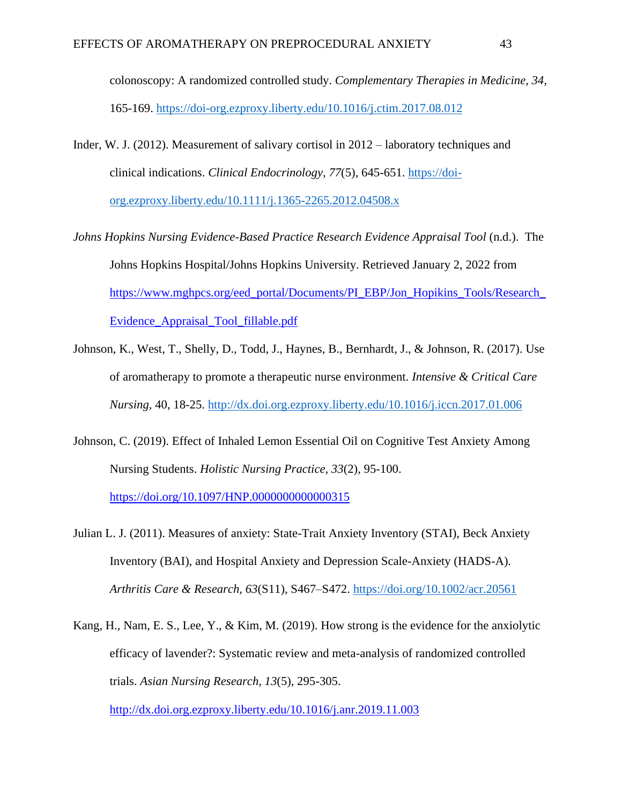colonoscopy: A randomized controlled study. *Complementary Therapies in Medicine, 34,* 165-169.<https://doi-org.ezproxy.liberty.edu/10.1016/j.ctim.2017.08.012>

- Inder, W. J. (2012). Measurement of salivary cortisol in 2012 laboratory techniques and clinical indications. *Clinical Endocrinology, 77*(5), 645-651. [https://doi](https://doi-org.ezproxy.liberty.edu/10.1111/j.1365-2265.2012.04508.x)[org.ezproxy.liberty.edu/10.1111/j.1365-2265.2012.04508.x](https://doi-org.ezproxy.liberty.edu/10.1111/j.1365-2265.2012.04508.x)
- *Johns Hopkins Nursing Evidence-Based Practice Research Evidence Appraisal Tool* (n.d.). The Johns Hopkins Hospital/Johns Hopkins University. Retrieved January 2, 2022 from [https://www.mghpcs.org/eed\\_portal/Documents/PI\\_EBP/Jon\\_Hopikins\\_Tools/Research\\_](https://www.mghpcs.org/eed_portal/Documents/PI_EBP/Jon_Hopikins_Tools/Research_Evidence_Appraisal_Tool_fillable.pdf) [Evidence\\_Appraisal\\_Tool\\_fillable.pdf](https://www.mghpcs.org/eed_portal/Documents/PI_EBP/Jon_Hopikins_Tools/Research_Evidence_Appraisal_Tool_fillable.pdf)
- Johnson, K., West, T., Shelly, D., Todd, J., Haynes, B., Bernhardt, J., & Johnson, R. (2017). Use of aromatherapy to promote a therapeutic nurse environment. *Intensive & Critical Care Nursing,* 40, 18-25.<http://dx.doi.org.ezproxy.liberty.edu/10.1016/j.iccn.2017.01.006>
- Johnson, C. (2019). Effect of Inhaled Lemon Essential Oil on Cognitive Test Anxiety Among Nursing Students. *Holistic Nursing Practice, 33*(2), 95-100.

<https://doi.org/10.1097/HNP.0000000000000315>

- Julian L. J. (2011). Measures of anxiety: State-Trait Anxiety Inventory (STAI), Beck Anxiety Inventory (BAI), and Hospital Anxiety and Depression Scale-Anxiety (HADS-A). *Arthritis Care & Research, 63*(S11), S467–S472.<https://doi.org/10.1002/acr.20561>
- Kang, H., Nam, E. S., Lee, Y., & Kim, M. (2019). How strong is the evidence for the anxiolytic efficacy of lavender?: Systematic review and meta-analysis of randomized controlled trials. *Asian Nursing Research, 13*(5), 295-305.

<http://dx.doi.org.ezproxy.liberty.edu/10.1016/j.anr.2019.11.003>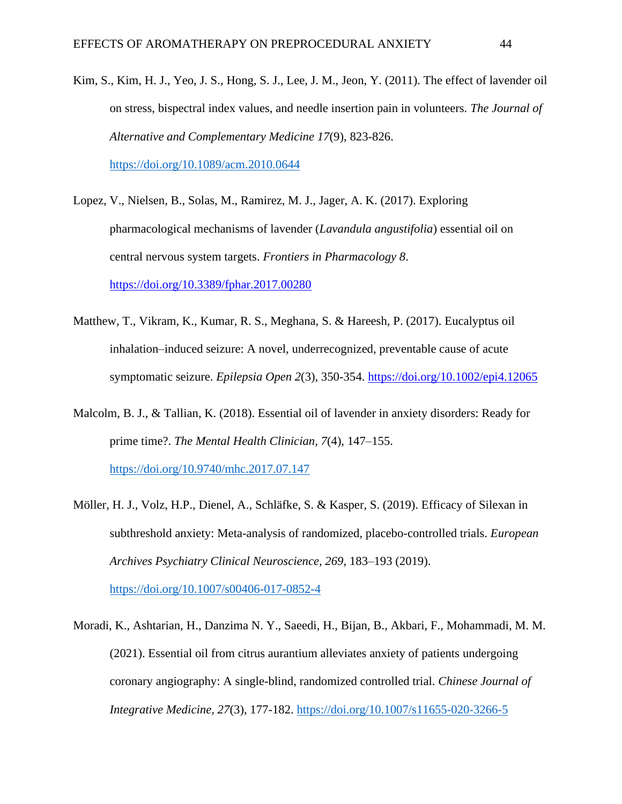- Kim, S., Kim, H. J., Yeo, J. S., Hong, S. J., Lee, J. M., Jeon, Y. (2011). The effect of lavender oil on stress, bispectral index values, and needle insertion pain in volunteers*. The Journal of Alternative and Complementary Medicine 17*(9), 823-826. <https://doi.org/10.1089/acm.2010.0644>
- Lopez, V., Nielsen, B., Solas, M., Ramirez, M. J., Jager, A. K. (2017). Exploring pharmacological mechanisms of lavender (*Lavandula angustifolia*) essential oil on central nervous system targets. *Frontiers in Pharmacology 8*. <https://doi.org/10.3389/fphar.2017.00280>
- Matthew, T., Vikram, K., Kumar, R. S., Meghana, S. & Hareesh, P. (2017). Eucalyptus oil inhalation–induced seizure: A novel, underrecognized, preventable cause of acute symptomatic seizure. *Epilepsia Open 2*(3), 350-354.<https://doi.org/10.1002/epi4.12065>
- Malcolm, B. J., & Tallian, K. (2018). Essential oil of lavender in anxiety disorders: Ready for prime time?. *The Mental Health Clinician, 7*(4), 147–155. <https://doi.org/10.9740/mhc.2017.07.147>
- Möller, H. J., Volz, H.P., Dienel, A., Schläfke, S. & Kasper, S. (2019). Efficacy of Silexan in subthreshold anxiety: Meta-analysis of randomized, placebo-controlled trials. *European Archives Psychiatry Clinical Neuroscience, 269*, 183–193 (2019). <https://doi.org/10.1007/s00406-017-0852-4>

Moradi, K., Ashtarian, H., Danzima N. Y., Saeedi, H., Bijan, B., Akbari, F., Mohammadi, M. M. (2021). Essential oil from citrus aurantium alleviates anxiety of patients undergoing coronary angiography: A single-blind, randomized controlled trial. *Chinese Journal of Integrative Medicine, 27*(3), 177-182.<https://doi.org/10.1007/s11655-020-3266-5>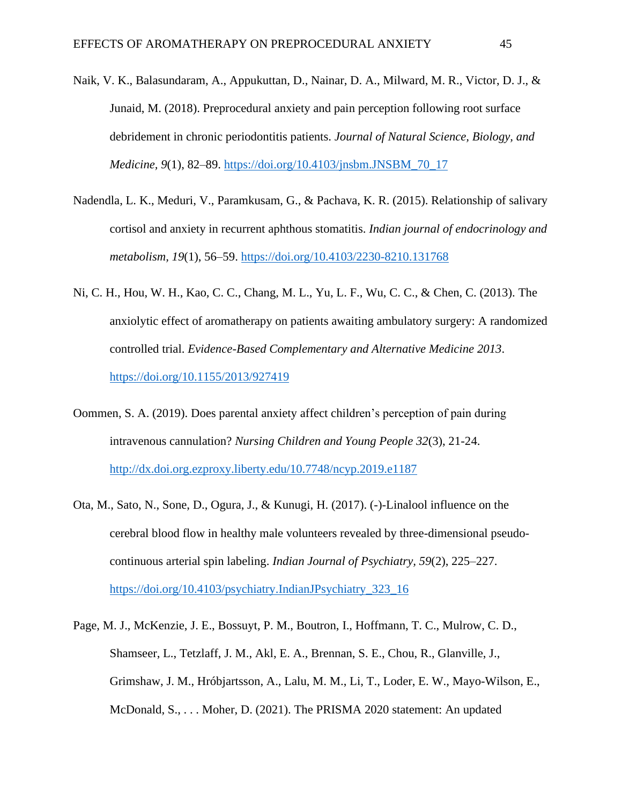- Naik, V. K., Balasundaram, A., Appukuttan, D., Nainar, D. A., Milward, M. R., Victor, D. J., & Junaid, M. (2018). Preprocedural anxiety and pain perception following root surface debridement in chronic periodontitis patients. *Journal of Natural Science, Biology, and Medicine, 9*(1), 82–89. [https://doi.org/10.4103/jnsbm.JNSBM\\_70\\_17](https://doi.org/10.4103/jnsbm.JNSBM_70_17)
- Nadendla, L. K., Meduri, V., Paramkusam, G., & Pachava, K. R. (2015). Relationship of salivary cortisol and anxiety in recurrent aphthous stomatitis. *Indian journal of endocrinology and metabolism, 19*(1), 56–59.<https://doi.org/10.4103/2230-8210.131768>
- Ni, C. H., Hou, W. H., Kao, C. C., Chang, M. L., Yu, L. F., Wu, C. C., & Chen, C. (2013). The anxiolytic effect of aromatherapy on patients awaiting ambulatory surgery: A randomized controlled trial. *Evidence-Based Complementary and Alternative Medicine 2013*. <https://doi.org/10.1155/2013/927419>
- Oommen, S. A. (2019). Does parental anxiety affect children's perception of pain during intravenous cannulation? *Nursing Children and Young People 32*(3), 21-24. <http://dx.doi.org.ezproxy.liberty.edu/10.7748/ncyp.2019.e1187>
- Ota, M., Sato, N., Sone, D., Ogura, J., & Kunugi, H. (2017). (-)-Linalool influence on the cerebral blood flow in healthy male volunteers revealed by three-dimensional pseudocontinuous arterial spin labeling. *Indian Journal of Psychiatry, 59*(2), 225–227. [https://doi.org/10.4103/psychiatry.IndianJPsychiatry\\_323\\_16](https://doi.org/10.4103/psychiatry.IndianJPsychiatry_323_16)
- Page, M. J., McKenzie, J. E., Bossuyt, P. M., Boutron, I., Hoffmann, T. C., Mulrow, C. D., Shamseer, L., Tetzlaff, J. M., Akl, E. A., Brennan, S. E., Chou, R., Glanville, J., Grimshaw, J. M., Hróbjartsson, A., Lalu, M. M., Li, T., Loder, E. W., Mayo-Wilson, E., McDonald, S., . . . Moher, D. (2021). The PRISMA 2020 statement: An updated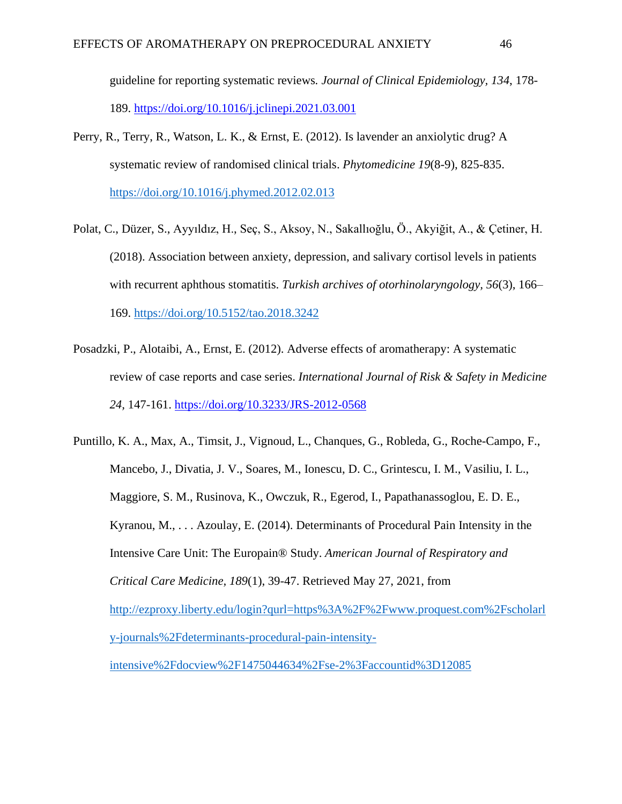guideline for reporting systematic reviews*. Journal of Clinical Epidemiology, 134*, 178- 189.<https://doi.org/10.1016/j.jclinepi.2021.03.001>

- Perry, R., Terry, R., Watson, L. K., & Ernst, E. (2012). Is lavender an anxiolytic drug? A systematic review of randomised clinical trials. *Phytomedicine 19*(8-9), 825-835. <https://doi.org/10.1016/j.phymed.2012.02.013>
- Polat, C., Düzer, S., Ayyıldız, H., Seç, S., Aksoy, N., Sakallıoğlu, Ö., Akyiğit, A., & Çetiner, H. (2018). Association between anxiety, depression, and salivary cortisol levels in patients with recurrent aphthous stomatitis. *Turkish archives of otorhinolaryngology, 56*(3), 166– 169.<https://doi.org/10.5152/tao.2018.3242>
- Posadzki, P., Alotaibi, A., Ernst, E. (2012). Adverse effects of aromatherapy: A systematic review of case reports and case series. *International Journal of Risk & Safety in Medicine 24,* 147-161.<https://doi.org/10.3233/JRS-2012-0568>

Puntillo, K. A., Max, A., Timsit, J., Vignoud, L., Chanques, G., Robleda, G., Roche-Campo, F., Mancebo, J., Divatia, J. V., Soares, M., Ionescu, D. C., Grintescu, I. M., Vasiliu, I. L., Maggiore, S. M., Rusinova, K., Owczuk, R., Egerod, I., Papathanassoglou, E. D. E., Kyranou, M., . . . Azoulay, E. (2014). Determinants of Procedural Pain Intensity in the Intensive Care Unit: The Europain® Study. *American Journal of Respiratory and Critical Care Medicine, 189*(1), 39-47. Retrieved May 27, 2021, from [http://ezproxy.liberty.edu/login?qurl=https%3A%2F%2Fwww.proquest.com%2Fscholarl](http://ezproxy.liberty.edu/login?qurl=https%3A%2F%2Fwww.proquest.com%2Fscholarly-journals%2Fdeterminants-procedural-pain-intensity-intensive%2Fdocview%2F1475044634%2Fse-2%3Faccountid%3D12085) [y-journals%2Fdeterminants-procedural-pain-intensity](http://ezproxy.liberty.edu/login?qurl=https%3A%2F%2Fwww.proquest.com%2Fscholarly-journals%2Fdeterminants-procedural-pain-intensity-intensive%2Fdocview%2F1475044634%2Fse-2%3Faccountid%3D12085)[intensive%2Fdocview%2F1475044634%2Fse-2%3Faccountid%3D12085](http://ezproxy.liberty.edu/login?qurl=https%3A%2F%2Fwww.proquest.com%2Fscholarly-journals%2Fdeterminants-procedural-pain-intensity-intensive%2Fdocview%2F1475044634%2Fse-2%3Faccountid%3D12085)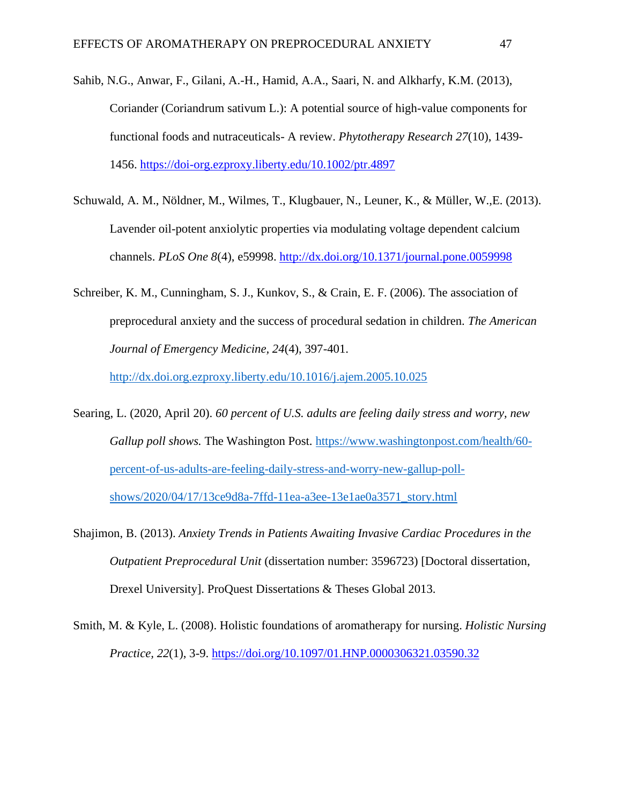- Sahib, N.G., Anwar, F., Gilani, A.-H., Hamid, A.A., Saari, N. and Alkharfy, K.M. (2013), Coriander (Coriandrum sativum L.): A potential source of high-value components for functional foods and nutraceuticals- A review. *Phytotherapy Research 27*(10), 1439- 1456.<https://doi-org.ezproxy.liberty.edu/10.1002/ptr.4897>
- Schuwald, A. M., Nöldner, M., Wilmes, T., Klugbauer, N., Leuner, K., & Müller, W.,E. (2013). Lavender oil-potent anxiolytic properties via modulating voltage dependent calcium channels. *PLoS One 8*(4), e59998.<http://dx.doi.org/10.1371/journal.pone.0059998>
- Schreiber, K. M., Cunningham, S. J., Kunkov, S., & Crain, E. F. (2006). The association of preprocedural anxiety and the success of procedural sedation in children. *The American Journal of Emergency Medicine, 24*(4), 397-401.

<http://dx.doi.org.ezproxy.liberty.edu/10.1016/j.ajem.2005.10.025>

- Searing, L. (2020, April 20). *60 percent of U.S. adults are feeling daily stress and worry, new Gallup poll shows.* The Washington Post. [https://www.washingtonpost.com/health/60](https://www.washingtonpost.com/health/60-percent-of-us-adults-are-feeling-daily-stress-and-worry-new-gallup-poll-shows/2020/04/17/13ce9d8a-7ffd-11ea-a3ee-13e1ae0a3571_story.html) [percent-of-us-adults-are-feeling-daily-stress-and-worry-new-gallup-poll](https://www.washingtonpost.com/health/60-percent-of-us-adults-are-feeling-daily-stress-and-worry-new-gallup-poll-shows/2020/04/17/13ce9d8a-7ffd-11ea-a3ee-13e1ae0a3571_story.html)[shows/2020/04/17/13ce9d8a-7ffd-11ea-a3ee-13e1ae0a3571\\_story.html](https://www.washingtonpost.com/health/60-percent-of-us-adults-are-feeling-daily-stress-and-worry-new-gallup-poll-shows/2020/04/17/13ce9d8a-7ffd-11ea-a3ee-13e1ae0a3571_story.html)
- Shajimon, B. (2013). *Anxiety Trends in Patients Awaiting Invasive Cardiac Procedures in the Outpatient Preprocedural Unit* (dissertation number: 3596723) [Doctoral dissertation, Drexel University]. ProQuest Dissertations & Theses Global 2013.
- Smith, M. & Kyle, L. (2008). Holistic foundations of aromatherapy for nursing. *Holistic Nursing Practice, 22*(1), 3-9. <https://doi.org/10.1097/01.HNP.0000306321.03590.32>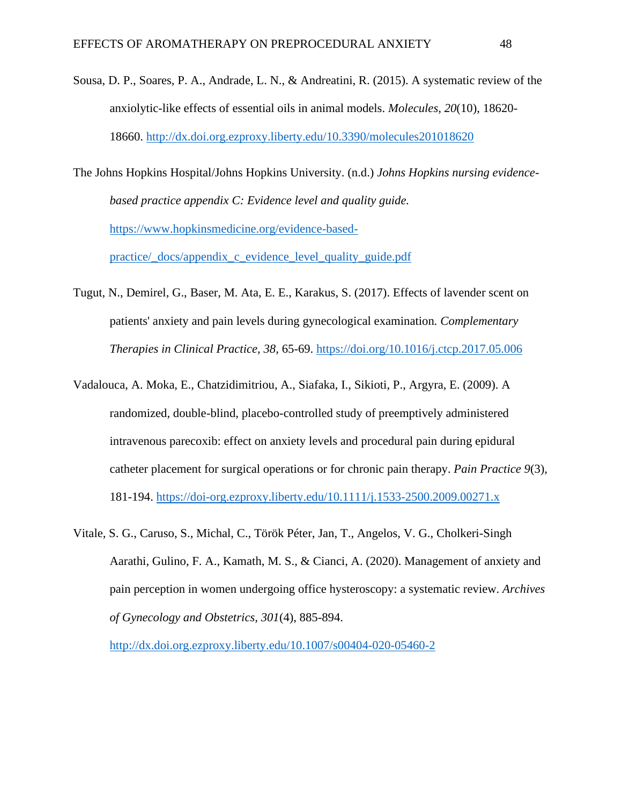- Sousa, D. P., Soares, P. A., Andrade, L. N., & Andreatini, R. (2015). A systematic review of the anxiolytic-like effects of essential oils in animal models. *Molecules, 20*(10), 18620- 18660.<http://dx.doi.org.ezproxy.liberty.edu/10.3390/molecules201018620>
- The Johns Hopkins Hospital/Johns Hopkins University. (n.d.) *Johns Hopkins nursing evidencebased practice appendix C: Evidence level and quality guide.* [https://www.hopkinsmedicine.org/evidence-based](https://www.hopkinsmedicine.org/evidence-based-practice/_docs/appendix_c_evidence_level_quality_guide.pdf)[practice/\\_docs/appendix\\_c\\_evidence\\_level\\_quality\\_guide.pdf](https://www.hopkinsmedicine.org/evidence-based-practice/_docs/appendix_c_evidence_level_quality_guide.pdf)
- Tugut, N., Demirel, G., Baser, M. Ata, E. E., Karakus, S. (2017). Effects of lavender scent on patients' anxiety and pain levels during gynecological examination*. Complementary Therapies in Clinical Practice, 38*, 65-69.<https://doi.org/10.1016/j.ctcp.2017.05.006>
- Vadalouca, A. Moka, E., Chatzidimitriou, A., Siafaka, I., Sikioti, P., Argyra, E. (2009). A randomized, double-blind, placebo-controlled study of preemptively administered intravenous parecoxib: effect on anxiety levels and procedural pain during epidural catheter placement for surgical operations or for chronic pain therapy. *Pain Practice 9*(3), 181-194.<https://doi-org.ezproxy.liberty.edu/10.1111/j.1533-2500.2009.00271.x>
- Vitale, S. G., Caruso, S., Michal, C., Török Péter, Jan, T., Angelos, V. G., Cholkeri-Singh Aarathi, Gulino, F. A., Kamath, M. S., & Cianci, A. (2020). Management of anxiety and pain perception in women undergoing office hysteroscopy: a systematic review. *Archives of Gynecology and Obstetrics, 301*(4), 885-894.

<http://dx.doi.org.ezproxy.liberty.edu/10.1007/s00404-020-05460-2>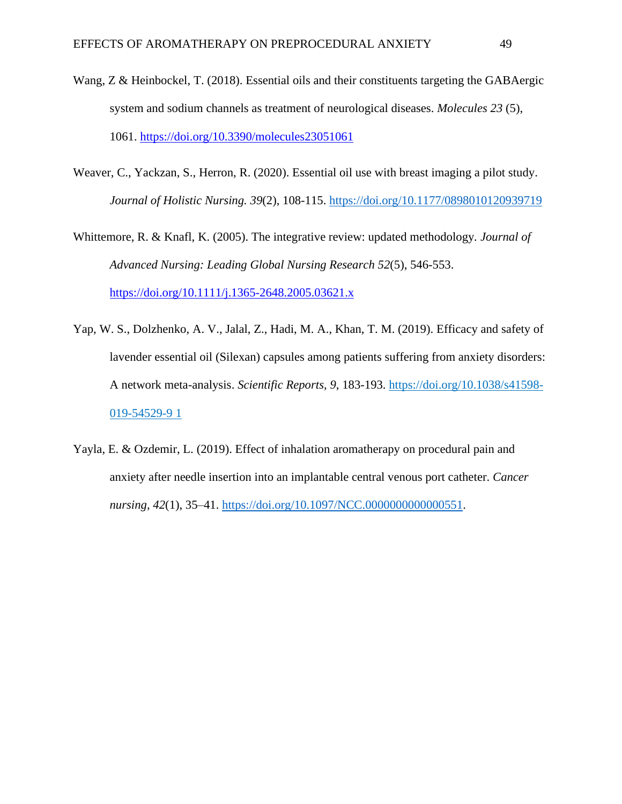- Wang, Z & Heinbockel, T. (2018). Essential oils and their constituents targeting the GABAergic system and sodium channels as treatment of neurological diseases. *Molecules 23* (5), 1061.<https://doi.org/10.3390/molecules23051061>
- Weaver, C., Yackzan, S., Herron, R. (2020). Essential oil use with breast imaging a pilot study. *Journal of Holistic Nursing. 39*(2), 108-115.<https://doi.org/10.1177/0898010120939719>
- Whittemore, R. & Knafl, K. (2005). The integrative review: updated methodology*. Journal of Advanced Nursing: Leading Global Nursing Research 52*(5), 546-553. <https://doi.org/10.1111/j.1365-2648.2005.03621.x>
- Yap, W. S., Dolzhenko, A. V., Jalal, Z., Hadi, M. A., Khan, T. M. (2019). Efficacy and safety of lavender essential oil (Silexan) capsules among patients suffering from anxiety disorders: A network meta-analysis. *Scientific Reports, 9*, 183-193. [https://doi.org/10.1038/s41598-](https://doi.org/10.1038/s41598-019-54529-9%201) [019-54529-9 1](https://doi.org/10.1038/s41598-019-54529-9%201)
- Yayla, E. & Ozdemir, L. (2019). Effect of inhalation aromatherapy on procedural pain and anxiety after needle insertion into an implantable central venous port catheter. *Cancer nursing, 42*(1), 35–41. [https://doi.org/10.1097/NCC.0000000000000551.](https://doi.org/10.1097/NCC.0000000000000551)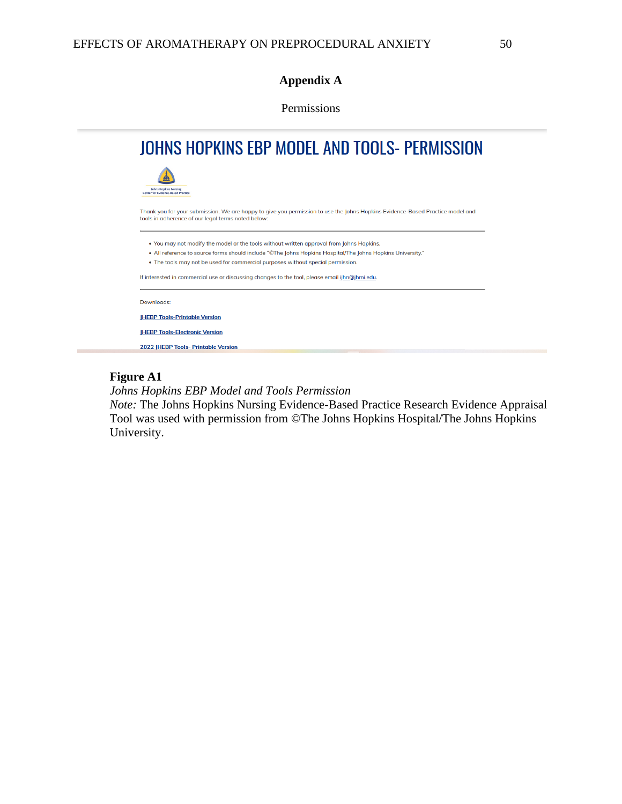## **Appendix A**

Permissions

| JOHNS HOPKINS EBP MODEL AND TOOLS- PERMISSION                                                                                                                                       |
|-------------------------------------------------------------------------------------------------------------------------------------------------------------------------------------|
| <b>Johns Hopkins Nursing</b><br><b>Center for Evidence-Based Practice</b>                                                                                                           |
| Thank you for your submission. We are happy to give you permission to use the Johns Hopkins Evidence-Based Practice model and<br>tools in adherence of our legal terms noted below: |
| . You may not modify the model or the tools without written approval from Johns Hopkins.                                                                                            |
| • All reference to source forms should include "©The Johns Hopkins Hospital/The Johns Hopkins University."                                                                          |
| • The tools may not be used for commercial purposes without special permission.                                                                                                     |
| If interested in commercial use or discussing changes to the tool, please email ijhn@jhmi.edu.                                                                                      |
| Downloads:                                                                                                                                                                          |
| <b>IHEBP Tools-Printable Version</b>                                                                                                                                                |
| <b>IHEBP Tools-Electronic Version</b>                                                                                                                                               |
|                                                                                                                                                                                     |

## **Figure A1**

*Johns Hopkins EBP Model and Tools Permission*

*Note:* The Johns Hopkins Nursing Evidence-Based Practice Research Evidence Appraisal Tool was used with permission from ©The Johns Hopkins Hospital/The Johns Hopkins University.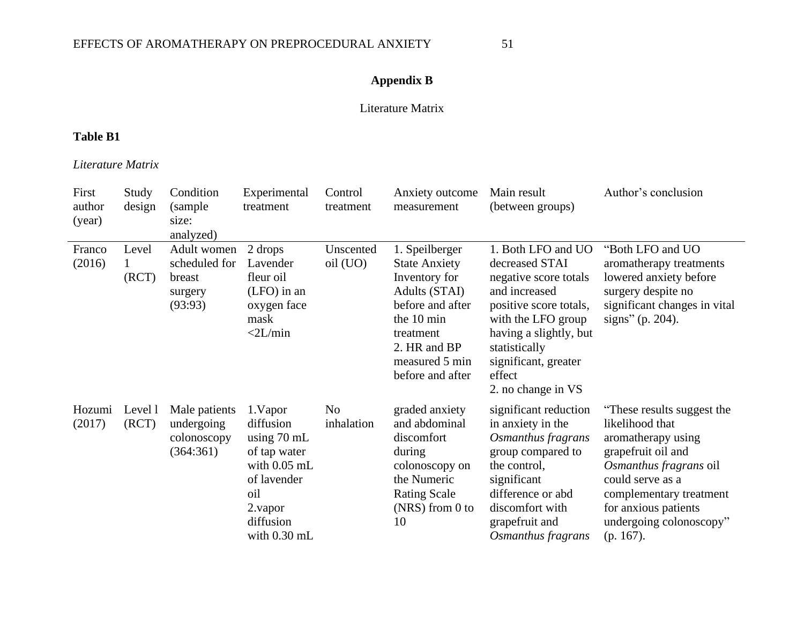# **Appendix B**

### Literature Matrix

## **Table B1**

*Literature Matrix*

| First<br>author<br>(year) | Study<br>design  | Condition<br>(sample)<br>size:<br>analyzed)                  | Experimental<br>treatment                                                                                                                      | Control<br>treatment         | Anxiety outcome<br>measurement                                                                                                                                                | Main result<br>(between groups)                                                                                                                                                                                                   | Author's conclusion                                                                                                                                                                                                                   |
|---------------------------|------------------|--------------------------------------------------------------|------------------------------------------------------------------------------------------------------------------------------------------------|------------------------------|-------------------------------------------------------------------------------------------------------------------------------------------------------------------------------|-----------------------------------------------------------------------------------------------------------------------------------------------------------------------------------------------------------------------------------|---------------------------------------------------------------------------------------------------------------------------------------------------------------------------------------------------------------------------------------|
| Franco<br>(2016)          | Level<br>(RCT)   | Adult women<br>scheduled for<br>breast<br>surgery<br>(93:93) | 2 drops<br>Lavender<br>fleur oil<br>$(LFO)$ in an<br>oxygen face<br>mask<br>$<$ 2L/min                                                         | Unscented<br>oil (UO)        | 1. Speilberger<br><b>State Anxiety</b><br>Inventory for<br>Adults (STAI)<br>before and after<br>the 10 min<br>treatment<br>2. HR and BP<br>measured 5 min<br>before and after | 1. Both LFO and UO<br>decreased STAI<br>negative score totals<br>and increased<br>positive score totals,<br>with the LFO group<br>having a slightly, but<br>statistically<br>significant, greater<br>effect<br>2. no change in VS | "Both LFO and UO<br>aromatherapy treatments<br>lowered anxiety before<br>surgery despite no<br>significant changes in vital<br>signs" (p. 204).                                                                                       |
| Hozumi<br>(2017)          | Level 1<br>(RCT) | Male patients<br>undergoing<br>colonoscopy<br>(364:361)      | 1. Vapor<br>diffusion<br>using $70 \text{ mL}$<br>of tap water<br>with $0.05$ mL<br>of lavender<br>oil<br>2.vapor<br>diffusion<br>with 0.30 mL | N <sub>o</sub><br>inhalation | graded anxiety<br>and abdominal<br>discomfort<br>during<br>colonoscopy on<br>the Numeric<br><b>Rating Scale</b><br>$(NRS)$ from 0 to<br>10                                    | significant reduction<br>in anxiety in the<br>Osmanthus fragrans<br>group compared to<br>the control,<br>significant<br>difference or abd<br>discomfort with<br>grapefruit and<br>Osmanthus fragrans                              | "These results suggest the<br>likelihood that<br>aromatherapy using<br>grapefruit oil and<br>Osmanthus fragrans oil<br>could serve as a<br>complementary treatment<br>for anxious patients<br>undergoing colonoscopy"<br>$(p. 167)$ . |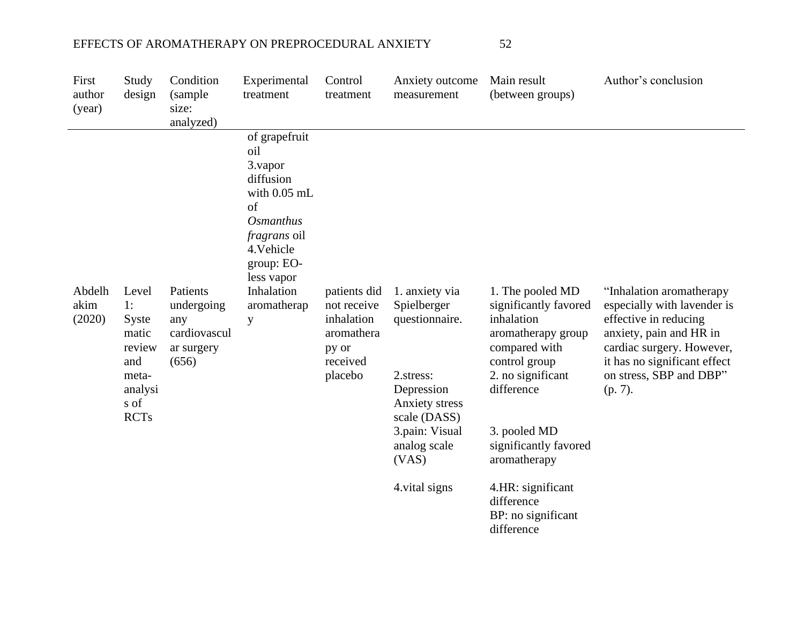| First<br>author<br>(year) | Study<br>design                                                                           | Condition<br>(sample<br>size:<br>analyzed)                           | Experimental<br>treatment                                                                                                                                                                                    | Control<br>treatment                                                                    | Anxiety outcome<br>measurement                                                                                                                                            | Main result<br>(between groups)                                                                                                                                                                                                                                                    | Author's conclusion                                                                                                                                                                                            |
|---------------------------|-------------------------------------------------------------------------------------------|----------------------------------------------------------------------|--------------------------------------------------------------------------------------------------------------------------------------------------------------------------------------------------------------|-----------------------------------------------------------------------------------------|---------------------------------------------------------------------------------------------------------------------------------------------------------------------------|------------------------------------------------------------------------------------------------------------------------------------------------------------------------------------------------------------------------------------------------------------------------------------|----------------------------------------------------------------------------------------------------------------------------------------------------------------------------------------------------------------|
| Abdelh<br>akim<br>(2020)  | Level<br>1:<br>Syste<br>matic<br>review<br>and<br>meta-<br>analysi<br>s of<br><b>RCTs</b> | Patients<br>undergoing<br>any<br>cardiovascul<br>ar surgery<br>(656) | of grapefruit<br>oil<br>3. vapor<br>diffusion<br>with 0.05 mL<br>of<br><i><b>Osmanthus</b></i><br><i>fragrans</i> oil<br>4. Vehicle<br>group: EO-<br>less vapor<br>Inhalation<br>aromatherap<br>$\mathbf{y}$ | patients did<br>not receive<br>inhalation<br>aromathera<br>py or<br>received<br>placebo | 1. anxiety via<br>Spielberger<br>questionnaire.<br>2.stress:<br>Depression<br>Anxiety stress<br>scale (DASS)<br>3.pain: Visual<br>analog scale<br>(VAS)<br>4. vital signs | 1. The pooled MD<br>significantly favored<br>inhalation<br>aromatherapy group<br>compared with<br>control group<br>2. no significant<br>difference<br>3. pooled MD<br>significantly favored<br>aromatherapy<br>4.HR: significant<br>difference<br>BP: no significant<br>difference | "Inhalation aromatherapy<br>especially with lavender is<br>effective in reducing<br>anxiety, pain and HR in<br>cardiac surgery. However,<br>it has no significant effect<br>on stress, SBP and DBP"<br>(p. 7). |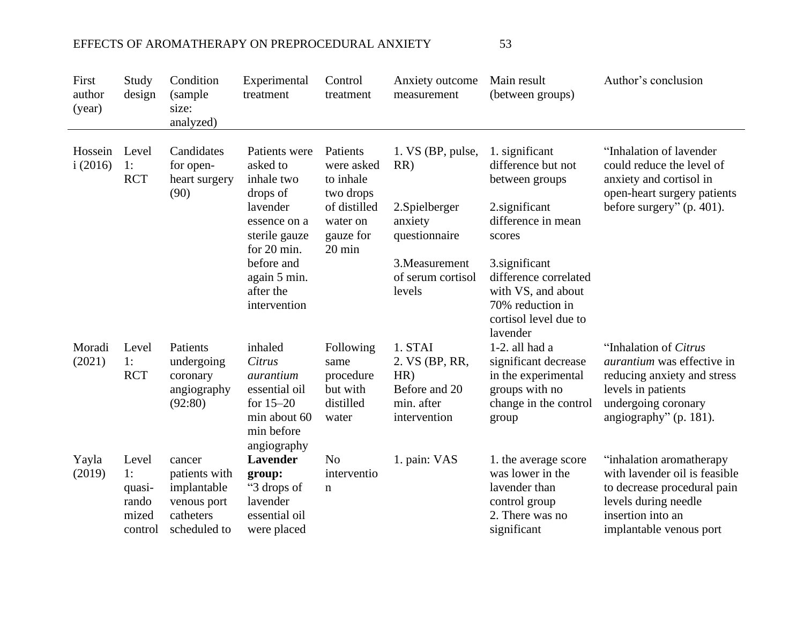| First<br>author<br>(year) | Study<br>design                                    | Condition<br>(sample<br>size:<br>analyzed)                                         | Experimental<br>treatment                                                                                   | Control<br>treatment                                             | Anxiety outcome<br>measurement                                                  | Main result<br>(between groups)                                                                                        | Author's conclusion                                                                                                                                               |
|---------------------------|----------------------------------------------------|------------------------------------------------------------------------------------|-------------------------------------------------------------------------------------------------------------|------------------------------------------------------------------|---------------------------------------------------------------------------------|------------------------------------------------------------------------------------------------------------------------|-------------------------------------------------------------------------------------------------------------------------------------------------------------------|
| Hossein<br>i(2016)        | Level<br>$\cdot$ 1:<br><b>RCT</b>                  | Candidates<br>for open-<br>heart surgery<br>(90)                                   | Patients were<br>asked to<br>inhale two<br>drops of                                                         | Patients<br>were asked<br>to inhale<br>two drops                 | 1. VS (BP, pulse,<br>RR)                                                        | 1. significant<br>difference but not<br>between groups                                                                 | "Inhalation of lavender"<br>could reduce the level of<br>anxiety and cortisol in<br>open-heart surgery patients                                                   |
|                           |                                                    |                                                                                    | lavender<br>essence on a<br>sterile gauze<br>for 20 min.                                                    | of distilled<br>water on<br>gauze for<br>$20 \text{ min}$        | 2. Spielberger<br>anxiety<br>questionnaire                                      | 2.significant<br>difference in mean<br>scores                                                                          | before surgery" (p. 401).                                                                                                                                         |
|                           |                                                    |                                                                                    | before and<br>again 5 min.<br>after the<br>intervention                                                     |                                                                  | 3. Measurement<br>of serum cortisol<br>levels                                   | 3. significant<br>difference correlated<br>with VS, and about<br>70% reduction in<br>cortisol level due to<br>lavender |                                                                                                                                                                   |
| Moradi<br>(2021)          | Level<br>1:<br><b>RCT</b>                          | Patients<br>undergoing<br>coronary<br>angiography<br>(92:80)                       | inhaled<br>Citrus<br>aurantium<br>essential oil<br>for $15-20$<br>min about 60<br>min before<br>angiography | Following<br>same<br>procedure<br>but with<br>distilled<br>water | 1. STAI<br>2. VS (BP, RR,<br>HR)<br>Before and 20<br>min. after<br>intervention | 1-2. all had a<br>significant decrease<br>in the experimental<br>groups with no<br>change in the control<br>group      | "Inhalation of Citrus<br><i>aurantium</i> was effective in<br>reducing anxiety and stress<br>levels in patients<br>undergoing coronary<br>angiography" (p. 181).  |
| Yayla<br>(2019)           | Level<br>1:<br>quasi-<br>rando<br>mized<br>control | cancer<br>patients with<br>implantable<br>venous port<br>catheters<br>scheduled to | Lavender<br>group:<br>"3 drops of<br>lavender<br>essential oil<br>were placed                               | N <sub>o</sub><br>interventio<br>$\mathbf n$                     | 1. pain: VAS                                                                    | 1. the average score<br>was lower in the<br>lavender than<br>control group<br>2. There was no<br>significant           | "inhalation aromatherapy"<br>with lavender oil is feasible<br>to decrease procedural pain<br>levels during needle<br>insertion into an<br>implantable venous port |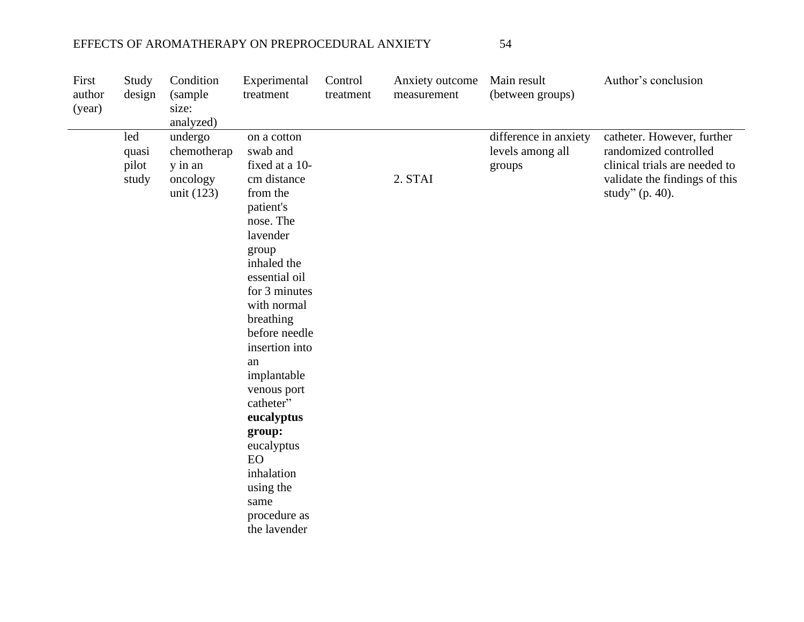| First<br>author<br>(year) | Study<br>design                | Condition<br>(sample<br>size:<br>analyzed)                    | Experimental<br>treatment                                                                                                                                                                                                                                                                                                                                                                                  | Control<br>treatment | Anxiety outcome<br>measurement | Main result<br>(between groups)                     | Author's conclusion                                                                                                                         |
|---------------------------|--------------------------------|---------------------------------------------------------------|------------------------------------------------------------------------------------------------------------------------------------------------------------------------------------------------------------------------------------------------------------------------------------------------------------------------------------------------------------------------------------------------------------|----------------------|--------------------------------|-----------------------------------------------------|---------------------------------------------------------------------------------------------------------------------------------------------|
|                           | led<br>quasi<br>pilot<br>study | undergo<br>chemotherap<br>y in an<br>oncology<br>unit $(123)$ | on a cotton<br>swab and<br>fixed at a 10-<br>cm distance<br>from the<br>patient's<br>nose. The<br>lavender<br>group<br>inhaled the<br>essential oil<br>for 3 minutes<br>with normal<br>breathing<br>before needle<br>insertion into<br>an<br>implantable<br>venous port<br>catheter"<br>eucalyptus<br>group:<br>eucalyptus<br><b>EO</b><br>inhalation<br>using the<br>same<br>procedure as<br>the lavender |                      | 2. STAI                        | difference in anxiety<br>levels among all<br>groups | catheter. However, further<br>randomized controlled<br>clinical trials are needed to<br>validate the findings of this<br>study" $(p. 40)$ . |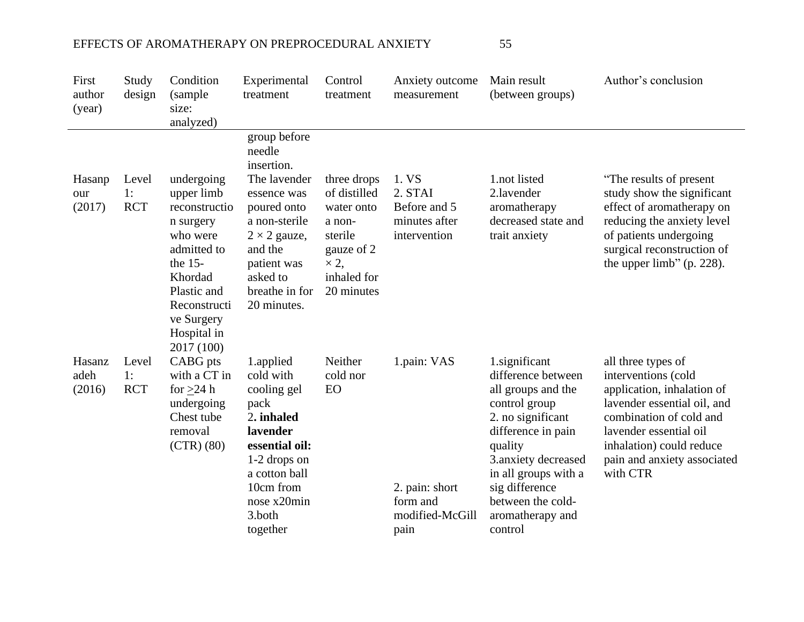| First<br>author<br>(year) | Study<br>design           | Condition<br>(sample<br>size:<br>analyzed)                                                                                                                            | Experimental<br>treatment                                                                                                                                                                         | Control<br>treatment                                                                                                     | Anxiety outcome<br>measurement                                       | Main result<br>(between groups)                                                                                                                                                                                                                       | Author's conclusion                                                                                                                                                                                                                |
|---------------------------|---------------------------|-----------------------------------------------------------------------------------------------------------------------------------------------------------------------|---------------------------------------------------------------------------------------------------------------------------------------------------------------------------------------------------|--------------------------------------------------------------------------------------------------------------------------|----------------------------------------------------------------------|-------------------------------------------------------------------------------------------------------------------------------------------------------------------------------------------------------------------------------------------------------|------------------------------------------------------------------------------------------------------------------------------------------------------------------------------------------------------------------------------------|
| Hasanp<br>our<br>(2017)   | Level<br>1:<br><b>RCT</b> | undergoing<br>upper limb<br>reconstructio<br>n surgery<br>who were<br>admitted to<br>the $15-$<br>Khordad<br>Plastic and<br>Reconstructi<br>ve Surgery<br>Hospital in | group before<br>needle<br>insertion.<br>The lavender<br>essence was<br>poured onto<br>a non-sterile<br>$2 \times 2$ gauze,<br>and the<br>patient was<br>asked to<br>breathe in for<br>20 minutes. | three drops<br>of distilled<br>water onto<br>a non-<br>sterile<br>gauze of 2<br>$\times$ 2,<br>inhaled for<br>20 minutes | 1. VS<br>2. STAI<br>Before and 5<br>minutes after<br>intervention    | 1.not listed<br>2.lavender<br>aromatherapy<br>decreased state and<br>trait anxiety                                                                                                                                                                    | "The results of present"<br>study show the significant<br>effect of aromatherapy on<br>reducing the anxiety level<br>of patients undergoing<br>surgical reconstruction of<br>the upper limb" (p. $228$ ).                          |
| Hasanz<br>adeh<br>(2016)  | Level<br>1:<br><b>RCT</b> | 2017 (100)<br>CABG pts<br>with a CT in<br>for $>24$ h<br>undergoing<br>Chest tube<br>removal<br>(CTR) (80)                                                            | 1.applied<br>cold with<br>cooling gel<br>pack<br>2. inhaled<br>lavender<br>essential oil:<br>1-2 drops on<br>a cotton ball<br>10cm from<br>nose x20min<br>3.both<br>together                      | Neither<br>cold nor<br>EO                                                                                                | 1.pain: VAS<br>2. pain: short<br>form and<br>modified-McGill<br>pain | 1.significant<br>difference between<br>all groups and the<br>control group<br>2. no significant<br>difference in pain<br>quality<br>3.anxiety decreased<br>in all groups with a<br>sig difference<br>between the cold-<br>aromatherapy and<br>control | all three types of<br>interventions (cold<br>application, inhalation of<br>lavender essential oil, and<br>combination of cold and<br>lavender essential oil<br>inhalation) could reduce<br>pain and anxiety associated<br>with CTR |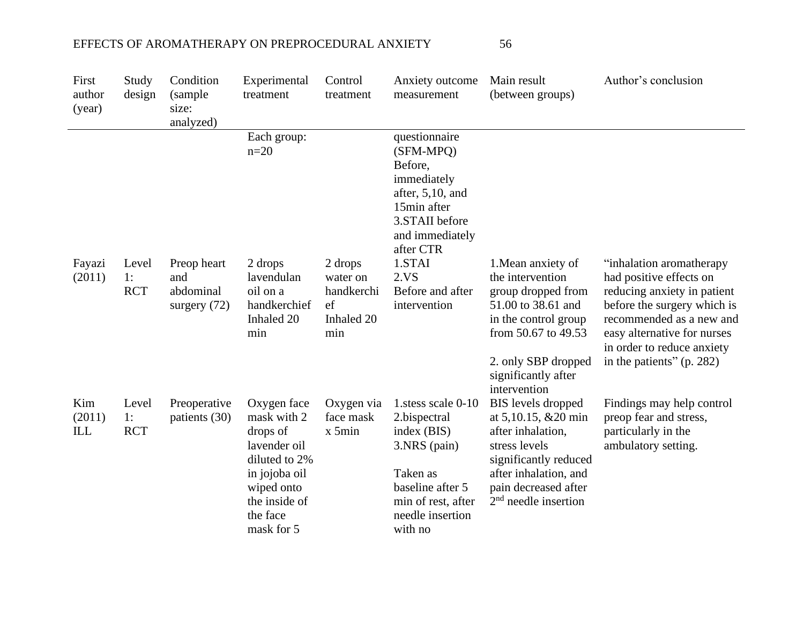| First<br>author<br>(year) | Study<br>design           | Condition<br>(sample<br>size:<br>analyzed)        | Experimental<br>treatment                                                                                                                         | Control<br>treatment                                         | Anxiety outcome<br>measurement                                                                                                                        | Main result<br>(between groups)                                                                                                                                                                                            | Author's conclusion                                                                                                                                                                                                                       |
|---------------------------|---------------------------|---------------------------------------------------|---------------------------------------------------------------------------------------------------------------------------------------------------|--------------------------------------------------------------|-------------------------------------------------------------------------------------------------------------------------------------------------------|----------------------------------------------------------------------------------------------------------------------------------------------------------------------------------------------------------------------------|-------------------------------------------------------------------------------------------------------------------------------------------------------------------------------------------------------------------------------------------|
|                           |                           |                                                   | Each group:<br>$n=20$                                                                                                                             |                                                              | questionnaire<br>(SFM-MPO)<br>Before,<br>immediately<br>after, $5,10$ , and<br>15min after<br>3.STAII before<br>and immediately<br>after CTR          |                                                                                                                                                                                                                            |                                                                                                                                                                                                                                           |
| Fayazi<br>(2011)          | Level<br>1:<br><b>RCT</b> | Preop heart<br>and<br>abdominal<br>surgery $(72)$ | 2 drops<br>lavendulan<br>oil on a<br>handkerchief<br>Inhaled 20<br>min                                                                            | 2 drops<br>water on<br>handkerchi<br>ef<br>Inhaled 20<br>min | 1.STAI<br>2.VS<br>Before and after<br>intervention                                                                                                    | 1. Mean anxiety of<br>the intervention<br>group dropped from<br>51.00 to 38.61 and<br>in the control group<br>from 50.67 to 49.53<br>2. only SBP dropped                                                                   | "inhalation aromatherapy<br>had positive effects on<br>reducing anxiety in patient<br>before the surgery which is<br>recommended as a new and<br>easy alternative for nurses<br>in order to reduce anxiety<br>in the patients" $(p. 282)$ |
| Kim<br>(2011)<br>ILL      | Level<br>1:<br><b>RCT</b> | Preoperative<br>patients (30)                     | Oxygen face<br>mask with 2<br>drops of<br>lavender oil<br>diluted to 2%<br>in jojoba oil<br>wiped onto<br>the inside of<br>the face<br>mask for 5 | Oxygen via<br>face mask<br>x 5min                            | 1.stess scale 0-10<br>2.bispectral<br>index(BIS)<br>3.NRS (pain)<br>Taken as<br>baseline after 5<br>min of rest, after<br>needle insertion<br>with no | significantly after<br>intervention<br>BIS levels dropped<br>at 5,10.15, &20 min<br>after inhalation,<br>stress levels<br>significantly reduced<br>after inhalation, and<br>pain decreased after<br>$2nd$ needle insertion | Findings may help control<br>preop fear and stress,<br>particularly in the<br>ambulatory setting.                                                                                                                                         |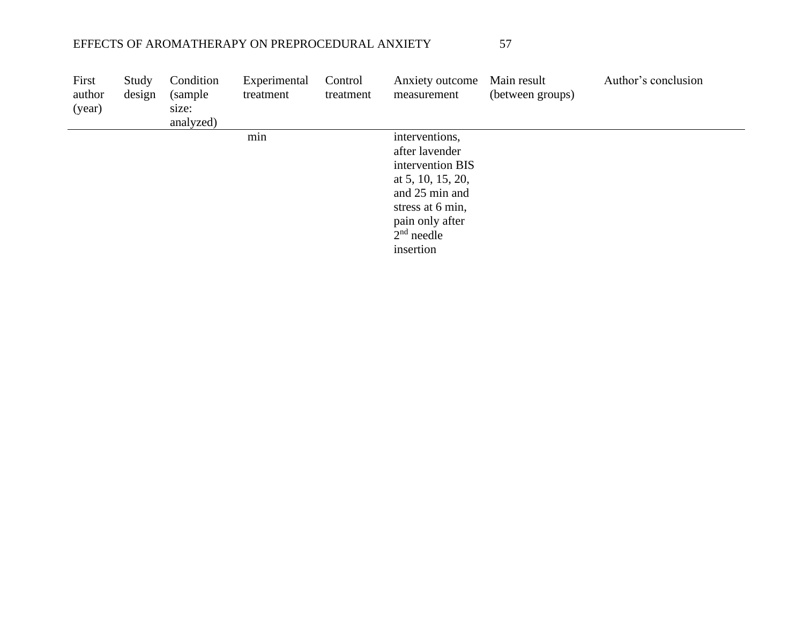| First<br>author<br>(year) | Study<br>design | Condition<br>(sample)<br>size:<br>analyzed) | Experimental<br>treatment | Control<br>treatment | Anxiety outcome<br>measurement                                                                                                                                  | Main result<br>(between groups) | Author's conclusion |
|---------------------------|-----------------|---------------------------------------------|---------------------------|----------------------|-----------------------------------------------------------------------------------------------------------------------------------------------------------------|---------------------------------|---------------------|
|                           |                 |                                             | min                       |                      | interventions,<br>after lavender<br>intervention BIS<br>at 5, 10, 15, 20,<br>and 25 min and<br>stress at 6 min,<br>pain only after<br>$2nd$ needle<br>insertion |                                 |                     |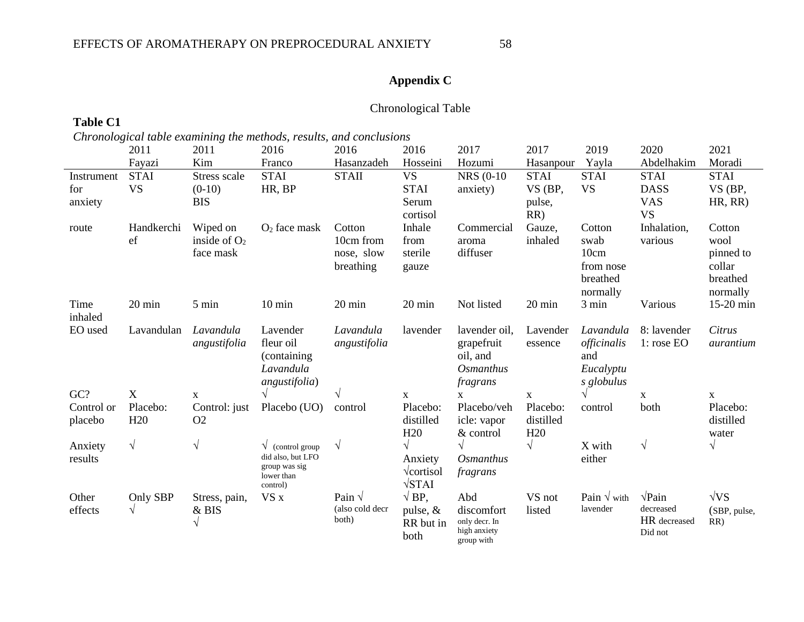# **Appendix C**

## Chronological Table

# **Table C1**

*Chronological table examining the methods, results, and conclusions*

|            | 2011                   | 2011                   | 2016                               | 2016                            | 2016                     | 2017              | 2017             | 2019                                  | 2020           | 2021                  |
|------------|------------------------|------------------------|------------------------------------|---------------------------------|--------------------------|-------------------|------------------|---------------------------------------|----------------|-----------------------|
|            | Fayazi                 | Kim                    | Franco                             | Hasanzadeh                      | Hosseini                 | Hozumi            | Hasanpour        | Yayla                                 | Abdelhakim     | Moradi                |
| Instrument | <b>STAI</b>            | Stress scale           | <b>STAI</b>                        | <b>STAII</b>                    | <b>VS</b>                | <b>NRS</b> (0-10) | <b>STAI</b>      | <b>STAI</b>                           | <b>STAI</b>    | <b>STAI</b>           |
| for        | <b>VS</b>              | $(0-10)$               | HR, BP                             |                                 | <b>STAI</b>              | anxiety)          | VS (BP,          | <b>VS</b>                             | <b>DASS</b>    | VS (BP,               |
| anxiety    |                        | <b>BIS</b>             |                                    |                                 | Serum                    |                   | pulse,           |                                       | <b>VAS</b>     | HR, RR)               |
|            |                        |                        |                                    |                                 | cortisol                 |                   | RR)              |                                       | <b>VS</b>      |                       |
| route      | Handkerchi             | Wiped on               | $O2$ face mask                     | Cotton                          | Inhale                   | Commercial        | Gauze,           | Cotton                                | Inhalation,    | Cotton                |
|            | ef                     | inside of $O2$         |                                    | 10cm from                       | from                     | aroma             | inhaled          | swab                                  | various        | wool                  |
|            |                        | face mask              |                                    | nose, slow                      | sterile                  | diffuser          |                  | 10cm                                  |                | pinned to             |
|            |                        |                        |                                    | breathing                       | gauze                    |                   |                  | from nose                             |                | collar                |
|            |                        |                        |                                    |                                 |                          |                   |                  | breathed                              |                | breathed              |
| Time       | 20 min                 | 5 min                  | $10 \text{ min}$                   | 20 min                          | 20 min                   | Not listed        | 20 min           | normally<br>3 min                     | Various        | normally<br>15-20 min |
| inhaled    |                        |                        |                                    |                                 |                          |                   |                  |                                       |                |                       |
| EO used    | Lavandulan             | Lavandula              | Lavender                           | Lavandula                       | lavender                 | lavender oil,     | Lavender         | Lavandula                             | 8: lavender    | Citrus                |
|            |                        | angustifolia           | fleur oil                          | angustifolia                    |                          | grapefruit        | essence          | officinalis                           | 1: rose EO     | aurantium             |
|            |                        |                        | (containing)                       |                                 |                          | oil, and          |                  | and                                   |                |                       |
|            |                        |                        | Lavandula                          |                                 |                          | <b>Osmanthus</b>  |                  | Eucalyptu                             |                |                       |
|            |                        |                        | angustifolia)                      |                                 |                          | fragrans          |                  | s globulus                            |                |                       |
| GC?        | X                      | $\mathbf X$            |                                    | V                               | $\mathbf X$              | $\mathbf{X}$      | $\mathbf X$      | $\sqrt{ }$                            | $\mathbf X$    | $\mathbf X$           |
| Control or | Placebo:               | Control: just          | Placebo (UO)                       | control                         | Placebo:                 | Placebo/veh       | Placebo:         | control                               | both           | Placebo:              |
| placebo    | H20                    | O2                     |                                    |                                 | distilled                | icle: vapor       | distilled        |                                       |                | distilled             |
|            |                        |                        |                                    |                                 | H <sub>20</sub>          | $&$ control       | H20              |                                       |                | water                 |
| Anxiety    | $\sqrt{}$              | $\sqrt{}$              | $\sqrt{\ }$ (control group)        | $\sqrt{ }$                      |                          | $\sqrt{}$         | $\sqrt{}$        | X with                                | $\sqrt{ }$     | $\sqrt{}$             |
| results    |                        |                        | did also, but LFO<br>group was sig |                                 | Anxiety                  | Osmanthus         |                  | either                                |                |                       |
|            |                        |                        | lower than                         |                                 | $\sqrt{\text{cortisol}}$ | fragrans          |                  |                                       |                |                       |
|            |                        |                        | control)                           |                                 | $\sqrt{STAI}$            |                   |                  |                                       | $\sqrt{P}$ ain |                       |
| Other      | Only SBP<br>$\sqrt{ }$ | Stress, pain,<br>& BIS | VS x                               | Pain $\sqrt$<br>(also cold decr | $\sqrt{BP}$ ,            | Abd<br>discomfort | VS not<br>listed | Pain $\sqrt{\text{with}}$<br>lavender | decreased      | $\sqrt{VS}$           |
| effects    |                        |                        |                                    | both)                           | pulse, $&$<br>RR but in  | only decr. In     |                  |                                       | HR decreased   | (SBP, pulse,<br>RR)   |
|            |                        |                        |                                    |                                 | both                     | high anxiety      |                  |                                       | Did not        |                       |
|            |                        |                        |                                    |                                 |                          | group with        |                  |                                       |                |                       |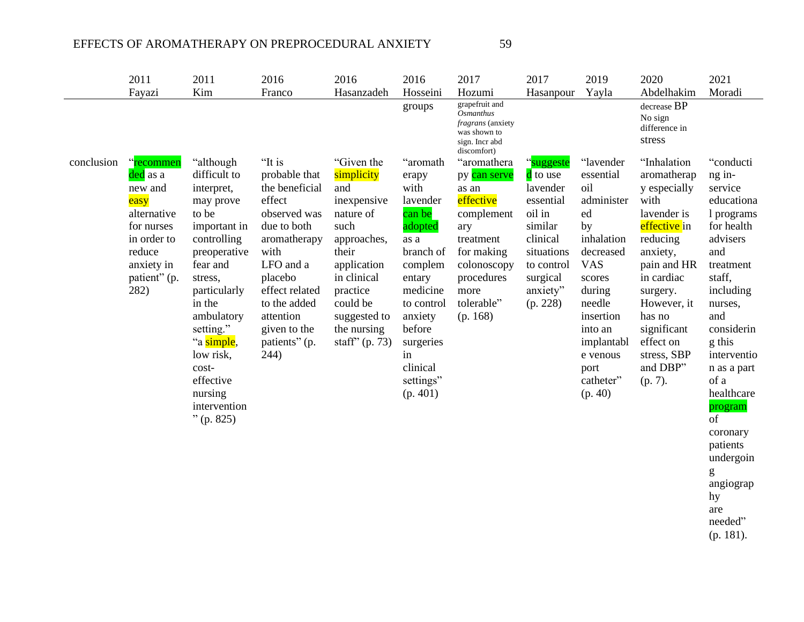|            | 2011                                                                                                                                 | 2011                                                                                                                                                                                                                                                                                  | 2016                                                                                                                                                                                                                       | 2016                                                                                                                                                                                                 | 2016                                                                                                                                                                                                        | 2017                                                                                                                                                             | 2017                                                                                                                                            | 2019                                                                                                                                                                                                             | 2020                                                                                                                                                                                                                                          | 2021                                                                                                                                                                                                                                                                                                                                          |
|------------|--------------------------------------------------------------------------------------------------------------------------------------|---------------------------------------------------------------------------------------------------------------------------------------------------------------------------------------------------------------------------------------------------------------------------------------|----------------------------------------------------------------------------------------------------------------------------------------------------------------------------------------------------------------------------|------------------------------------------------------------------------------------------------------------------------------------------------------------------------------------------------------|-------------------------------------------------------------------------------------------------------------------------------------------------------------------------------------------------------------|------------------------------------------------------------------------------------------------------------------------------------------------------------------|-------------------------------------------------------------------------------------------------------------------------------------------------|------------------------------------------------------------------------------------------------------------------------------------------------------------------------------------------------------------------|-----------------------------------------------------------------------------------------------------------------------------------------------------------------------------------------------------------------------------------------------|-----------------------------------------------------------------------------------------------------------------------------------------------------------------------------------------------------------------------------------------------------------------------------------------------------------------------------------------------|
|            | Fayazi                                                                                                                               | Kim                                                                                                                                                                                                                                                                                   | Franco                                                                                                                                                                                                                     | Hasanzadeh                                                                                                                                                                                           | Hosseini                                                                                                                                                                                                    | Hozumi                                                                                                                                                           | Hasanpour                                                                                                                                       | Yayla                                                                                                                                                                                                            | Abdelhakim                                                                                                                                                                                                                                    | Moradi                                                                                                                                                                                                                                                                                                                                        |
|            |                                                                                                                                      |                                                                                                                                                                                                                                                                                       |                                                                                                                                                                                                                            |                                                                                                                                                                                                      | groups                                                                                                                                                                                                      | grapefruit and<br>Osmanthus<br><i>fragrans</i> (anxiety<br>was shown to<br>sign. Incr abd<br>discomfort)                                                         |                                                                                                                                                 |                                                                                                                                                                                                                  | decrease BP<br>No sign<br>difference in<br>stress                                                                                                                                                                                             |                                                                                                                                                                                                                                                                                                                                               |
| conclusion | "recommen<br>ded as a<br>new and<br>easy<br>alternative<br>for nurses<br>in order to<br>reduce<br>anxiety in<br>patient" (p.<br>282) | "although"<br>difficult to<br>interpret,<br>may prove<br>to be<br>important in<br>controlling<br>preoperative<br>fear and<br>stress,<br>particularly<br>in the<br>ambulatory<br>setting."<br>"a simple,<br>low risk,<br>cost-<br>effective<br>nursing<br>intervention<br>$"$ (p. 825) | "It is<br>probable that<br>the beneficial<br>effect<br>observed was<br>due to both<br>aromatherapy<br>with<br>LFO and a<br>placebo<br>effect related<br>to the added<br>attention<br>given to the<br>patients" (p.<br>244) | "Given the<br>simplicity<br>and<br>inexpensive<br>nature of<br>such<br>approaches,<br>their<br>application<br>in clinical<br>practice<br>could be<br>suggested to<br>the nursing<br>staff" $(p. 73)$ | "aromath<br>erapy<br>with<br>lavender<br>can be<br>adopted<br>as a<br>branch of<br>complem<br>entary<br>medicine<br>to control<br>anxiety<br>before<br>surgeries<br>in<br>clinical<br>settings"<br>(p. 401) | "aromathera<br>py can serve<br>as an<br>effective<br>complement<br>ary<br>treatment<br>for making<br>colonoscopy<br>procedures<br>more<br>tolerable"<br>(p. 168) | "suggeste<br>d to use<br>lavender<br>essential<br>oil in<br>similar<br>clinical<br>situations<br>to control<br>surgical<br>anxiety"<br>(p. 228) | "lavender<br>essential<br>oil<br>administer<br>ed<br>by<br>inhalation<br>decreased<br><b>VAS</b><br>scores<br>during<br>needle<br>insertion<br>into an<br>implantabl<br>e venous<br>port<br>catheter"<br>(p. 40) | "Inhalation<br>aromatherap<br>y especially<br>with<br>lavender is<br>effective in<br>reducing<br>anxiety,<br>pain and HR<br>in cardiac<br>surgery.<br>However, it<br>has no<br>significant<br>effect on<br>stress, SBP<br>and DBP"<br>(p. 7). | "conducti<br>ng in-<br>service<br>educationa<br>1 programs<br>for health<br>advisers<br>and<br>treatment<br>staff,<br>including<br>nurses,<br>and<br>considerin<br>g this<br>interventio<br>n as a part<br>of a<br>healthcare<br>program<br>of<br>coronary<br>patients<br>undergoin<br>g<br>angiograp<br>hy<br>are<br>needed"<br>$(p. 181)$ . |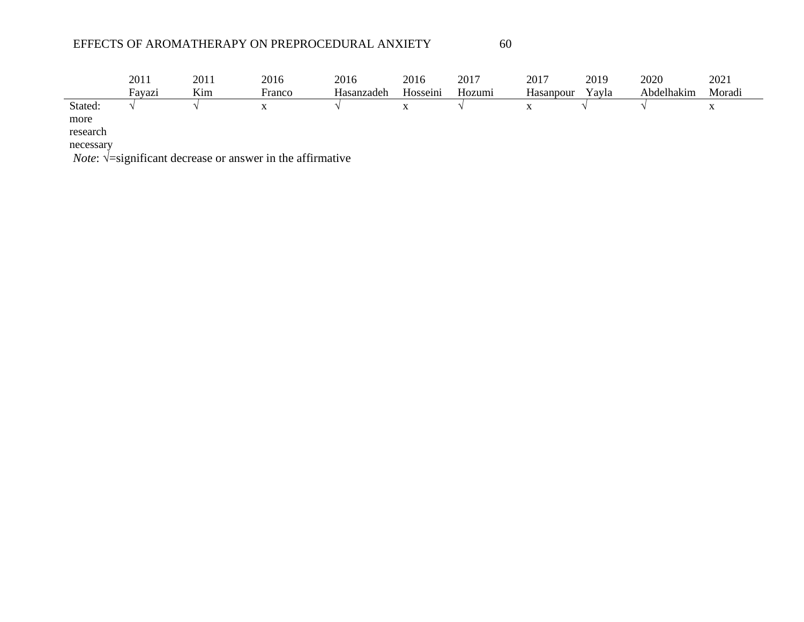|           | 2011          | 2011 | 2016                           | 2016       | 2016     | 2017   | 2017      | 2019  | 2020       | 2021      |  |
|-----------|---------------|------|--------------------------------|------------|----------|--------|-----------|-------|------------|-----------|--|
|           | Favazi        | Kim  | Franco                         | Hasanzadeh | Hosseini | Hozumi | Hasanpour | Yayla | Abdelhakim | Moradi    |  |
| Stated:   |               |      | $\mathbf{v}$                   |            | X        |        | $\Lambda$ |       |            | $\Lambda$ |  |
| more      |               |      |                                |            |          |        |           |       |            |           |  |
| research  |               |      |                                |            |          |        |           |       |            |           |  |
| necessary |               |      |                                |            |          |        |           |       |            |           |  |
| $ -$      | $\sim$ $\sim$ |      | $\sim$ $\sim$<br>$\sim$ $\sim$ |            |          |        |           |       |            |           |  |

*Note*: √=significant decrease or answer in the affirmative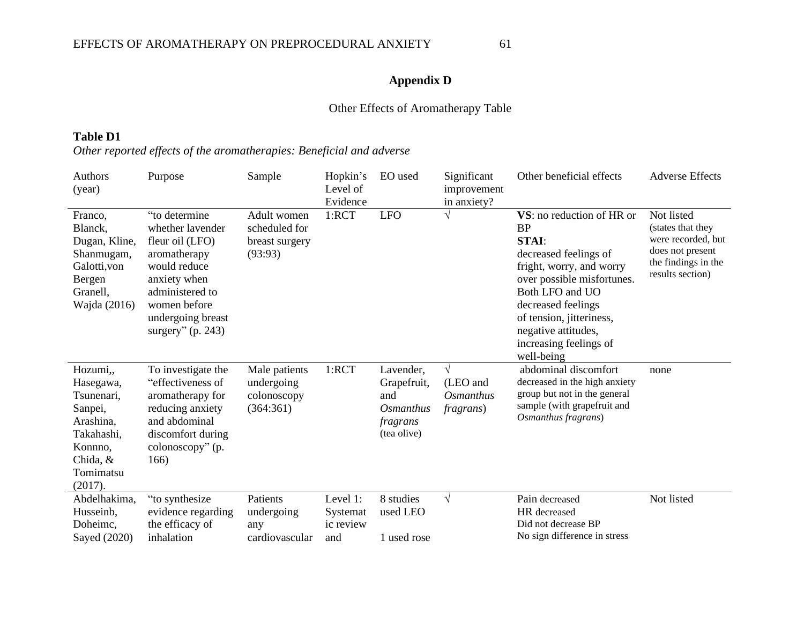# **Appendix D**

# Other Effects of Aromatherapy Table

## **Table D1**

# *Other reported effects of the aromatherapies: Beneficial and adverse*

| Authors<br>(year)                                                                                                        | Purpose                                                                                                                                                                             | Sample                                                    | Hopkin's<br>Level of<br>Evidence         | EO used                                                                        | Significant<br>improvement<br>in anxiety?                | Other beneficial effects                                                                                                                                                                                                                                                      | <b>Adverse Effects</b>                                                                                               |
|--------------------------------------------------------------------------------------------------------------------------|-------------------------------------------------------------------------------------------------------------------------------------------------------------------------------------|-----------------------------------------------------------|------------------------------------------|--------------------------------------------------------------------------------|----------------------------------------------------------|-------------------------------------------------------------------------------------------------------------------------------------------------------------------------------------------------------------------------------------------------------------------------------|----------------------------------------------------------------------------------------------------------------------|
| Franco,<br>Blanck,<br>Dugan, Kline,<br>Shanmugam,<br>Galotti, von<br>Bergen<br>Granell,<br>Wajda (2016)                  | "to determine<br>whether lavender<br>fleur oil (LFO)<br>aromatherapy<br>would reduce<br>anxiety when<br>administered to<br>women before<br>undergoing breast<br>surgery" $(p. 243)$ | Adult women<br>scheduled for<br>breast surgery<br>(93:93) | 1:RCT                                    | <b>LFO</b>                                                                     |                                                          | VS: no reduction of HR or<br><b>BP</b><br><b>STAI:</b><br>decreased feelings of<br>fright, worry, and worry<br>over possible misfortunes.<br>Both LFO and UO<br>decreased feelings<br>of tension, jitteriness,<br>negative attitudes,<br>increasing feelings of<br>well-being | Not listed<br>(states that they<br>were recorded, but<br>does not present<br>the findings in the<br>results section) |
| Hozumi,,<br>Hasegawa,<br>Tsunenari,<br>Sanpei,<br>Arashina,<br>Takahashi,<br>Konnno,<br>Chida, &<br>Tomimatsu<br>(2017). | To investigate the<br>"effectiveness of<br>aromatherapy for<br>reducing anxiety<br>and abdominal<br>discomfort during<br>colonoscopy" (p.<br>166)                                   | Male patients<br>undergoing<br>colonoscopy<br>(364:361)   | 1:RCT                                    | Lavender,<br>Grapefruit,<br>and<br><i>Osmanthus</i><br>fragrans<br>(tea olive) | $\sqrt{ }$<br>(LEO and<br>Osmanthus<br><i>fragrans</i> ) | abdominal discomfort<br>decreased in the high anxiety<br>group but not in the general<br>sample (with grapefruit and<br>Osmanthus fragrans)                                                                                                                                   | none                                                                                                                 |
| Abdelhakima,<br>Husseinb,<br>Doheimc.<br>Sayed (2020)                                                                    | "to synthesize"<br>evidence regarding<br>the efficacy of<br>inhalation                                                                                                              | Patients<br>undergoing<br>any<br>cardiovascular           | Level 1:<br>Systemat<br>ic review<br>and | 8 studies<br>used LEO<br>1 used rose                                           | $\sqrt{ }$                                               | Pain decreased<br>HR decreased<br>Did not decrease BP<br>No sign difference in stress                                                                                                                                                                                         | Not listed                                                                                                           |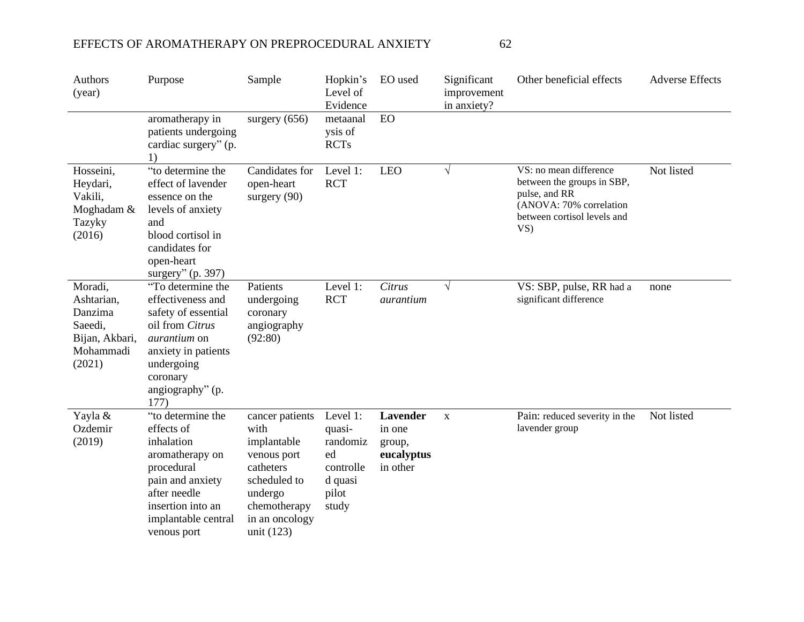| Authors<br>(year)                                                                    | Purpose                                                                                                                                                                              | Sample                                                                                                                                        | Hopkin's<br>Level of<br>Evidence                                               | EO used                                                       | Significant<br>improvement<br>in anxiety? | Other beneficial effects                                                                                                              | <b>Adverse Effects</b> |
|--------------------------------------------------------------------------------------|--------------------------------------------------------------------------------------------------------------------------------------------------------------------------------------|-----------------------------------------------------------------------------------------------------------------------------------------------|--------------------------------------------------------------------------------|---------------------------------------------------------------|-------------------------------------------|---------------------------------------------------------------------------------------------------------------------------------------|------------------------|
|                                                                                      | aromatherapy in<br>patients undergoing<br>cardiac surgery" (p.<br>1)                                                                                                                 | surgery $(656)$                                                                                                                               | metaanal<br>ysis of<br><b>RCTs</b>                                             | <b>EO</b>                                                     |                                           |                                                                                                                                       |                        |
| Hosseini,<br>Heydari,<br>Vakili,<br>Moghadam &<br>Tazyky<br>(2016)                   | "to determine the<br>effect of lavender<br>essence on the<br>levels of anxiety<br>and<br>blood cortisol in<br>candidates for<br>open-heart<br>surgery" (p. 397)                      | Candidates for<br>open-heart<br>surgery $(90)$                                                                                                | Level 1:<br><b>RCT</b>                                                         | <b>LEO</b>                                                    | $\sqrt{}$                                 | VS: no mean difference<br>between the groups in SBP,<br>pulse, and RR<br>(ANOVA: 70% correlation<br>between cortisol levels and<br>VS | Not listed             |
| Moradi,<br>Ashtarian,<br>Danzima<br>Saeedi,<br>Bijan, Akbari,<br>Mohammadi<br>(2021) | "To determine the<br>effectiveness and<br>safety of essential<br>oil from Citrus<br><i>aurantium</i> on<br>anxiety in patients<br>undergoing<br>coronary<br>angiography" (p.<br>177) | Patients<br>undergoing<br>coronary<br>angiography<br>(92:80)                                                                                  | Level 1:<br><b>RCT</b>                                                         | Citrus<br>aurantium                                           | $\sqrt{ }$                                | VS: SBP, pulse, RR had a<br>significant difference                                                                                    | none                   |
| Yayla &<br>Ozdemir<br>(2019)                                                         | "to determine the<br>effects of<br>inhalation<br>aromatherapy on<br>procedural<br>pain and anxiety<br>after needle<br>insertion into an<br>implantable central<br>venous port        | cancer patients<br>with<br>implantable<br>venous port<br>catheters<br>scheduled to<br>undergo<br>chemotherapy<br>in an oncology<br>unit (123) | Level 1:<br>quasi-<br>randomiz<br>ed<br>controlle<br>d quasi<br>pilot<br>study | <b>Lavender</b><br>in one<br>group,<br>eucalyptus<br>in other | $\mathbf X$                               | Pain: reduced severity in the<br>lavender group                                                                                       | Not listed             |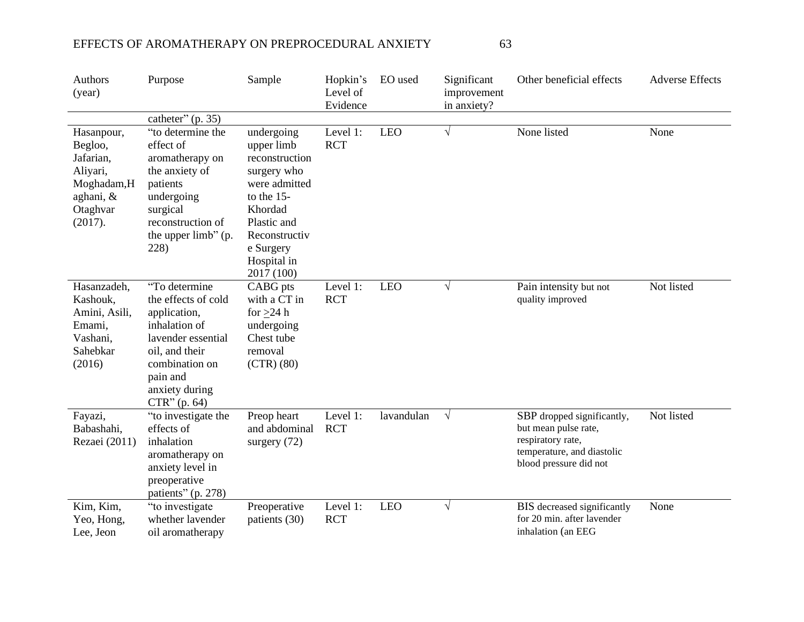| Authors<br>(year)                                                                                | Purpose                                                                                                                                                                       | Sample                                                                                                                                                                          | Hopkin's<br>Level of<br>Evidence | EO used    | Significant<br>improvement<br>in anxiety? | Other beneficial effects                                                                                                        | <b>Adverse Effects</b> |
|--------------------------------------------------------------------------------------------------|-------------------------------------------------------------------------------------------------------------------------------------------------------------------------------|---------------------------------------------------------------------------------------------------------------------------------------------------------------------------------|----------------------------------|------------|-------------------------------------------|---------------------------------------------------------------------------------------------------------------------------------|------------------------|
|                                                                                                  | catheter" $(p. 35)$                                                                                                                                                           |                                                                                                                                                                                 |                                  |            |                                           |                                                                                                                                 |                        |
| Hasanpour,<br>Begloo,<br>Jafarian,<br>Aliyari,<br>Moghadam,H<br>aghani, &<br>Otaghvar<br>(2017). | "to determine the<br>effect of<br>aromatherapy on<br>the anxiety of<br>patients<br>undergoing<br>surgical<br>reconstruction of<br>the upper limb" (p.<br>228)                 | undergoing<br>upper limb<br>reconstruction<br>surgery who<br>were admitted<br>to the $15-$<br>Khordad<br>Plastic and<br>Reconstructiv<br>e Surgery<br>Hospital in<br>2017 (100) | Level 1:<br><b>RCT</b>           | <b>LEO</b> | $\sqrt{}$                                 | None listed                                                                                                                     | None                   |
| Hasanzadeh,<br>Kashouk,<br>Amini, Asili,<br>Emami,<br>Vashani,<br>Sahebkar<br>(2016)             | "To determine<br>the effects of cold<br>application,<br>inhalation of<br>lavender essential<br>oil, and their<br>combination on<br>pain and<br>anxiety during<br>CTR''(p. 64) | CABG pts<br>with a CT in<br>for $\geq$ 24 h<br>undergoing<br>Chest tube<br>removal<br>$(CTR)$ (80)                                                                              | Level 1:<br><b>RCT</b>           | <b>LEO</b> | $\sqrt{ }$                                | Pain intensity but not<br>quality improved                                                                                      | Not listed             |
| Fayazi,<br>Babashahi,<br>Rezaei (2011)                                                           | "to investigate the<br>effects of<br>inhalation<br>aromatherapy on<br>anxiety level in<br>preoperative<br>patients" (p. 278)                                                  | Preop heart<br>and abdominal<br>surgery (72)                                                                                                                                    | Level 1:<br><b>RCT</b>           | lavandulan | $\sqrt{ }$                                | SBP dropped significantly,<br>but mean pulse rate,<br>respiratory rate,<br>temperature, and diastolic<br>blood pressure did not | Not listed             |
| Kim, Kim,<br>Yeo, Hong,<br>Lee, Jeon                                                             | "to investigate<br>whether lavender<br>oil aromatherapy                                                                                                                       | Preoperative<br>patients (30)                                                                                                                                                   | Level 1:<br><b>RCT</b>           | <b>LEO</b> | $\sqrt{}$                                 | BIS decreased significantly<br>for 20 min. after lavender<br>inhalation (an EEG                                                 | None                   |